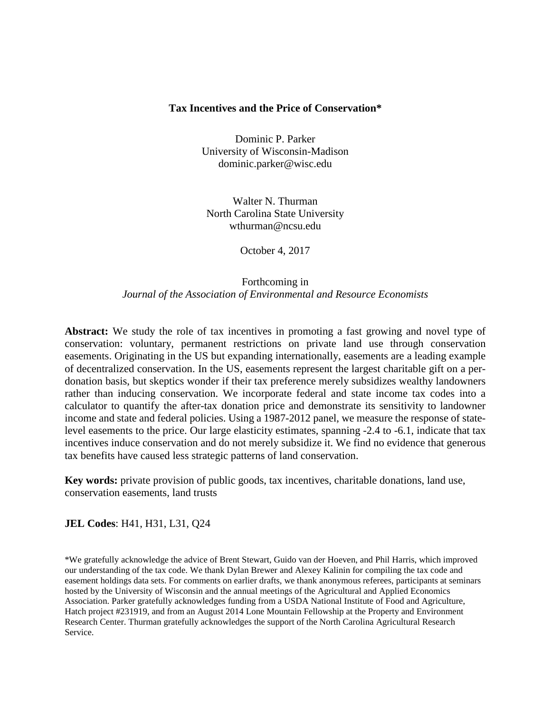#### **Tax Incentives and the Price of Conservation\***

Dominic P. Parker University of Wisconsin-Madison dominic.parker@wisc.edu

Walter N. Thurman North Carolina State University wthurman@ncsu.edu

October 4, 2017

## Forthcoming in *Journal of the Association of Environmental and Resource Economists*

**Abstract:** We study the role of tax incentives in promoting a fast growing and novel type of conservation: voluntary, permanent restrictions on private land use through conservation easements. Originating in the US but expanding internationally, easements are a leading example of decentralized conservation. In the US, easements represent the largest charitable gift on a perdonation basis, but skeptics wonder if their tax preference merely subsidizes wealthy landowners rather than inducing conservation. We incorporate federal and state income tax codes into a calculator to quantify the after-tax donation price and demonstrate its sensitivity to landowner income and state and federal policies. Using a 1987-2012 panel, we measure the response of statelevel easements to the price. Our large elasticity estimates, spanning -2.4 to -6.1, indicate that tax incentives induce conservation and do not merely subsidize it. We find no evidence that generous tax benefits have caused less strategic patterns of land conservation.

**Key words:** private provision of public goods, tax incentives, charitable donations, land use, conservation easements, land trusts

## **JEL Codes**: H41, H31, L31, Q24

\*We gratefully acknowledge the advice of Brent Stewart, Guido van der Hoeven, and Phil Harris, which improved our understanding of the tax code. We thank Dylan Brewer and Alexey Kalinin for compiling the tax code and easement holdings data sets. For comments on earlier drafts, we thank anonymous referees, participants at seminars hosted by the University of Wisconsin and the annual meetings of the Agricultural and Applied Economics Association. Parker gratefully acknowledges funding from a USDA National Institute of Food and Agriculture, Hatch project #231919, and from an August 2014 Lone Mountain Fellowship at the Property and Environment Research Center. Thurman gratefully acknowledges the support of the North Carolina Agricultural Research Service.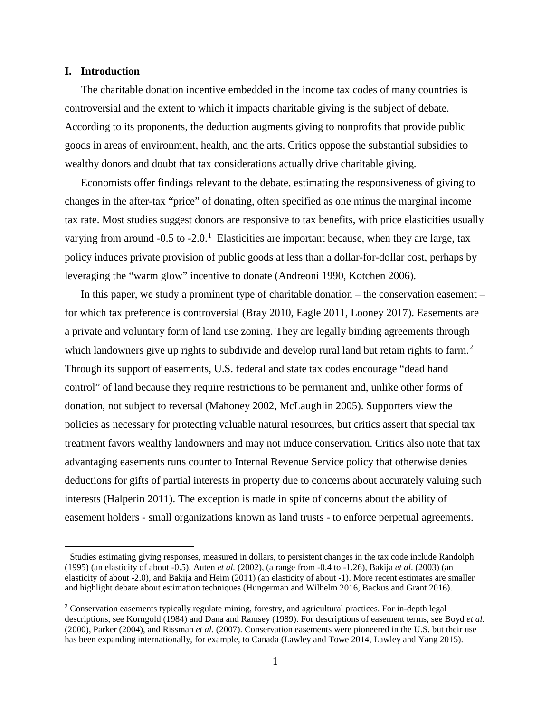#### **I. Introduction**

l

The charitable donation incentive embedded in the income tax codes of many countries is controversial and the extent to which it impacts charitable giving is the subject of debate. According to its proponents, the deduction augments giving to nonprofits that provide public goods in areas of environment, health, and the arts. Critics oppose the substantial subsidies to wealthy donors and doubt that tax considerations actually drive charitable giving.

Economists offer findings relevant to the debate, estimating the responsiveness of giving to changes in the after-tax "price" of donating, often specified as one minus the marginal income tax rate. Most studies suggest donors are responsive to tax benefits, with price elasticities usually varying from around  $-0.5$  to  $-2.0$ .<sup>[1](#page-1-0)</sup> Elasticities are important because, when they are large, tax policy induces private provision of public goods at less than a dollar-for-dollar cost, perhaps by leveraging the "warm glow" incentive to donate (Andreoni 1990, Kotchen 2006).

In this paper, we study a prominent type of charitable donation – the conservation easement – for which tax preference is controversial (Bray 2010, Eagle 2011, Looney 2017). Easements are a private and voluntary form of land use zoning. They are legally binding agreements through which landowners give up rights to subdivide and develop rural land but retain rights to farm.<sup>[2](#page-1-1)</sup> Through its support of easements, U.S. federal and state tax codes encourage "dead hand control" of land because they require restrictions to be permanent and, unlike other forms of donation, not subject to reversal (Mahoney 2002, McLaughlin 2005). Supporters view the policies as necessary for protecting valuable natural resources, but critics assert that special tax treatment favors wealthy landowners and may not induce conservation. Critics also note that tax advantaging easements runs counter to Internal Revenue Service policy that otherwise denies deductions for gifts of partial interests in property due to concerns about accurately valuing such interests (Halperin 2011). The exception is made in spite of concerns about the ability of easement holders - small organizations known as land trusts - to enforce perpetual agreements.

<span id="page-1-0"></span><sup>&</sup>lt;sup>1</sup> Studies estimating giving responses, measured in dollars, to persistent changes in the tax code include Randolph (1995) (an elasticity of about -0.5), Auten *et al.* (2002), (a range from -0.4 to -1.26), Bakija *et al*. (2003) (an elasticity of about -2.0), and Bakija and Heim (2011) (an elasticity of about -1). More recent estimates are smaller and highlight debate about estimation techniques (Hungerman and Wilhelm 2016, Backus and Grant 2016).

<span id="page-1-1"></span><sup>&</sup>lt;sup>2</sup> Conservation easements typically regulate mining, forestry, and agricultural practices. For in-depth legal descriptions, see Korngold (1984) and Dana and Ramsey (1989). For descriptions of easement terms, see Boyd *et al.* (2000), Parker (2004), and Rissman *et al.* (2007). Conservation easements were pioneered in the U.S. but their use has been expanding internationally, for example, to Canada (Lawley and Towe 2014, Lawley and Yang 2015).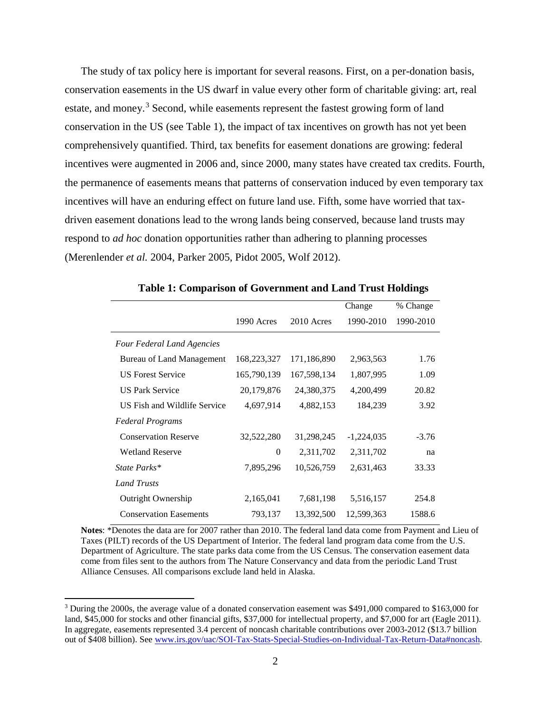The study of tax policy here is important for several reasons. First, on a per-donation basis, conservation easements in the US dwarf in value every other form of charitable giving: art, real estate, and money.<sup>[3](#page-2-0)</sup> Second, while easements represent the fastest growing form of land conservation in the US (see Table 1), the impact of tax incentives on growth has not yet been comprehensively quantified. Third, tax benefits for easement donations are growing: federal incentives were augmented in 2006 and, since 2000, many states have created tax credits. Fourth, the permanence of easements means that patterns of conservation induced by even temporary tax incentives will have an enduring effect on future land use. Fifth, some have worried that taxdriven easement donations lead to the wrong lands being conserved, because land trusts may respond to *ad hoc* donation opportunities rather than adhering to planning processes (Merenlender *et al.* 2004, Parker 2005, Pidot 2005, Wolf 2012).

|                                   |             |             | Change       | % Change  |
|-----------------------------------|-------------|-------------|--------------|-----------|
|                                   | 1990 Acres  | 2010 Acres  | 1990-2010    | 1990-2010 |
| <b>Four Federal Land Agencies</b> |             |             |              |           |
| Bureau of Land Management         | 168,223,327 | 171,186,890 | 2,963,563    | 1.76      |
| <b>US Forest Service</b>          | 165,790,139 | 167,598,134 | 1,807,995    | 1.09      |
| <b>US Park Service</b>            | 20,179,876  | 24,380,375  | 4,200,499    | 20.82     |
| US Fish and Wildlife Service      | 4,697,914   | 4,882,153   | 184,239      | 3.92      |
| <b>Federal Programs</b>           |             |             |              |           |
| <b>Conservation Reserve</b>       | 32,522,280  | 31,298,245  | $-1,224,035$ | $-3.76$   |
| <b>Wetland Reserve</b>            | $\Omega$    | 2,311,702   | 2,311,702    | na        |
| State Parks*                      | 7,895,296   | 10,526,759  | 2,631,463    | 33.33     |
| <b>Land Trusts</b>                |             |             |              |           |
| <b>Outright Ownership</b>         | 2,165,041   | 7,681,198   | 5,516,157    | 254.8     |
| <b>Conservation Easements</b>     | 793,137     | 13,392,500  | 12,599,363   | 1588.6    |

|  | Table 1: Comparison of Government and Land Trust Holdings |  |
|--|-----------------------------------------------------------|--|
|  |                                                           |  |

**Notes**: \*Denotes the data are for 2007 rather than 2010. The federal land data come from Payment and Lieu of Taxes (PILT) records of the US Department of Interior. The federal land program data come from the U.S. Department of Agriculture. The state parks data come from the US Census. The conservation easement data come from files sent to the authors from The Nature Conservancy and data from the periodic Land Trust Alliance Censuses. All comparisons exclude land held in Alaska.

 $\overline{\phantom{a}}$ 

<span id="page-2-0"></span><sup>&</sup>lt;sup>3</sup> During the 2000s, the average value of a donated conservation easement was \$491,000 compared to \$163,000 for land, \$45,000 for stocks and other financial gifts, \$37,000 for intellectual property, and \$7,000 for art (Eagle 2011). In aggregate, easements represented 3.4 percent of noncash charitable contributions over 2003-2012 (\$13.7 billion out of \$408 billion). See [www.irs.gov/uac/SOI-Tax-Stats-Special-Studies-on-Individual-Tax-Return-Data#noncash.](http://www.irs.gov/uac/SOI-Tax-Stats-Special-Studies-on-Individual-Tax-Return-Data#noncash)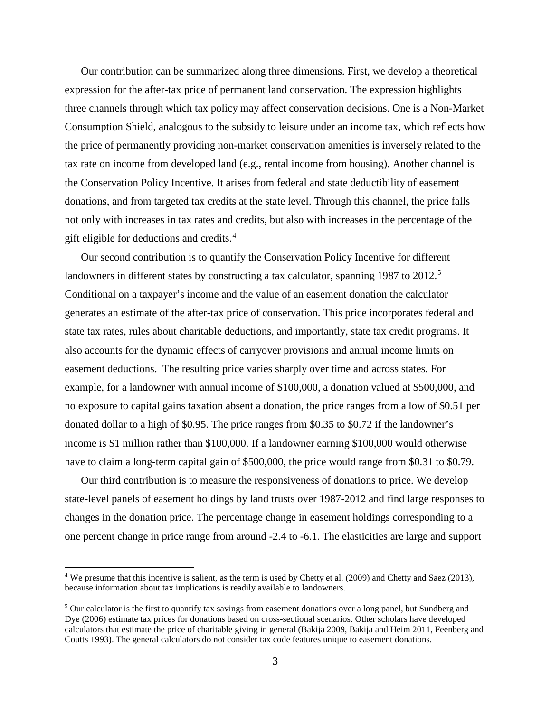Our contribution can be summarized along three dimensions. First, we develop a theoretical expression for the after-tax price of permanent land conservation. The expression highlights three channels through which tax policy may affect conservation decisions. One is a Non-Market Consumption Shield, analogous to the subsidy to leisure under an income tax, which reflects how the price of permanently providing non-market conservation amenities is inversely related to the tax rate on income from developed land (e.g., rental income from housing). Another channel is the Conservation Policy Incentive. It arises from federal and state deductibility of easement donations, and from targeted tax credits at the state level. Through this channel, the price falls not only with increases in tax rates and credits, but also with increases in the percentage of the gift eligible for deductions and credits.[4](#page-3-0)

Our second contribution is to quantify the Conservation Policy Incentive for different landowners in different states by constructing a tax calculator, spanning 1987 to 2012.<sup>[5](#page-3-1)</sup> Conditional on a taxpayer's income and the value of an easement donation the calculator generates an estimate of the after-tax price of conservation. This price incorporates federal and state tax rates, rules about charitable deductions, and importantly, state tax credit programs. It also accounts for the dynamic effects of carryover provisions and annual income limits on easement deductions. The resulting price varies sharply over time and across states. For example, for a landowner with annual income of \$100,000, a donation valued at \$500,000, and no exposure to capital gains taxation absent a donation, the price ranges from a low of \$0.51 per donated dollar to a high of \$0.95. The price ranges from \$0.35 to \$0.72 if the landowner's income is \$1 million rather than \$100,000. If a landowner earning \$100,000 would otherwise have to claim a long-term capital gain of \$500,000, the price would range from \$0.31 to \$0.79.

Our third contribution is to measure the responsiveness of donations to price. We develop state-level panels of easement holdings by land trusts over 1987-2012 and find large responses to changes in the donation price. The percentage change in easement holdings corresponding to a one percent change in price range from around -2.4 to -6.1. The elasticities are large and support

 $\overline{a}$ 

<span id="page-3-0"></span><sup>4</sup> We presume that this incentive is salient, as the term is used by Chetty et al. (2009) and Chetty and Saez (2013), because information about tax implications is readily available to landowners.

<span id="page-3-1"></span><sup>&</sup>lt;sup>5</sup> Our calculator is the first to quantify tax savings from easement donations over a long panel, but Sundberg and Dye (2006) estimate tax prices for donations based on cross-sectional scenarios. Other scholars have developed calculators that estimate the price of charitable giving in general (Bakija 2009, Bakija and Heim 2011, Feenberg and Coutts 1993). The general calculators do not consider tax code features unique to easement donations.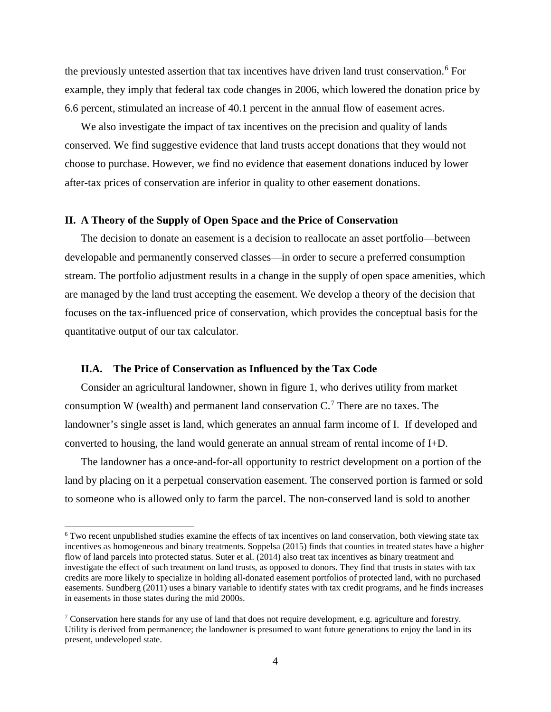the previously untested assertion that tax incentives have driven land trust conservation.<sup>[6](#page-4-0)</sup> For example, they imply that federal tax code changes in 2006, which lowered the donation price by 6.6 percent, stimulated an increase of 40.1 percent in the annual flow of easement acres.

We also investigate the impact of tax incentives on the precision and quality of lands conserved. We find suggestive evidence that land trusts accept donations that they would not choose to purchase. However, we find no evidence that easement donations induced by lower after-tax prices of conservation are inferior in quality to other easement donations.

#### **II. A Theory of the Supply of Open Space and the Price of Conservation**

The decision to donate an easement is a decision to reallocate an asset portfolio—between developable and permanently conserved classes—in order to secure a preferred consumption stream. The portfolio adjustment results in a change in the supply of open space amenities, which are managed by the land trust accepting the easement. We develop a theory of the decision that focuses on the tax-influenced price of conservation, which provides the conceptual basis for the quantitative output of our tax calculator.

#### **II.A. The Price of Conservation as Influenced by the Tax Code**

 $\overline{a}$ 

Consider an agricultural landowner, shown in figure 1, who derives utility from market consumption W (wealth) and permanent land conservation  $C<sup>7</sup>$  $C<sup>7</sup>$  $C<sup>7</sup>$  There are no taxes. The landowner's single asset is land, which generates an annual farm income of I. If developed and converted to housing, the land would generate an annual stream of rental income of I+D.

The landowner has a once-and-for-all opportunity to restrict development on a portion of the land by placing on it a perpetual conservation easement. The conserved portion is farmed or sold to someone who is allowed only to farm the parcel. The non-conserved land is sold to another

<span id="page-4-0"></span><sup>6</sup> Two recent unpublished studies examine the effects of tax incentives on land conservation, both viewing state tax incentives as homogeneous and binary treatments. Soppelsa (2015) finds that counties in treated states have a higher flow of land parcels into protected status. Suter et al. (2014) also treat tax incentives as binary treatment and investigate the effect of such treatment on land trusts, as opposed to donors. They find that trusts in states with tax credits are more likely to specialize in holding all-donated easement portfolios of protected land, with no purchased easements. Sundberg (2011) uses a binary variable to identify states with tax credit programs, and he finds increases in easements in those states during the mid 2000s.

<span id="page-4-1"></span><sup>7</sup> Conservation here stands for any use of land that does not require development, e.g. agriculture and forestry. Utility is derived from permanence; the landowner is presumed to want future generations to enjoy the land in its present, undeveloped state.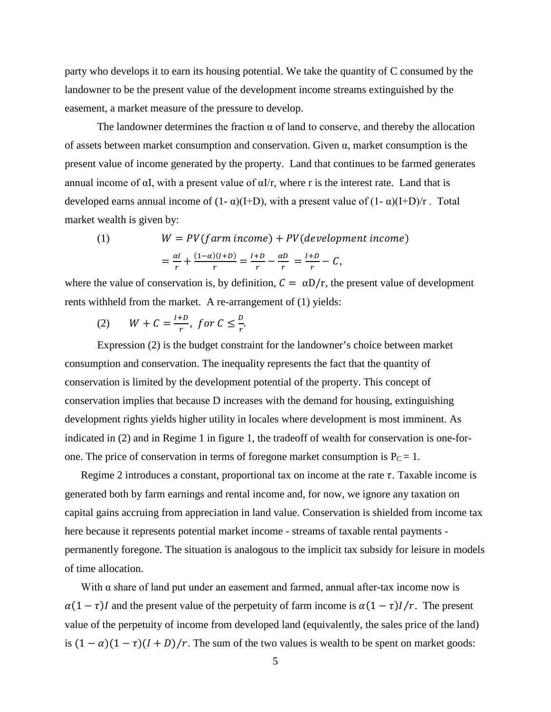party who develops it to earn its housing potential. We take the quantity of C consumed by the landowner to be the present value of the development income streams extinguished by the easement, a market measure of the pressure to develop.

The landowner determines the fraction  $\alpha$  of land to conserve, and thereby the allocation of assets between market consumption and conservation. Given α, market consumption is the present value of income generated by the property. Land that continues to be farmed generates annual income of  $\alpha I$ , with a present value of  $\alpha I/r$ , where r is the interest rate. Land that is developed earns annual income of  $(1 - \alpha)(I+D)$ , with a present value of  $(1 - \alpha)(I+D)/r$ . Total market wealth is given by:

(1) 
$$
W = PV(farm\ income) + PV(development\ income)
$$

$$
= \frac{\alpha I}{r} + \frac{(1-\alpha)(I+D)}{r} = \frac{I+D}{r} - \frac{\alpha D}{r} = \frac{I+D}{r} - C,
$$

where the value of conservation is, by definition,  $C = \alpha D/r$ , the present value of development rents withheld from the market. A re-arrangement of (1) yields:

$$
(2) \qquad W + C = \frac{l + D}{r}, \text{ for } C \leq \frac{D}{r}.
$$

Expression (2) is the budget constraint for the landowner's choice between market consumption and conservation. The inequality represents the fact that the quantity of conservation is limited by the development potential of the property. This concept of conservation implies that because D increases with the demand for housing, extinguishing development rights yields higher utility in locales where development is most imminent. As indicated in (2) and in Regime 1 in figure 1, the tradeoff of wealth for conservation is one-forone. The price of conservation in terms of foregone market consumption is  $P_C = 1$ .

Regime 2 introduces a constant, proportional tax on income at the rate  $\tau$ . Taxable income is generated both by farm earnings and rental income and, for now, we ignore any taxation on capital gains accruing from appreciation in land value. Conservation is shielded from income tax here because it represents potential market income - streams of taxable rental payments permanently foregone. The situation is analogous to the implicit tax subsidy for leisure in models of time allocation.

With  $\alpha$  share of land put under an easement and farmed, annual after-tax income now is  $\alpha(1 - \tau)I$  and the present value of the perpetuity of farm income is  $\alpha(1 - \tau)I/r$ . The present value of the perpetuity of income from developed land (equivalently, the sales price of the land) is  $(1 - \alpha)(1 - \tau)(I + D)/r$ . The sum of the two values is wealth to be spent on market goods: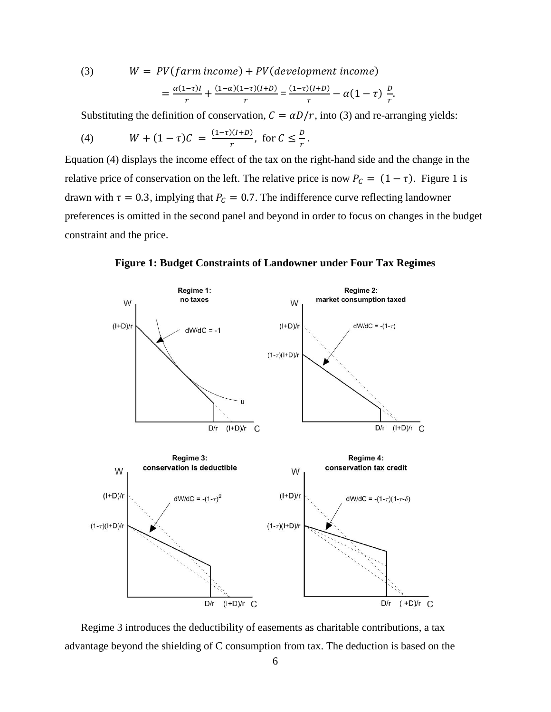(3) 
$$
W = PV(farm income) + PV(development income)
$$

$$
= \frac{\alpha(1-\tau)I}{r} + \frac{(1-\alpha)(1-\tau)(I+D)}{r} = \frac{(1-\tau)(I+D)}{r} - \alpha(1-\tau)\frac{D}{r}
$$

Substituting the definition of conservation,  $C = \alpha D/r$ , into (3) and re-arranging yields:

.

(4) 
$$
W + (1 - \tau)C = \frac{(1-\tau)(I+D)}{r}
$$
, for  $C \leq \frac{D}{r}$ .

Equation (4) displays the income effect of the tax on the right-hand side and the change in the relative price of conservation on the left. The relative price is now  $P_c = (1 - \tau)$ . Figure 1 is drawn with  $\tau = 0.3$ , implying that  $P_c = 0.7$ . The indifference curve reflecting landowner preferences is omitted in the second panel and beyond in order to focus on changes in the budget constraint and the price.

**Figure 1: Budget Constraints of Landowner under Four Tax Regimes**



Regime 3 introduces the deductibility of easements as charitable contributions, a tax advantage beyond the shielding of C consumption from tax. The deduction is based on the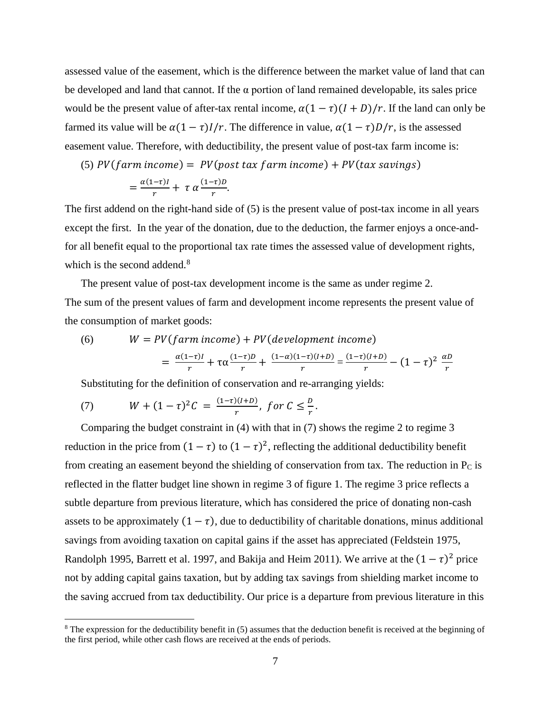assessed value of the easement, which is the difference between the market value of land that can be developed and land that cannot. If the  $\alpha$  portion of land remained developable, its sales price would be the present value of after-tax rental income,  $\alpha(1 - \tau)(I + D)/r$ . If the land can only be farmed its value will be  $\alpha(1 - \tau)I/r$ . The difference in value,  $\alpha(1 - \tau)D/r$ , is the assessed easement value. Therefore, with deductibility, the present value of post-tax farm income is:

(5)  $PV(farm\ income) = PV(post\ tax\ farm\ income) + PV(tax\ savings)$ 

$$
= \frac{\alpha(1-\tau)I}{r} + \tau \alpha \frac{(1-\tau)D}{r}.
$$

The first addend on the right-hand side of (5) is the present value of post-tax income in all years except the first. In the year of the donation, due to the deduction, the farmer enjoys a once-andfor all benefit equal to the proportional tax rate times the assessed value of development rights, which is the second addend.<sup>[8](#page-7-0)</sup>

The present value of post-tax development income is the same as under regime 2. The sum of the present values of farm and development income represents the present value of the consumption of market goods:

(6) 
$$
W = PV(farm\ income) + PV(development\ income)
$$

$$
= \frac{\alpha(1-\tau)I}{r} + \tau\alpha \frac{(1-\tau)D}{r} + \frac{(1-\alpha)(1-\tau)(I+D)}{r} = \frac{(1-\tau)(I+D)}{r} - (1-\tau)^2 \frac{\alpha D}{r}
$$

Substituting for the definition of conservation and re-arranging yields:

(7) 
$$
W + (1 - \tau)^2 C = \frac{(1 - \tau)(I + D)}{r}, \text{ for } C \leq \frac{D}{r}.
$$

l

Comparing the budget constraint in (4) with that in (7) shows the regime 2 to regime 3 reduction in the price from  $(1 - \tau)$  to  $(1 - \tau)^2$ , reflecting the additional deductibility benefit from creating an easement beyond the shielding of conservation from tax. The reduction in  $P_C$  is reflected in the flatter budget line shown in regime 3 of figure 1. The regime 3 price reflects a subtle departure from previous literature, which has considered the price of donating non-cash assets to be approximately  $(1 - \tau)$ , due to deductibility of charitable donations, minus additional savings from avoiding taxation on capital gains if the asset has appreciated (Feldstein 1975, Randolph 1995, Barrett et al. 1997, and Bakija and Heim 2011). We arrive at the  $(1 - \tau)^2$  price not by adding capital gains taxation, but by adding tax savings from shielding market income to the saving accrued from tax deductibility. Our price is a departure from previous literature in this

<span id="page-7-0"></span> $8$  The expression for the deductibility benefit in (5) assumes that the deduction benefit is received at the beginning of the first period, while other cash flows are received at the ends of periods.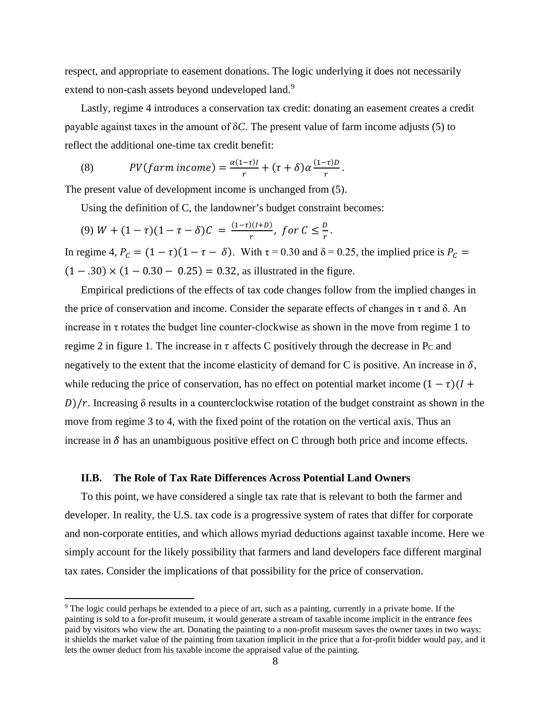respect, and appropriate to easement donations. The logic underlying it does not necessarily extend to non-cash assets beyond undeveloped land.<sup>[9](#page-8-0)</sup>

Lastly, regime 4 introduces a conservation tax credit: donating an easement creates a credit payable against taxes in the amount of δ*C*. The present value of farm income adjusts (5) to reflect the additional one-time tax credit benefit:

(8) 
$$
PV(farm\ income) = \frac{\alpha(1-\tau)I}{r} + (\tau+\delta)\alpha\frac{(1-\tau)D}{r}.
$$

The present value of development income is unchanged from (5).

Using the definition of C, the landowner's budget constraint becomes:

(9)  $W + (1 - \tau)(1 - \tau - \delta)C = \frac{(1 - \tau)(I + D)}{r}$ , for  $C \leq \frac{D}{r}$ .

In regime 4,  $P_c = (1 - \tau)(1 - \tau - \delta)$ . With  $\tau = 0.30$  and  $\delta = 0.25$ , the implied price is  $P_c =$  $(1 - .30) \times (1 - 0.30 - 0.25) = 0.32$ , as illustrated in the figure.

Empirical predictions of the effects of tax code changes follow from the implied changes in the price of conservation and income. Consider the separate effects of changes in  $\tau$  and  $\delta$ . An increase in  $\tau$  rotates the budget line counter-clockwise as shown in the move from regime 1 to regime 2 in figure 1. The increase in  $\tau$  affects C positively through the decrease in P<sub>C</sub> and negatively to the extent that the income elasticity of demand for C is positive. An increase in  $\delta$ , while reducing the price of conservation, has no effect on potential market income  $(1 - \tau)(1 +$  $D/r$ . Increasing  $\delta$  results in a counterclockwise rotation of the budget constraint as shown in the move from regime 3 to 4, with the fixed point of the rotation on the vertical axis. Thus an increase in  $\delta$  has an unambiguous positive effect on C through both price and income effects.

#### **II.B. The Role of Tax Rate Differences Across Potential Land Owners**

 $\overline{\phantom{a}}$ 

To this point, we have considered a single tax rate that is relevant to both the farmer and developer. In reality, the U.S. tax code is a progressive system of rates that differ for corporate and non-corporate entities, and which allows myriad deductions against taxable income. Here we simply account for the likely possibility that farmers and land developers face different marginal tax rates. Consider the implications of that possibility for the price of conservation.

<span id="page-8-0"></span><sup>&</sup>lt;sup>9</sup> The logic could perhaps be extended to a piece of art, such as a painting, currently in a private home. If the painting is sold to a for-profit museum, it would generate a stream of taxable income implicit in the entrance fees paid by visitors who view the art. Donating the painting to a non-profit museum saves the owner taxes in two ways: it shields the market value of the painting from taxation implicit in the price that a for-profit bidder would pay, and it lets the owner deduct from his taxable income the appraised value of the painting.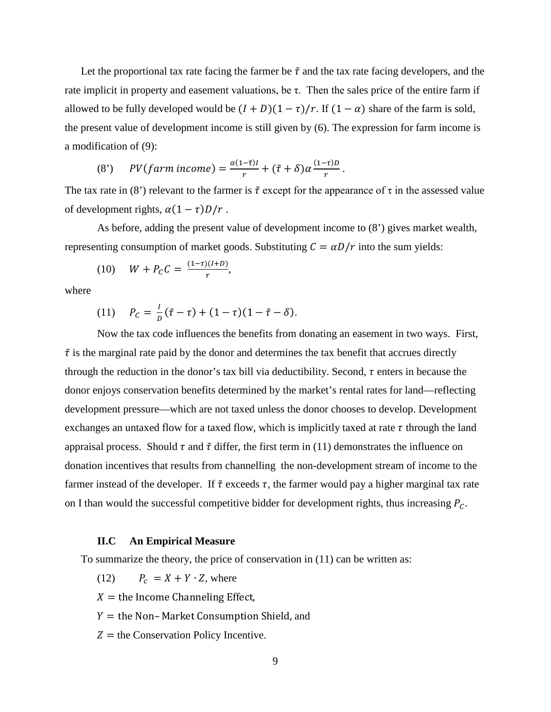Let the proportional tax rate facing the farmer be  $\tilde{\tau}$  and the tax rate facing developers, and the rate implicit in property and easement valuations, be τ. Then the sales price of the entire farm if allowed to be fully developed would be  $(I + D)(1 - \tau)/r$ . If  $(1 - \alpha)$  share of the farm is sold, the present value of development income is still given by (6). The expression for farm income is a modification of (9):

(8') 
$$
PV(farm\ income) = \frac{\alpha(1-\tilde{\tau})I}{r} + (\tilde{\tau} + \delta)\alpha \frac{(1-\tau)D}{r}.
$$

The tax rate in (8') relevant to the farmer is  $\tilde{\tau}$  except for the appearance of  $\tau$  in the assessed value of development rights,  $\alpha(1 - \tau)D/r$ .

As before, adding the present value of development income to (8') gives market wealth, representing consumption of market goods. Substituting  $C = \alpha D/r$  into the sum yields:

(10) 
$$
W + P_C C = \frac{(1-\tau)(I+D)}{r}
$$
,

where

(11) 
$$
P_C = \frac{1}{D}(\tilde{\tau} - \tau) + (1 - \tau)(1 - \tilde{\tau} - \delta).
$$

Now the tax code influences the benefits from donating an easement in two ways. First,  $\tilde{\tau}$  is the marginal rate paid by the donor and determines the tax benefit that accrues directly through the reduction in the donor's tax bill via deductibility. Second,  $\tau$  enters in because the donor enjoys conservation benefits determined by the market's rental rates for land—reflecting development pressure—which are not taxed unless the donor chooses to develop. Development exchanges an untaxed flow for a taxed flow, which is implicitly taxed at rate  $\tau$  through the land appraisal process. Should  $\tau$  and  $\tilde{\tau}$  differ, the first term in (11) demonstrates the influence on donation incentives that results from channelling the non-development stream of income to the farmer instead of the developer. If  $\tilde{\tau}$  exceeds  $\tau$ , the farmer would pay a higher marginal tax rate on I than would the successful competitive bidder for development rights, thus increasing  $P_c$ .

#### **II.C An Empirical Measure**

To summarize the theory, the price of conservation in (11) can be written as:

(12)  $P_c = X + Y \cdot Z$ , where

 $X =$  the Income Channeling Effect,

 $Y =$  the Non– Market Consumption Shield, and

 $Z =$  the Conservation Policy Incentive.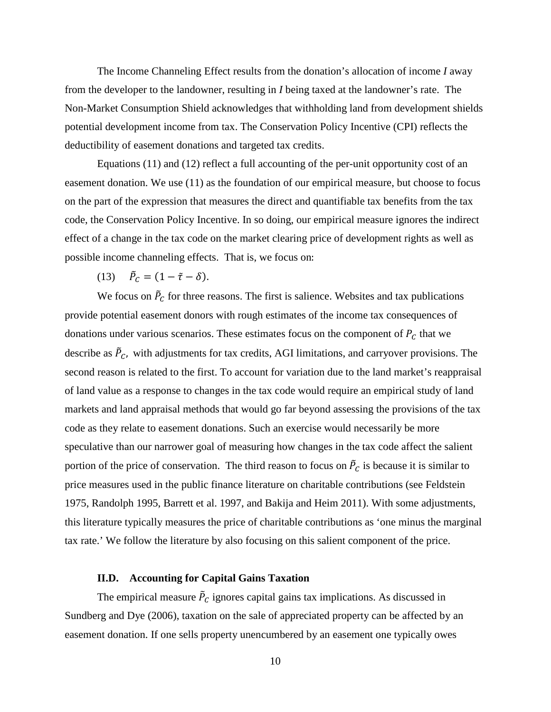The Income Channeling Effect results from the donation's allocation of income *I* away from the developer to the landowner, resulting in *I* being taxed at the landowner's rate. The Non-Market Consumption Shield acknowledges that withholding land from development shields potential development income from tax. The Conservation Policy Incentive (CPI) reflects the deductibility of easement donations and targeted tax credits.

Equations (11) and (12) reflect a full accounting of the per-unit opportunity cost of an easement donation. We use (11) as the foundation of our empirical measure, but choose to focus on the part of the expression that measures the direct and quantifiable tax benefits from the tax code, the Conservation Policy Incentive. In so doing, our empirical measure ignores the indirect effect of a change in the tax code on the market clearing price of development rights as well as possible income channeling effects. That is, we focus on:

(13)  $\vec{P}_C = (1 - \tilde{\tau} - \delta).$ 

We focus on  $\tilde{P}_C$  for three reasons. The first is salience. Websites and tax publications provide potential easement donors with rough estimates of the income tax consequences of donations under various scenarios. These estimates focus on the component of  $P_c$  that we describe as  $\ddot{P}_c$ , with adjustments for tax credits, AGI limitations, and carryover provisions. The second reason is related to the first. To account for variation due to the land market's reappraisal of land value as a response to changes in the tax code would require an empirical study of land markets and land appraisal methods that would go far beyond assessing the provisions of the tax code as they relate to easement donations. Such an exercise would necessarily be more speculative than our narrower goal of measuring how changes in the tax code affect the salient portion of the price of conservation. The third reason to focus on  $\tilde{P}_c$  is because it is similar to price measures used in the public finance literature on charitable contributions (see Feldstein 1975, Randolph 1995, Barrett et al. 1997, and Bakija and Heim 2011). With some adjustments, this literature typically measures the price of charitable contributions as 'one minus the marginal tax rate.' We follow the literature by also focusing on this salient component of the price.

## **II.D. Accounting for Capital Gains Taxation**

The empirical measure  $\bar{P}_C$  ignores capital gains tax implications. As discussed in Sundberg and Dye (2006), taxation on the sale of appreciated property can be affected by an easement donation. If one sells property unencumbered by an easement one typically owes

10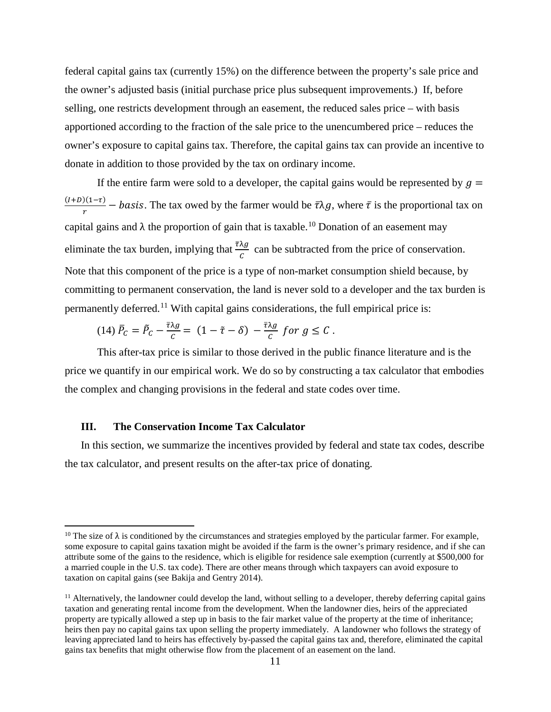federal capital gains tax (currently 15%) on the difference between the property's sale price and the owner's adjusted basis (initial purchase price plus subsequent improvements.) If, before selling, one restricts development through an easement, the reduced sales price – with basis apportioned according to the fraction of the sale price to the unencumbered price – reduces the owner's exposure to capital gains tax. Therefore, the capital gains tax can provide an incentive to donate in addition to those provided by the tax on ordinary income.

If the entire farm were sold to a developer, the capital gains would be represented by  $q =$  $\frac{(1+D)(1-\tau)}{r}$  – *basis*. The tax owed by the farmer would be  $\bar{\tau}\lambda g$ , where  $\bar{\tau}$  is the proportional tax on capital gains and  $\lambda$  the proportion of gain that is taxable.<sup>[10](#page-11-0)</sup> Donation of an easement may eliminate the tax burden, implying that  $\frac{\tau \lambda g}{c}$  can be subtracted from the price of conservation. Note that this component of the price is a type of non-market consumption shield because, by committing to permanent conservation, the land is never sold to a developer and the tax burden is permanently deferred.<sup>[11](#page-11-1)</sup> With capital gains considerations, the full empirical price is:

(14) 
$$
\bar{P}_C = \tilde{P}_C - \frac{\bar{\tau} \lambda g}{c} = (1 - \tilde{\tau} - \delta) - \frac{\bar{\tau} \lambda g}{c}
$$
 for  $g \leq C$ .

This after-tax price is similar to those derived in the public finance literature and is the price we quantify in our empirical work. We do so by constructing a tax calculator that embodies the complex and changing provisions in the federal and state codes over time.

### **III. The Conservation Income Tax Calculator**

l

In this section, we summarize the incentives provided by federal and state tax codes, describe the tax calculator, and present results on the after-tax price of donating.

<span id="page-11-0"></span><sup>&</sup>lt;sup>10</sup> The size of  $\lambda$  is conditioned by the circumstances and strategies employed by the particular farmer. For example, some exposure to capital gains taxation might be avoided if the farm is the owner's primary residence, and if she can attribute some of the gains to the residence, which is eligible for residence sale exemption (currently at \$500,000 for a married couple in the U.S. tax code). There are other means through which taxpayers can avoid exposure to taxation on capital gains (see Bakija and Gentry 2014).

<span id="page-11-1"></span> $<sup>11</sup>$  Alternatively, the landowner could develop the land, without selling to a developer, thereby deferring capital gains</sup> taxation and generating rental income from the development. When the landowner dies, heirs of the appreciated property are typically allowed a step up in basis to the fair market value of the property at the time of inheritance; heirs then pay no capital gains tax upon selling the property immediately. A landowner who follows the strategy of leaving appreciated land to heirs has effectively by-passed the capital gains tax and, therefore, eliminated the capital gains tax benefits that might otherwise flow from the placement of an easement on the land.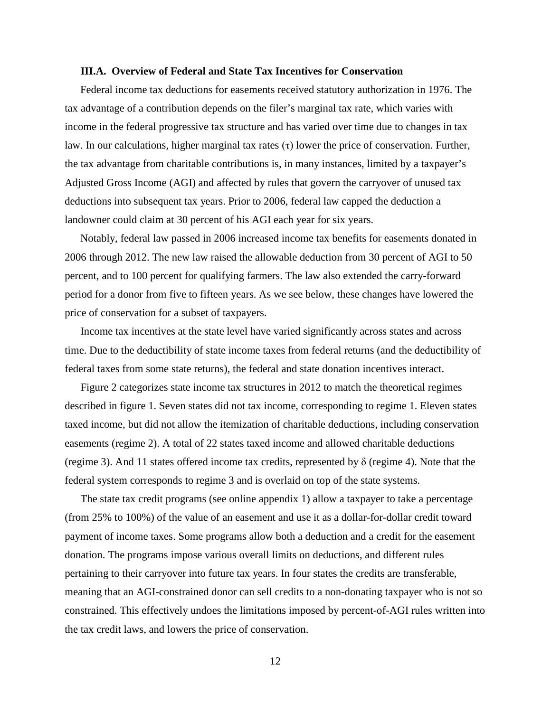#### **III.A. Overview of Federal and State Tax Incentives for Conservation**

Federal income tax deductions for easements received statutory authorization in 1976. The tax advantage of a contribution depends on the filer's marginal tax rate, which varies with income in the federal progressive tax structure and has varied over time due to changes in tax law. In our calculations, higher marginal tax rates (τ) lower the price of conservation. Further, the tax advantage from charitable contributions is, in many instances, limited by a taxpayer's Adjusted Gross Income (AGI) and affected by rules that govern the carryover of unused tax deductions into subsequent tax years. Prior to 2006, federal law capped the deduction a landowner could claim at 30 percent of his AGI each year for six years.

Notably, federal law passed in 2006 increased income tax benefits for easements donated in 2006 through 2012. The new law raised the allowable deduction from 30 percent of AGI to 50 percent, and to 100 percent for qualifying farmers. The law also extended the carry-forward period for a donor from five to fifteen years. As we see below, these changes have lowered the price of conservation for a subset of taxpayers.

Income tax incentives at the state level have varied significantly across states and across time. Due to the deductibility of state income taxes from federal returns (and the deductibility of federal taxes from some state returns), the federal and state donation incentives interact.

Figure 2 categorizes state income tax structures in 2012 to match the theoretical regimes described in figure 1. Seven states did not tax income, corresponding to regime 1. Eleven states taxed income, but did not allow the itemization of charitable deductions, including conservation easements (regime 2). A total of 22 states taxed income and allowed charitable deductions (regime 3). And 11 states offered income tax credits, represented by δ (regime 4). Note that the federal system corresponds to regime 3 and is overlaid on top of the state systems.

The state tax credit programs (see online appendix 1) allow a taxpayer to take a percentage (from 25% to 100%) of the value of an easement and use it as a dollar-for-dollar credit toward payment of income taxes. Some programs allow both a deduction and a credit for the easement donation. The programs impose various overall limits on deductions, and different rules pertaining to their carryover into future tax years. In four states the credits are transferable, meaning that an AGI-constrained donor can sell credits to a non-donating taxpayer who is not so constrained. This effectively undoes the limitations imposed by percent-of-AGI rules written into the tax credit laws, and lowers the price of conservation.

12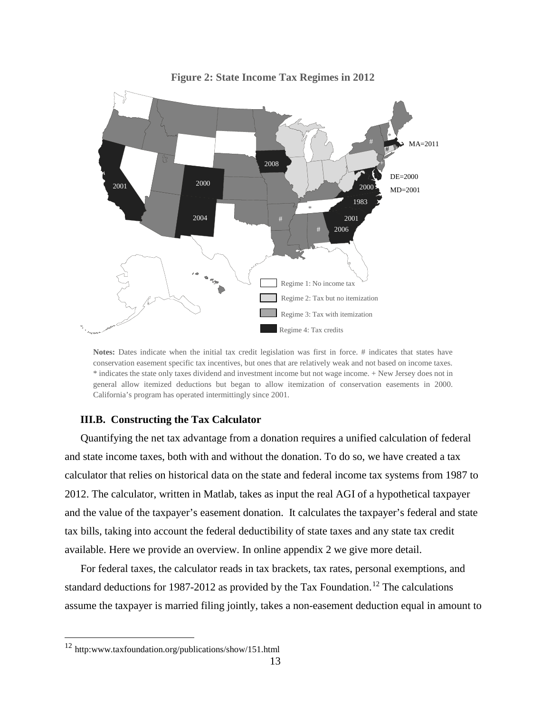

**Figure 2: State Income Tax Regimes in 2012**

**Notes:** Dates indicate when the initial tax credit legislation was first in force. # indicates that states have conservation easement specific tax incentives, but ones that are relatively weak and not based on income taxes. \* indicates the state only taxes dividend and investment income but not wage income. + New Jersey does not in general allow itemized deductions but began to allow itemization of conservation easements in 2000. California's program has operated intermittingly since 2001.

## **III.B. Constructing the Tax Calculator**

Quantifying the net tax advantage from a donation requires a unified calculation of federal and state income taxes, both with and without the donation. To do so, we have created a tax calculator that relies on historical data on the state and federal income tax systems from 1987 to 2012. The calculator, written in Matlab, takes as input the real AGI of a hypothetical taxpayer and the value of the taxpayer's easement donation. It calculates the taxpayer's federal and state tax bills, taking into account the federal deductibility of state taxes and any state tax credit available. Here we provide an overview. In online appendix 2 we give more detail.

For federal taxes, the calculator reads in tax brackets, tax rates, personal exemptions, and standard deductions for 1987-20[12](#page-13-0) as provided by the Tax Foundation.<sup>12</sup> The calculations assume the taxpayer is married filing jointly, takes a non-easement deduction equal in amount to

l

<span id="page-13-0"></span><sup>12</sup> http:www.taxfoundation.org/publications/show/151.html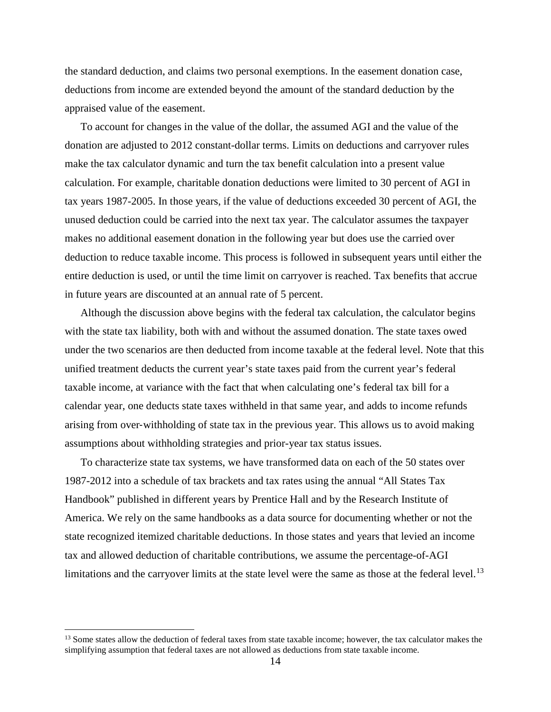the standard deduction, and claims two personal exemptions. In the easement donation case, deductions from income are extended beyond the amount of the standard deduction by the appraised value of the easement.

To account for changes in the value of the dollar, the assumed AGI and the value of the donation are adjusted to 2012 constant-dollar terms. Limits on deductions and carryover rules make the tax calculator dynamic and turn the tax benefit calculation into a present value calculation. For example, charitable donation deductions were limited to 30 percent of AGI in tax years 1987-2005. In those years, if the value of deductions exceeded 30 percent of AGI, the unused deduction could be carried into the next tax year. The calculator assumes the taxpayer makes no additional easement donation in the following year but does use the carried over deduction to reduce taxable income. This process is followed in subsequent years until either the entire deduction is used, or until the time limit on carryover is reached. Tax benefits that accrue in future years are discounted at an annual rate of 5 percent.

Although the discussion above begins with the federal tax calculation, the calculator begins with the state tax liability, both with and without the assumed donation. The state taxes owed under the two scenarios are then deducted from income taxable at the federal level. Note that this unified treatment deducts the current year's state taxes paid from the current year's federal taxable income, at variance with the fact that when calculating one's federal tax bill for a calendar year, one deducts state taxes withheld in that same year, and adds to income refunds arising from over‐withholding of state tax in the previous year. This allows us to avoid making assumptions about withholding strategies and prior-year tax status issues.

To characterize state tax systems, we have transformed data on each of the 50 states over 1987-2012 into a schedule of tax brackets and tax rates using the annual "All States Tax Handbook" published in different years by Prentice Hall and by the Research Institute of America. We rely on the same handbooks as a data source for documenting whether or not the state recognized itemized charitable deductions. In those states and years that levied an income tax and allowed deduction of charitable contributions, we assume the percentage-of-AGI limitations and the carryover limits at the state level were the same as those at the federal level.<sup>[13](#page-14-0)</sup>

 $\overline{a}$ 

<span id="page-14-0"></span><sup>&</sup>lt;sup>13</sup> Some states allow the deduction of federal taxes from state taxable income; however, the tax calculator makes the simplifying assumption that federal taxes are not allowed as deductions from state taxable income.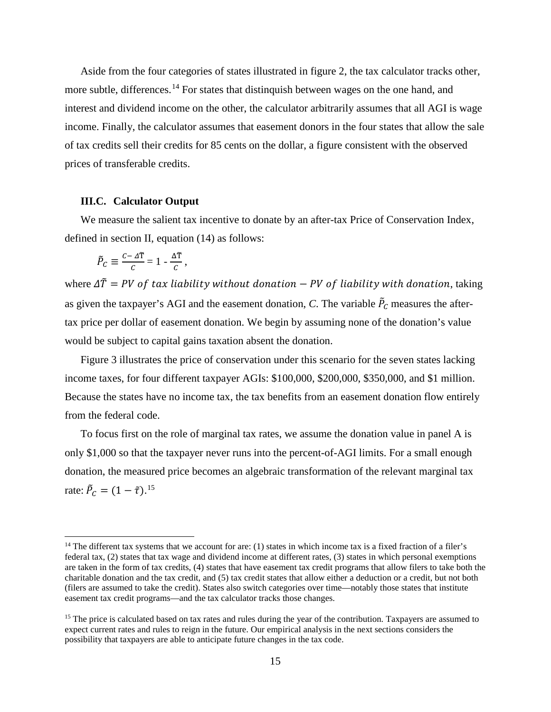Aside from the four categories of states illustrated in figure 2, the tax calculator tracks other, more subtle, differences.<sup>[14](#page-15-0)</sup> For states that distinguish between wages on the one hand, and interest and dividend income on the other, the calculator arbitrarily assumes that all AGI is wage income. Finally, the calculator assumes that easement donors in the four states that allow the sale of tax credits sell their credits for 85 cents on the dollar, a figure consistent with the observed prices of transferable credits.

#### **III.C. Calculator Output**

We measure the salient tax incentive to donate by an after-tax Price of Conservation Index, defined in section II, equation (14) as follows:

$$
\tilde{P}_C \equiv \frac{c - \Delta \tilde{T}}{C} = 1 - \frac{\Delta \tilde{T}}{C},
$$

 $\overline{\phantom{a}}$ 

where  $\Delta \tilde{T} = PV$  of tax liability without donation – PV of liability with donation, taking as given the taxpayer's AGI and the easement donation, *C*. The variable  $\tilde{P}_C$  measures the aftertax price per dollar of easement donation. We begin by assuming none of the donation's value would be subject to capital gains taxation absent the donation.

Figure 3 illustrates the price of conservation under this scenario for the seven states lacking income taxes, for four different taxpayer AGIs: \$100,000, \$200,000, \$350,000, and \$1 million. Because the states have no income tax, the tax benefits from an easement donation flow entirely from the federal code.

To focus first on the role of marginal tax rates, we assume the donation value in panel A is only \$1,000 so that the taxpayer never runs into the percent-of-AGI limits. For a small enough donation, the measured price becomes an algebraic transformation of the relevant marginal tax rate:  $\tilde{P}_C = (1 - \tilde{\tau})^{15}$  $\tilde{P}_C = (1 - \tilde{\tau})^{15}$  $\tilde{P}_C = (1 - \tilde{\tau})^{15}$ 

<span id="page-15-0"></span> $14$  The different tax systems that we account for are: (1) states in which income tax is a fixed fraction of a filer's federal tax, (2) states that tax wage and dividend income at different rates, (3) states in which personal exemptions are taken in the form of tax credits, (4) states that have easement tax credit programs that allow filers to take both the charitable donation and the tax credit, and (5) tax credit states that allow either a deduction or a credit, but not both (filers are assumed to take the credit). States also switch categories over time—notably those states that institute easement tax credit programs—and the tax calculator tracks those changes.

<span id="page-15-1"></span><sup>&</sup>lt;sup>15</sup> The price is calculated based on tax rates and rules during the year of the contribution. Taxpayers are assumed to expect current rates and rules to reign in the future. Our empirical analysis in the next sections considers the possibility that taxpayers are able to anticipate future changes in the tax code.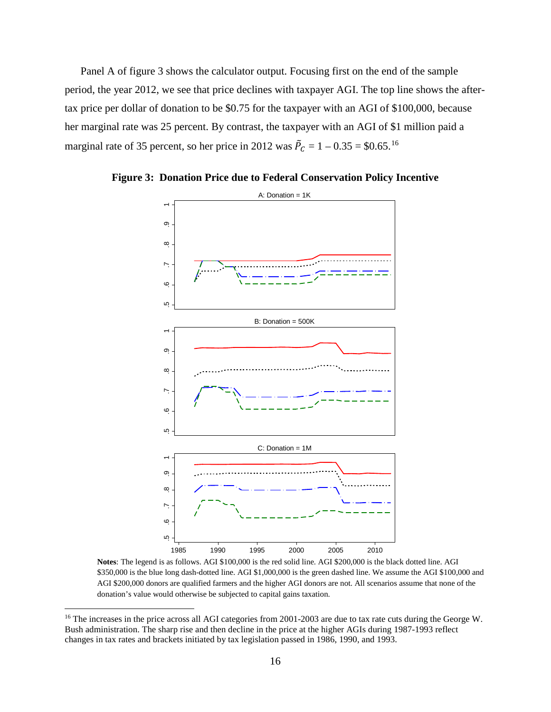Panel A of figure 3 shows the calculator output. Focusing first on the end of the sample period, the year 2012, we see that price declines with taxpayer AGI. The top line shows the aftertax price per dollar of donation to be \$0.75 for the taxpayer with an AGI of \$100,000, because her marginal rate was 25 percent. By contrast, the taxpayer with an AGI of \$1 million paid a marginal rate of 35 percent, so her price in 2012 was  $\tilde{P}_C = 1 - 0.35 = $0.65$ .<sup>[16](#page-16-0)</sup>



**Figure 3: Donation Price due to Federal Conservation Policy Incentive** 

**Notes**: The legend is as follows. AGI \$100,000 is the red solid line. AGI \$200,000 is the black dotted line. AGI \$350,000 is the blue long dash-dotted line. AGI \$1,000,000 is the green dashed line. We assume the AGI \$100,000 and AGI \$200,000 donors are qualified farmers and the higher AGI donors are not. All scenarios assume that none of the donation's value would otherwise be subjected to capital gains taxation.

l

<span id="page-16-0"></span><sup>&</sup>lt;sup>16</sup> The increases in the price across all AGI categories from 2001-2003 are due to tax rate cuts during the George W. Bush administration. The sharp rise and then decline in the price at the higher AGIs during 1987-1993 reflect changes in tax rates and brackets initiated by tax legislation passed in 1986, 1990, and 1993.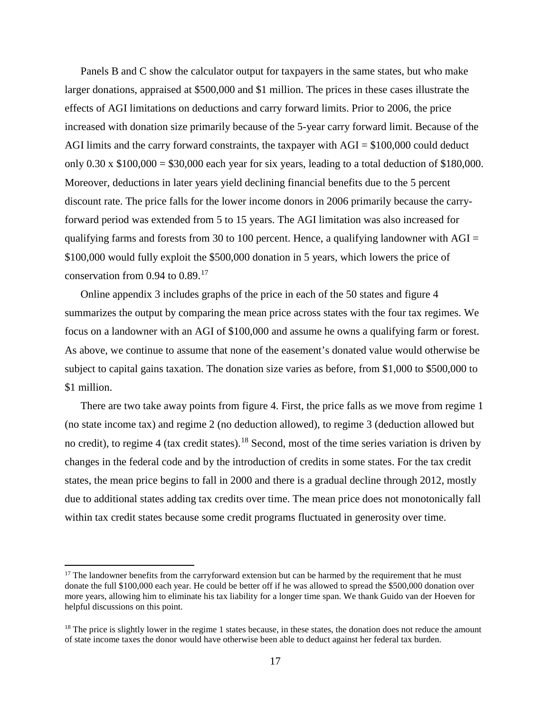Panels B and C show the calculator output for taxpayers in the same states, but who make larger donations, appraised at \$500,000 and \$1 million. The prices in these cases illustrate the effects of AGI limitations on deductions and carry forward limits. Prior to 2006, the price increased with donation size primarily because of the 5-year carry forward limit. Because of the AGI limits and the carry forward constraints, the taxpayer with  $AGI = $100,000$  could deduct only  $0.30 \times \$100,000 = \$30,000$  each year for six years, leading to a total deduction of \$180,000. Moreover, deductions in later years yield declining financial benefits due to the 5 percent discount rate. The price falls for the lower income donors in 2006 primarily because the carryforward period was extended from 5 to 15 years. The AGI limitation was also increased for qualifying farms and forests from 30 to 100 percent. Hence, a qualifying landowner with  $AGI =$ \$100,000 would fully exploit the \$500,000 donation in 5 years, which lowers the price of conservation from 0.94 to 0.89.[17](#page-17-0)

Online appendix 3 includes graphs of the price in each of the 50 states and figure 4 summarizes the output by comparing the mean price across states with the four tax regimes. We focus on a landowner with an AGI of \$100,000 and assume he owns a qualifying farm or forest. As above, we continue to assume that none of the easement's donated value would otherwise be subject to capital gains taxation. The donation size varies as before, from \$1,000 to \$500,000 to \$1 million.

There are two take away points from figure 4. First, the price falls as we move from regime 1 (no state income tax) and regime 2 (no deduction allowed), to regime 3 (deduction allowed but no credit), to regime 4 (tax credit states).[18](#page-17-1) Second, most of the time series variation is driven by changes in the federal code and by the introduction of credits in some states. For the tax credit states, the mean price begins to fall in 2000 and there is a gradual decline through 2012, mostly due to additional states adding tax credits over time. The mean price does not monotonically fall within tax credit states because some credit programs fluctuated in generosity over time.

l

<span id="page-17-0"></span> $17$  The landowner benefits from the carryforward extension but can be harmed by the requirement that he must donate the full \$100,000 each year. He could be better off if he was allowed to spread the \$500,000 donation over more years, allowing him to eliminate his tax liability for a longer time span. We thank Guido van der Hoeven for helpful discussions on this point.

<span id="page-17-1"></span> $18$  The price is slightly lower in the regime 1 states because, in these states, the donation does not reduce the amount of state income taxes the donor would have otherwise been able to deduct against her federal tax burden.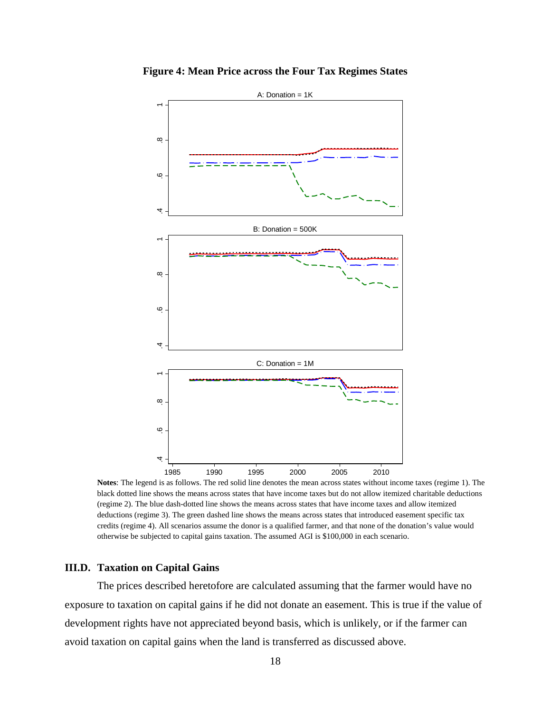

**Figure 4: Mean Price across the Four Tax Regimes States**

**Notes**: The legend is as follows. The red solid line denotes the mean across states without income taxes (regime 1). The black dotted line shows the means across states that have income taxes but do not allow itemized charitable deductions (regime 2). The blue dash-dotted line shows the means across states that have income taxes and allow itemized deductions (regime 3). The green dashed line shows the means across states that introduced easement specific tax credits (regime 4). All scenarios assume the donor is a qualified farmer, and that none of the donation's value would otherwise be subjected to capital gains taxation. The assumed AGI is \$100,000 in each scenario.

1985 1990 1995 2000 2005 2010

## **III.D. Taxation on Capital Gains**

4

The prices described heretofore are calculated assuming that the farmer would have no exposure to taxation on capital gains if he did not donate an easement. This is true if the value of development rights have not appreciated beyond basis, which is unlikely, or if the farmer can avoid taxation on capital gains when the land is transferred as discussed above.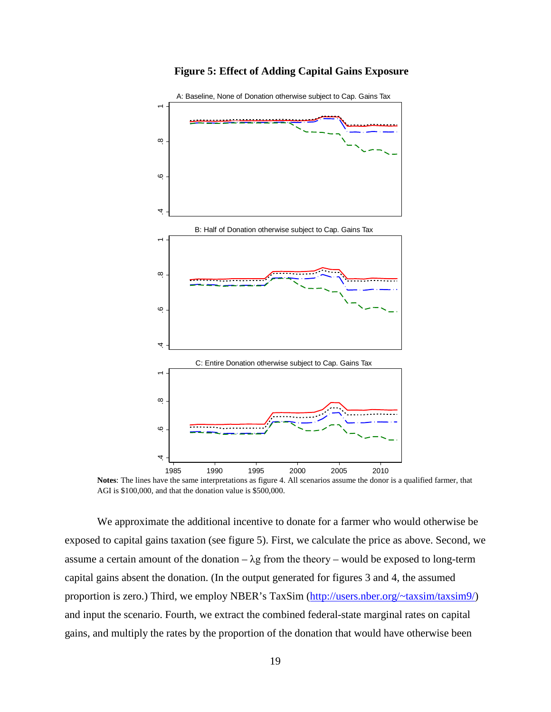

**Figure 5: Effect of Adding Capital Gains Exposure**

**Notes**: The lines have the same interpretations as figure 4. All scenarios assume the donor is a qualified farmer, that AGI is \$100,000, and that the donation value is \$500,000.

We approximate the additional incentive to donate for a farmer who would otherwise be exposed to capital gains taxation (see figure 5). First, we calculate the price as above. Second, we assume a certain amount of the donation –  $\lambda$ g from the theory – would be exposed to long-term capital gains absent the donation. (In the output generated for figures 3 and 4, the assumed proportion is zero.) Third, we employ NBER's TaxSim [\(http://users.nber.org/~taxsim/taxsim9/\)](http://users.nber.org/%7Etaxsim/taxsim9/) and input the scenario. Fourth, we extract the combined federal-state marginal rates on capital gains, and multiply the rates by the proportion of the donation that would have otherwise been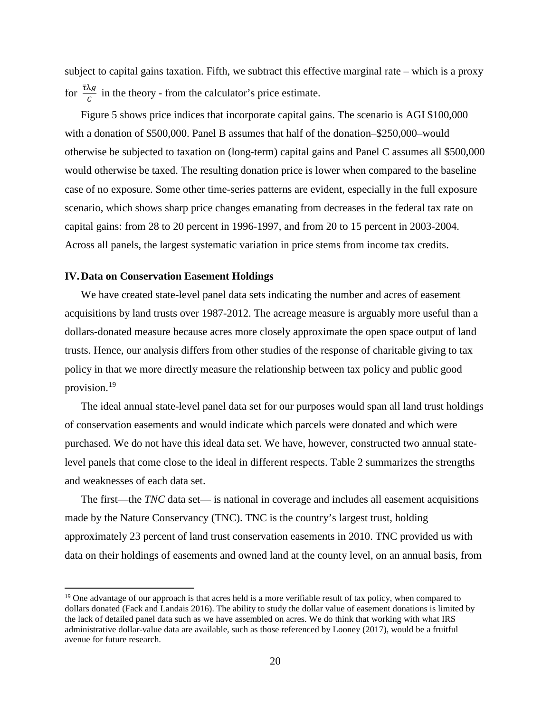subject to capital gains taxation. Fifth, we subtract this effective marginal rate – which is a proxy for  $\frac{\tau \lambda g}{c}$  in the theory - from the calculator's price estimate.

Figure 5 shows price indices that incorporate capital gains. The scenario is AGI \$100,000 with a donation of \$500,000. Panel B assumes that half of the donation–\$250,000–would otherwise be subjected to taxation on (long-term) capital gains and Panel C assumes all \$500,000 would otherwise be taxed. The resulting donation price is lower when compared to the baseline case of no exposure. Some other time-series patterns are evident, especially in the full exposure scenario, which shows sharp price changes emanating from decreases in the federal tax rate on capital gains: from 28 to 20 percent in 1996-1997, and from 20 to 15 percent in 2003-2004. Across all panels, the largest systematic variation in price stems from income tax credits.

#### **IV.Data on Conservation Easement Holdings**

 $\overline{a}$ 

We have created state-level panel data sets indicating the number and acres of easement acquisitions by land trusts over 1987-2012. The acreage measure is arguably more useful than a dollars-donated measure because acres more closely approximate the open space output of land trusts. Hence, our analysis differs from other studies of the response of charitable giving to tax policy in that we more directly measure the relationship between tax policy and public good provision.[19](#page-20-0)

The ideal annual state-level panel data set for our purposes would span all land trust holdings of conservation easements and would indicate which parcels were donated and which were purchased. We do not have this ideal data set. We have, however, constructed two annual statelevel panels that come close to the ideal in different respects. Table 2 summarizes the strengths and weaknesses of each data set.

The first—the *TNC* data set— is national in coverage and includes all easement acquisitions made by the Nature Conservancy (TNC). TNC is the country's largest trust, holding approximately 23 percent of land trust conservation easements in 2010. TNC provided us with data on their holdings of easements and owned land at the county level, on an annual basis, from

<span id="page-20-0"></span><sup>&</sup>lt;sup>19</sup> One advantage of our approach is that acres held is a more verifiable result of tax policy, when compared to dollars donated (Fack and Landais 2016). The ability to study the dollar value of easement donations is limited by the lack of detailed panel data such as we have assembled on acres. We do think that working with what IRS administrative dollar-value data are available, such as those referenced by Looney (2017), would be a fruitful avenue for future research.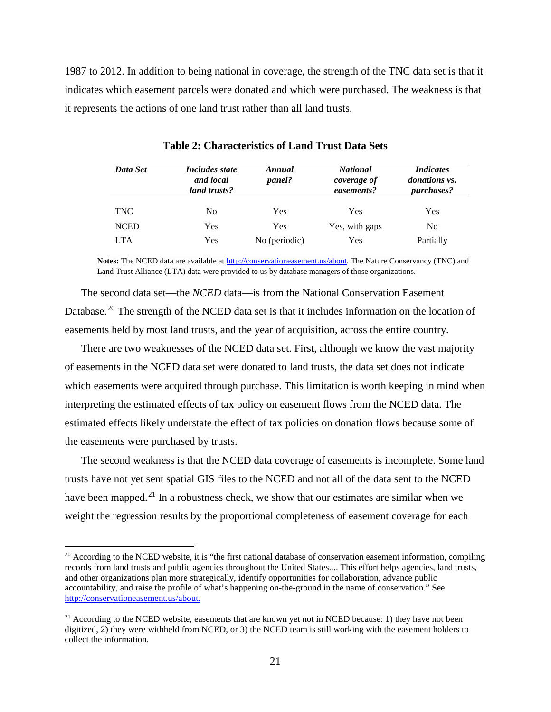1987 to 2012. In addition to being national in coverage, the strength of the TNC data set is that it indicates which easement parcels were donated and which were purchased. The weakness is that it represents the actions of one land trust rather than all land trusts.

| Data Set    | <i>Includes state</i><br>and local<br>land trusts? | Annual<br><i>panel?</i> | <b>National</b><br>coverage of<br>easements? | <i>Indicates</i><br><i>donations vs.</i><br><i>purchases?</i> |
|-------------|----------------------------------------------------|-------------------------|----------------------------------------------|---------------------------------------------------------------|
| <b>TNC</b>  | No.                                                | Yes                     | Yes                                          | Yes                                                           |
| <b>NCED</b> | Yes                                                | Yes                     | Yes, with gaps                               | No                                                            |
| <b>LTA</b>  | Yes                                                | No (periodic)           | Yes                                          | Partially                                                     |

**Table 2: Characteristics of Land Trust Data Sets**

**Notes:** The NCED data are available a[t http://conservationeasement.us/about.](http://conservationeasement.us/about) The Nature Conservancy (TNC) and Land Trust Alliance (LTA) data were provided to us by database managers of those organizations.

The second data set—the *NCED* data—is from the National Conservation Easement Database.<sup>[20](#page-21-0)</sup> The strength of the NCED data set is that it includes information on the location of easements held by most land trusts, and the year of acquisition, across the entire country.

There are two weaknesses of the NCED data set. First, although we know the vast majority of easements in the NCED data set were donated to land trusts, the data set does not indicate which easements were acquired through purchase. This limitation is worth keeping in mind when interpreting the estimated effects of tax policy on easement flows from the NCED data. The estimated effects likely understate the effect of tax policies on donation flows because some of the easements were purchased by trusts.

The second weakness is that the NCED data coverage of easements is incomplete. Some land trusts have not yet sent spatial GIS files to the NCED and not all of the data sent to the NCED have been mapped.<sup>[21](#page-21-1)</sup> In a robustness check, we show that our estimates are similar when we weight the regression results by the proportional completeness of easement coverage for each

l

<span id="page-21-0"></span> $20$  According to the NCED website, it is "the first national database of conservation easement information, compiling records from land trusts and public agencies throughout the United States.... This effort helps agencies, land trusts, and other organizations plan more strategically, identify opportunities for collaboration, advance public accountability, and raise the profile of what's happening on-the-ground in the name of conservation." See [http://conservationeasement.us/about.](http://conservationeasement.us/about) 

<span id="page-21-1"></span> $21$  According to the NCED website, easements that are known yet not in NCED because: 1) they have not been digitized, 2) they were withheld from NCED, or 3) the NCED team is still working with the easement holders to collect the information.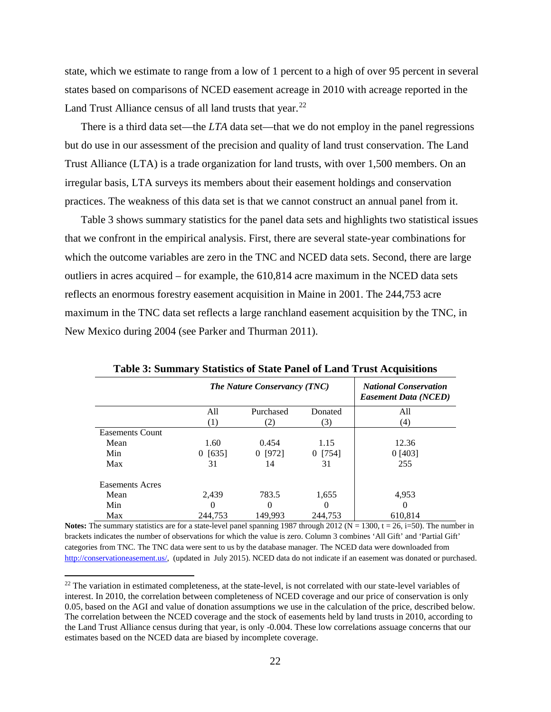state, which we estimate to range from a low of 1 percent to a high of over 95 percent in several states based on comparisons of NCED easement acreage in 2010 with acreage reported in the Land Trust Alliance census of all land trusts that year. $^{22}$  $^{22}$  $^{22}$ 

There is a third data set—the *LTA* data set—that we do not employ in the panel regressions but do use in our assessment of the precision and quality of land trust conservation. The Land Trust Alliance (LTA) is a trade organization for land trusts, with over 1,500 members. On an irregular basis, LTA surveys its members about their easement holdings and conservation practices. The weakness of this data set is that we cannot construct an annual panel from it.

Table 3 shows summary statistics for the panel data sets and highlights two statistical issues that we confront in the empirical analysis. First, there are several state-year combinations for which the outcome variables are zero in the TNC and NCED data sets. Second, there are large outliers in acres acquired – for example, the 610,814 acre maximum in the NCED data sets reflects an enormous forestry easement acquisition in Maine in 2001. The 244,753 acre maximum in the TNC data set reflects a large ranchland easement acquisition by the TNC, in New Mexico during 2004 (see Parker and Thurman 2011).

|                        | <b>The Nature Conservancy (TNC)</b> |           |          | <b>National Conservation</b><br><b>Easement Data (NCED)</b> |
|------------------------|-------------------------------------|-----------|----------|-------------------------------------------------------------|
|                        | All                                 | Purchased | Donated  | All                                                         |
|                        | (1)                                 | (2)       | (3)      | (4)                                                         |
| <b>Easements Count</b> |                                     |           |          |                                                             |
| Mean                   | 1.60                                | 0.454     | 1.15     | 12.36                                                       |
| Min                    | 0 [635]                             | $0$ [972] | 0[754]   | 0[403]                                                      |
| Max                    | 31                                  | 14        | 31       | 255                                                         |
| <b>Easements Acres</b> |                                     |           |          |                                                             |
| Mean                   | 2.439                               | 783.5     | 1.655    | 4.953                                                       |
| Min                    | $\theta$                            | $\theta$  | $\Omega$ | $\Omega$                                                    |
| Max                    | 244.753                             | 149.993   | 244.753  | 610,814                                                     |

**Table 3: Summary Statistics of State Panel of Land Trust Acquisitions**

**Notes:** The summary statistics are for a state-level panel spanning 1987 through 2012 ( $N = 1300$ ,  $t = 26$ ,  $i=50$ ). The number in brackets indicates the number of observations for which the value is zero. Column 3 combines 'All Gift' and 'Partial Gift' categories from TNC. The TNC data were sent to us by the database manager. The NCED data were downloaded from [http://conservationeasement.us/,](http://conservationeasement.us/) (updated in July 2015). NCED data do not indicate if an easement was donated or purchased.

l

<span id="page-22-0"></span> $22$  The variation in estimated completeness, at the state-level, is not correlated with our state-level variables of interest. In 2010, the correlation between completeness of NCED coverage and our price of conservation is only 0.05, based on the AGI and value of donation assumptions we use in the calculation of the price, described below. The correlation between the NCED coverage and the stock of easements held by land trusts in 2010, according to the Land Trust Alliance census during that year, is only -0.004. These low correlations assuage concerns that our estimates based on the NCED data are biased by incomplete coverage.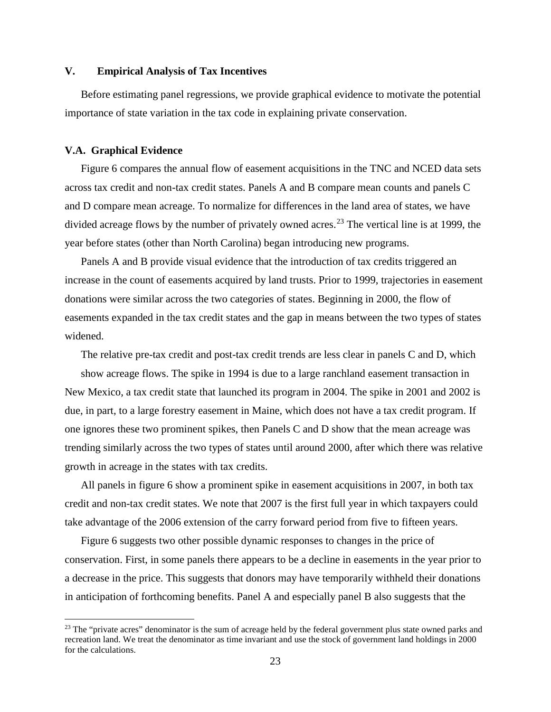#### **V. Empirical Analysis of Tax Incentives**

Before estimating panel regressions, we provide graphical evidence to motivate the potential importance of state variation in the tax code in explaining private conservation.

#### **V.A. Graphical Evidence**

l

Figure 6 compares the annual flow of easement acquisitions in the TNC and NCED data sets across tax credit and non-tax credit states. Panels A and B compare mean counts and panels C and D compare mean acreage. To normalize for differences in the land area of states, we have divided acreage flows by the number of privately owned acres.<sup>[23](#page-23-0)</sup> The vertical line is at 1999, the year before states (other than North Carolina) began introducing new programs.

Panels A and B provide visual evidence that the introduction of tax credits triggered an increase in the count of easements acquired by land trusts. Prior to 1999, trajectories in easement donations were similar across the two categories of states. Beginning in 2000, the flow of easements expanded in the tax credit states and the gap in means between the two types of states widened.

The relative pre-tax credit and post-tax credit trends are less clear in panels C and D, which show acreage flows. The spike in 1994 is due to a large ranchland easement transaction in New Mexico, a tax credit state that launched its program in 2004. The spike in 2001 and 2002 is due, in part, to a large forestry easement in Maine, which does not have a tax credit program. If one ignores these two prominent spikes, then Panels C and D show that the mean acreage was trending similarly across the two types of states until around 2000, after which there was relative growth in acreage in the states with tax credits.

All panels in figure 6 show a prominent spike in easement acquisitions in 2007, in both tax credit and non-tax credit states. We note that 2007 is the first full year in which taxpayers could take advantage of the 2006 extension of the carry forward period from five to fifteen years.

Figure 6 suggests two other possible dynamic responses to changes in the price of conservation. First, in some panels there appears to be a decline in easements in the year prior to a decrease in the price. This suggests that donors may have temporarily withheld their donations in anticipation of forthcoming benefits. Panel A and especially panel B also suggests that the

<span id="page-23-0"></span><sup>&</sup>lt;sup>23</sup> The "private acres" denominator is the sum of acreage held by the federal government plus state owned parks and recreation land. We treat the denominator as time invariant and use the stock of government land holdings in 2000 for the calculations.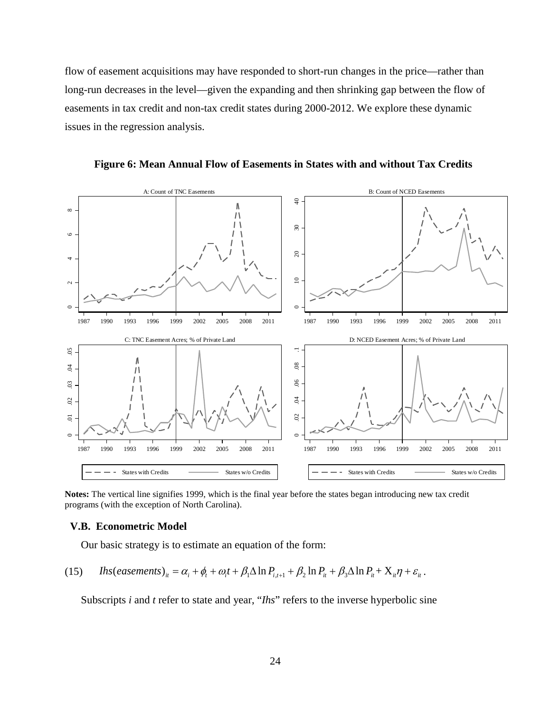flow of easement acquisitions may have responded to short-run changes in the price—rather than long-run decreases in the level—given the expanding and then shrinking gap between the flow of easements in tax credit and non-tax credit states during 2000-2012. We explore these dynamic issues in the regression analysis.

**Figure 6: Mean Annual Flow of Easements in States with and without Tax Credits**



**Notes:** The vertical line signifies 1999, which is the final year before the states began introducing new tax credit programs (with the exception of North Carolina).

#### **V.B. Econometric Model**

Our basic strategy is to estimate an equation of the form:

(15) 
$$
Ihs(easements)_{it} = \alpha_i + \phi_t + \omega_i t + \beta_1 \Delta \ln P_{i,t+1} + \beta_2 \ln P_{it} + \beta_3 \Delta \ln P_{it} + X_{it} \eta + \varepsilon_{it}.
$$

Subscripts *i* and *t* refer to state and year, "*Ihs*" refers to the inverse hyperbolic sine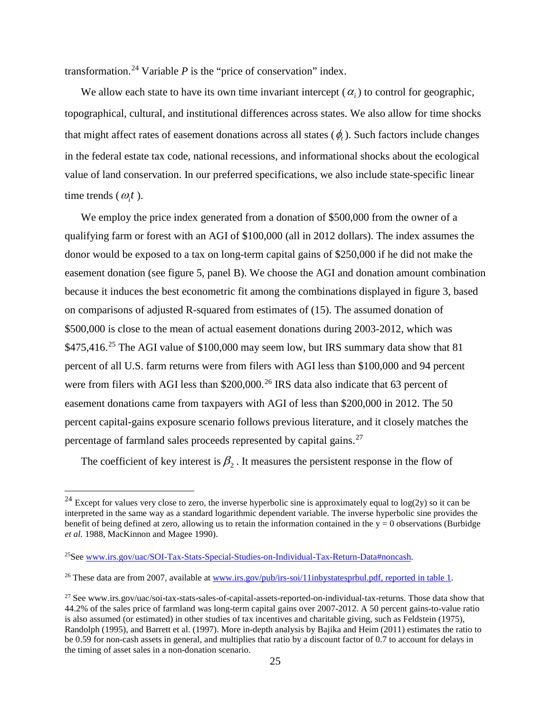transformation.<sup>[24](#page-25-0)</sup> Variable  $P$  is the "price of conservation" index.

We allow each state to have its own time invariant intercept  $(\alpha_i)$  to control for geographic, topographical, cultural, and institutional differences across states. We also allow for time shocks that might affect rates of easement donations across all states  $(\phi)$ . Such factors include changes in the federal estate tax code, national recessions, and informational shocks about the ecological value of land conservation. In our preferred specifications, we also include state-specific linear time trends  $(\omega_i t)$ .

We employ the price index generated from a donation of \$500,000 from the owner of a qualifying farm or forest with an AGI of \$100,000 (all in 2012 dollars). The index assumes the donor would be exposed to a tax on long-term capital gains of \$250,000 if he did not make the easement donation (see figure 5, panel B). We choose the AGI and donation amount combination because it induces the best econometric fit among the combinations displayed in figure 3, based on comparisons of adjusted R-squared from estimates of (15). The assumed donation of \$500,000 is close to the mean of actual easement donations during 2003-2012, which was  $$475,416.<sup>25</sup>$  $$475,416.<sup>25</sup>$  $$475,416.<sup>25</sup>$  The AGI value of \$100,000 may seem low, but IRS summary data show that 81 percent of all U.S. farm returns were from filers with AGI less than \$100,000 and 94 percent were from filers with AGI less than  $$200,000.<sup>26</sup>$  $$200,000.<sup>26</sup>$  $$200,000.<sup>26</sup>$  IRS data also indicate that 63 percent of easement donations came from taxpayers with AGI of less than \$200,000 in 2012. The 50 percent capital-gains exposure scenario follows previous literature, and it closely matches the percentage of farmland sales proceeds represented by capital gains.[27](#page-25-3)

The coefficient of key interest is  $\beta_2$ . It measures the persistent response in the flow of

 $\overline{a}$ 

<span id="page-25-0"></span><sup>&</sup>lt;sup>24</sup> Except for values very close to zero, the inverse hyperbolic sine is approximately equal to  $log(2y)$  so it can be interpreted in the same way as a standard logarithmic dependent variable. The inverse hyperbolic sine provides the benefit of being defined at zero, allowing us to retain the information contained in the  $y = 0$  observations (Burbidge *et al.* 1988, MacKinnon and Magee 1990).

<span id="page-25-1"></span><sup>25</sup>See [www.irs.gov/uac/SOI-Tax-Stats-Special-Studies-on-Individual-Tax-Return-Data#noncash.](http://www.irs.gov/uac/SOI-Tax-Stats-Special-Studies-on-Individual-Tax-Return-Data#noncash)

<span id="page-25-2"></span><sup>&</sup>lt;sup>26</sup> These data are from 2007, available a[t www.irs.gov/pub/irs-soi/11inbystatesprbul.pdf,](http://www.irs.gov/pub/irs-soi/11inbystatesprbul.pdf) reported in table 1.

<span id="page-25-3"></span><sup>&</sup>lt;sup>27</sup> See www.irs.gov/uac/soi-tax-stats-sales-of-capital-assets-reported-on-individual-tax-returns. Those data show that 44.2% of the sales price of farmland was long-term capital gains over 2007-2012. A 50 percent gains-to-value ratio is also assumed (or estimated) in other studies of tax incentives and charitable giving, such as Feldstein (1975), Randolph (1995), and Barrett et al. (1997). More in-depth analysis by Bajika and Heim (2011) estimates the ratio to be 0.59 for non-cash assets in general, and multiplies that ratio by a discount factor of 0.7 to account for delays in the timing of asset sales in a non-donation scenario.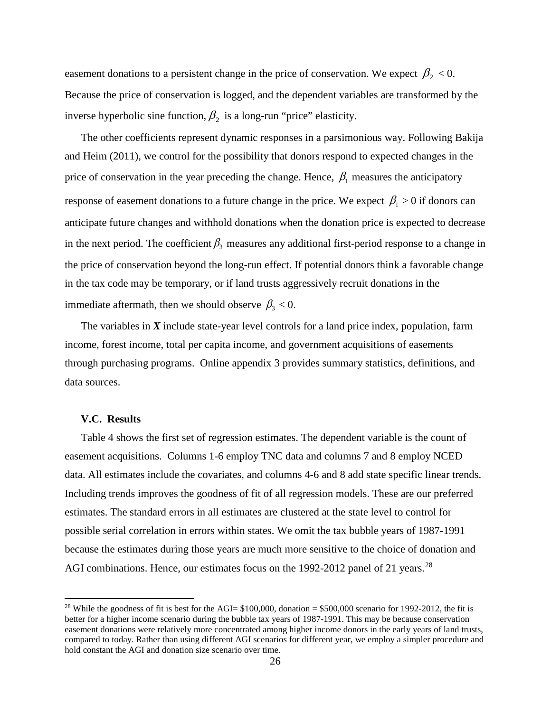easement donations to a persistent change in the price of conservation. We expect  $\beta_2 < 0$ . Because the price of conservation is logged, and the dependent variables are transformed by the inverse hyperbolic sine function,  $\beta_2$  is a long-run "price" elasticity.

The other coefficients represent dynamic responses in a parsimonious way. Following Bakija and Heim (2011), we control for the possibility that donors respond to expected changes in the price of conservation in the year preceding the change. Hence,  $\beta_1$  measures the anticipatory response of easement donations to a future change in the price. We expect  $\beta_1 > 0$  if donors can anticipate future changes and withhold donations when the donation price is expected to decrease in the next period. The coefficient  $\beta_3$  measures any additional first-period response to a change in the price of conservation beyond the long-run effect. If potential donors think a favorable change in the tax code may be temporary, or if land trusts aggressively recruit donations in the immediate aftermath, then we should observe  $\beta_3 < 0$ .

The variables in *X* include state-year level controls for a land price index, population, farm income, forest income, total per capita income, and government acquisitions of easements through purchasing programs. Online appendix 3 provides summary statistics, definitions, and data sources.

#### **V.C. Results**

 $\overline{\phantom{a}}$ 

Table 4 shows the first set of regression estimates. The dependent variable is the count of easement acquisitions. Columns 1-6 employ TNC data and columns 7 and 8 employ NCED data. All estimates include the covariates, and columns 4-6 and 8 add state specific linear trends. Including trends improves the goodness of fit of all regression models. These are our preferred estimates. The standard errors in all estimates are clustered at the state level to control for possible serial correlation in errors within states. We omit the tax bubble years of 1987-1991 because the estimates during those years are much more sensitive to the choice of donation and AGI combinations. Hence, our estimates focus on the 1992-2012 panel of 21 years.<sup>28</sup>

<span id="page-26-0"></span><sup>&</sup>lt;sup>28</sup> While the goodness of fit is best for the AGI=  $$100,000$ , donation =  $$500,000$  scenario for 1992-2012, the fit is better for a higher income scenario during the bubble tax years of 1987-1991. This may be because conservation easement donations were relatively more concentrated among higher income donors in the early years of land trusts, compared to today. Rather than using different AGI scenarios for different year, we employ a simpler procedure and hold constant the AGI and donation size scenario over time.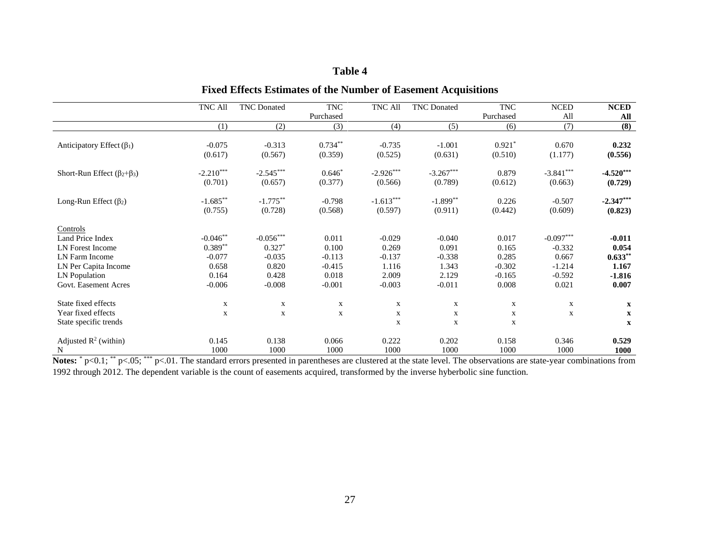## **Table 4**

|                                                                                                                                            | TNC All                                                           | <b>TNC</b> Donated                                                | <b>TNC</b><br>Purchased                                     | TNC All                                                     | <b>TNC</b> Donated                                          | <b>TNC</b><br>Purchased                                  | <b>NCED</b><br>All                                                | <b>NCED</b><br>All                                           |
|--------------------------------------------------------------------------------------------------------------------------------------------|-------------------------------------------------------------------|-------------------------------------------------------------------|-------------------------------------------------------------|-------------------------------------------------------------|-------------------------------------------------------------|----------------------------------------------------------|-------------------------------------------------------------------|--------------------------------------------------------------|
|                                                                                                                                            | (1)                                                               | (2)                                                               | (3)                                                         | (4)                                                         | (5)                                                         | (6)                                                      | (7)                                                               | (8)                                                          |
| Anticipatory Effect $(\beta_1)$                                                                                                            | $-0.075$                                                          | $-0.313$                                                          | $0.734**$                                                   | $-0.735$                                                    | $-1.001$                                                    | $0.921*$                                                 | 0.670                                                             | 0.232                                                        |
|                                                                                                                                            | (0.617)                                                           | (0.567)                                                           | (0.359)                                                     | (0.525)                                                     | (0.631)                                                     | (0.510)                                                  | (1.177)                                                           | (0.556)                                                      |
| Short-Run Effect $(\beta_2 + \beta_3)$                                                                                                     | $-2.210***$                                                       | $-2.545***$                                                       | $0.646*$                                                    | $-2.926***$                                                 | $-3.267***$                                                 | 0.879                                                    | $-3.841***$                                                       | $-4.520***$                                                  |
|                                                                                                                                            | (0.701)                                                           | (0.657)                                                           | (0.377)                                                     | (0.566)                                                     | (0.789)                                                     | (0.612)                                                  | (0.663)                                                           | (0.729)                                                      |
| Long-Run Effect $(\beta_2)$                                                                                                                | $-1.685***$                                                       | $-1.775***$                                                       | $-0.798$                                                    | $-1.613***$                                                 | $-1.899**$                                                  | 0.226                                                    | $-0.507$                                                          | $-2.347***$                                                  |
|                                                                                                                                            | (0.755)                                                           | (0.728)                                                           | (0.568)                                                     | (0.597)                                                     | (0.911)                                                     | (0.442)                                                  | (0.609)                                                           | (0.823)                                                      |
| Controls<br>Land Price Index<br><b>LN</b> Forest Income<br>LN Farm Income<br>LN Per Capita Income<br>LN Population<br>Govt. Easement Acres | $-0.046**$<br>$0.389**$<br>$-0.077$<br>0.658<br>0.164<br>$-0.006$ | $-0.056***$<br>$0.327*$<br>$-0.035$<br>0.820<br>0.428<br>$-0.008$ | 0.011<br>0.100<br>$-0.113$<br>$-0.415$<br>0.018<br>$-0.001$ | $-0.029$<br>0.269<br>$-0.137$<br>1.116<br>2.009<br>$-0.003$ | $-0.040$<br>0.091<br>$-0.338$<br>1.343<br>2.129<br>$-0.011$ | 0.017<br>0.165<br>0.285<br>$-0.302$<br>$-0.165$<br>0.008 | $-0.097***$<br>$-0.332$<br>0.667<br>$-1.214$<br>$-0.592$<br>0.021 | $-0.011$<br>0.054<br>$0.633**$<br>1.167<br>$-1.816$<br>0.007 |
| State fixed effects<br>Year fixed effects<br>State specific trends                                                                         | $\mathbf x$<br>$\mathbf X$                                        | $\mathbf x$<br>$\mathbf X$                                        | $\mathbf X$<br>$\mathbf X$                                  | $\mathbf X$<br>$\mathbf X$<br>$\mathbf X$                   | $\mathbf{X}$<br>$\mathbf x$<br>$\mathbf x$                  | $\mathbf X$<br>$\mathbf X$<br>X                          | $\mathbf X$<br>$\mathbf X$                                        | $\mathbf X$<br>$\mathbf X$<br>$\mathbf X$                    |
| Adjusted $R^2$ (within)                                                                                                                    | 0.145                                                             | 0.138                                                             | 0.066                                                       | 0.222                                                       | 0.202                                                       | 0.158                                                    | 0.346                                                             | 0.529                                                        |
| N                                                                                                                                          | 1000                                                              | 1000                                                              | 1000                                                        | 1000                                                        | 1000                                                        | 1000                                                     | 1000                                                              | 1000                                                         |

## **Fixed Effects Estimates of the Number of Easement Acquisitions**

Notes: \* p<0.1; \*\* p<.05; \*\*\* p<.01. The standard errors presented in parentheses are clustered at the state level. The observations are state-year combinations from 1992 through 2012. The dependent variable is the count of easements acquired, transformed by the inverse hyberbolic sine function.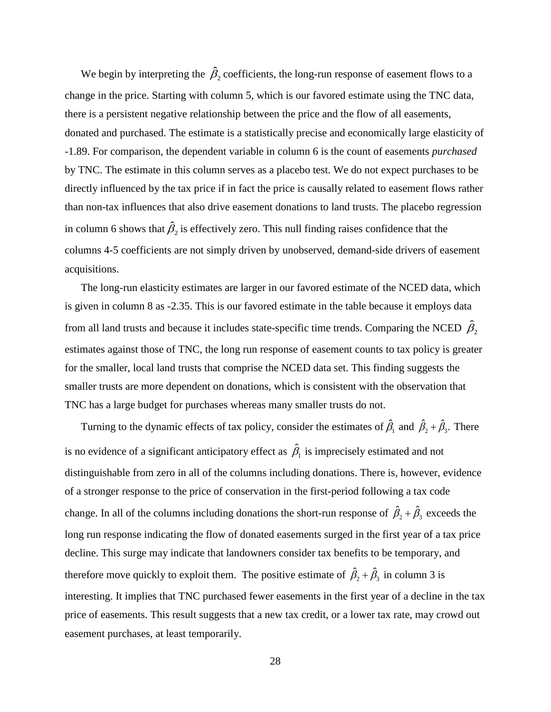We begin by interpreting the  $\hat{\beta}_2$  coefficients, the long-run response of easement flows to a change in the price. Starting with column 5, which is our favored estimate using the TNC data, there is a persistent negative relationship between the price and the flow of all easements, donated and purchased. The estimate is a statistically precise and economically large elasticity of -1.89. For comparison, the dependent variable in column 6 is the count of easements *purchased* by TNC. The estimate in this column serves as a placebo test. We do not expect purchases to be directly influenced by the tax price if in fact the price is causally related to easement flows rather than non-tax influences that also drive easement donations to land trusts. The placebo regression in column 6 shows that  $\hat{\beta}_2$  is effectively zero. This null finding raises confidence that the columns 4-5 coefficients are not simply driven by unobserved, demand-side drivers of easement acquisitions.

The long-run elasticity estimates are larger in our favored estimate of the NCED data, which is given in column 8 as -2.35. This is our favored estimate in the table because it employs data from all land trusts and because it includes state-specific time trends. Comparing the NCED  $\hat{\beta}_2$ estimates against those of TNC, the long run response of easement counts to tax policy is greater for the smaller, local land trusts that comprise the NCED data set. This finding suggests the smaller trusts are more dependent on donations, which is consistent with the observation that TNC has a large budget for purchases whereas many smaller trusts do not.

Turning to the dynamic effects of tax policy, consider the estimates of  $\hat{\beta}_1$  and  $\hat{\beta}_2 + \hat{\beta}_3$ . There is no evidence of a significant anticipatory effect as  $\hat{\beta}_1$  is imprecisely estimated and not distinguishable from zero in all of the columns including donations. There is, however, evidence of a stronger response to the price of conservation in the first-period following a tax code change. In all of the columns including donations the short-run response of  $\hat{\beta}_2 + \hat{\beta}_3$  exceeds the long run response indicating the flow of donated easements surged in the first year of a tax price decline. This surge may indicate that landowners consider tax benefits to be temporary, and therefore move quickly to exploit them. The positive estimate of  $\hat{\beta}_2 + \hat{\beta}_3$  in column 3 is interesting. It implies that TNC purchased fewer easements in the first year of a decline in the tax price of easements. This result suggests that a new tax credit, or a lower tax rate, may crowd out easement purchases, at least temporarily.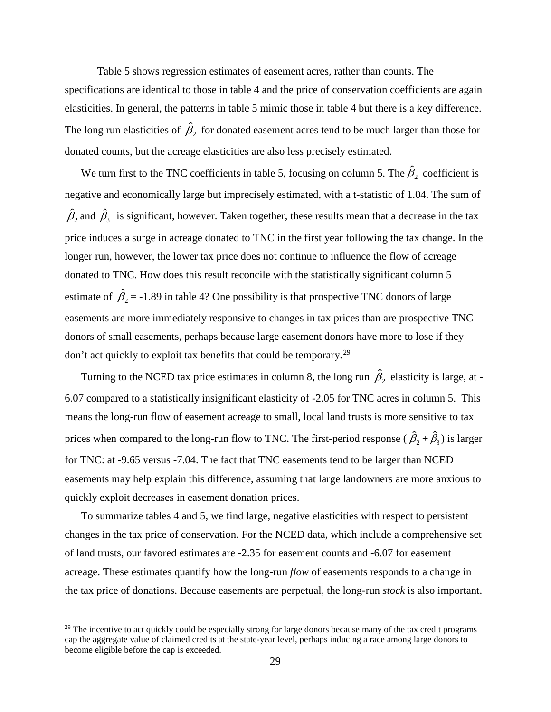Table 5 shows regression estimates of easement acres, rather than counts. The specifications are identical to those in table 4 and the price of conservation coefficients are again elasticities. In general, the patterns in table 5 mimic those in table 4 but there is a key difference. The long run elasticities of  $\hat{\beta}_2$  for donated easement acres tend to be much larger than those for donated counts, but the acreage elasticities are also less precisely estimated.

We turn first to the TNC coefficients in table 5, focusing on column 5. The  $\hat{\beta}_2$  coefficient is negative and economically large but imprecisely estimated, with a t-statistic of 1.04. The sum of  $\hat{\beta}_2$  and  $\hat{\beta}_3$  is significant, however. Taken together, these results mean that a decrease in the tax price induces a surge in acreage donated to TNC in the first year following the tax change. In the longer run, however, the lower tax price does not continue to influence the flow of acreage donated to TNC. How does this result reconcile with the statistically significant column 5 estimate of  $\hat{\beta}_2$  = -1.89 in table 4? One possibility is that prospective TNC donors of large easements are more immediately responsive to changes in tax prices than are prospective TNC donors of small easements, perhaps because large easement donors have more to lose if they don't act quickly to exploit tax benefits that could be temporary.[29](#page-29-0)

Turning to the NCED tax price estimates in column 8, the long run  $\hat{\beta}_2$  elasticity is large, at -6.07 compared to a statistically insignificant elasticity of -2.05 for TNC acres in column 5. This means the long-run flow of easement acreage to small, local land trusts is more sensitive to tax prices when compared to the long-run flow to TNC. The first-period response ( $\hat{\beta}_2 + \hat{\beta}_3$ ) is larger for TNC: at -9.65 versus -7.04. The fact that TNC easements tend to be larger than NCED easements may help explain this difference, assuming that large landowners are more anxious to quickly exploit decreases in easement donation prices.

To summarize tables 4 and 5, we find large, negative elasticities with respect to persistent changes in the tax price of conservation. For the NCED data, which include a comprehensive set of land trusts, our favored estimates are -2.35 for easement counts and -6.07 for easement acreage. These estimates quantify how the long-run *flow* of easements responds to a change in the tax price of donations. Because easements are perpetual, the long-run *stock* is also important.

l

<span id="page-29-0"></span> $^{29}$  The incentive to act quickly could be especially strong for large donors because many of the tax credit programs cap the aggregate value of claimed credits at the state-year level, perhaps inducing a race among large donors to become eligible before the cap is exceeded.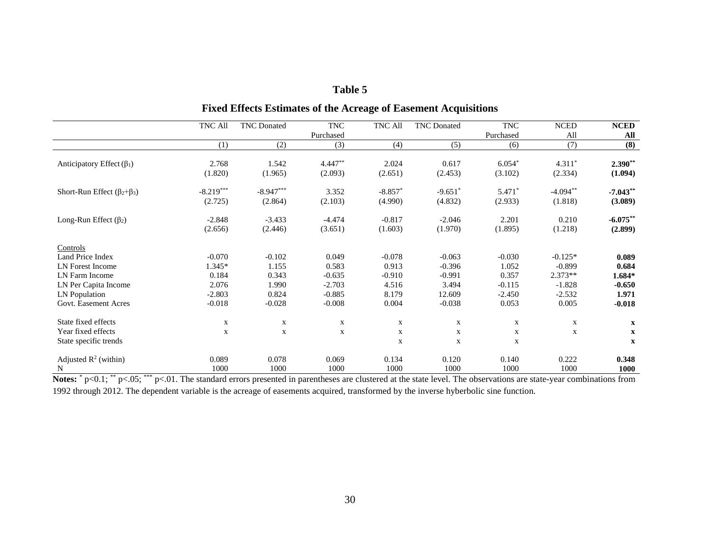## **Table 5**

# **Fixed Effects Estimates of the Acreage of Easement Acquisitions**

| TNC All                                                          |               | <b>TNC</b> Donated     | <b>TNC</b><br>Purchased | TNC All              | <b>TNC</b> Donated   | <b>TNC</b><br>Purchased | <b>NCED</b><br>All    | <b>NCED</b><br>All     |
|------------------------------------------------------------------|---------------|------------------------|-------------------------|----------------------|----------------------|-------------------------|-----------------------|------------------------|
|                                                                  | (1)           | (2)                    | (3)                     | (4)                  | (5)                  | (6)                     | (7)                   | (8)                    |
| Anticipatory Effect $(\beta_1)$<br>(1.820)                       | 2.768         | 1.542<br>(1.965)       | $4.447**$<br>(2.093)    | 2.024<br>(2.651)     | 0.617<br>(2.453)     | $6.054*$<br>(3.102)     | $4.311*$<br>(2.334)   | $2.390**$<br>(1.094)   |
| $-8.219***$<br>Short-Run Effect $(\beta_2 + \beta_3)$<br>(2.725) |               | $-8.947***$<br>(2.864) | 3.352<br>(2.103)        | $-8.857*$<br>(4.990) | $-9.651*$<br>(4.832) | 5.471*<br>(2.933)       | $-4.094**$<br>(1.818) | $-7.043**$<br>(3.089)  |
| Long-Run Effect $(\beta_2)$<br>$-2.848$<br>(2.656)               |               | $-3.433$<br>(2.446)    | $-4.474$<br>(3.651)     | $-0.817$<br>(1.603)  | $-2.046$<br>(1.970)  | 2.201<br>(1.895)        | 0.210<br>(1.218)      | $-6.075***$<br>(2.899) |
| Controls                                                         |               |                        |                         |                      |                      |                         |                       |                        |
| Land Price Index                                                 | $-0.070$      | $-0.102$               | 0.049                   | $-0.078$             | $-0.063$             | $-0.030$                | $-0.125*$             | 0.089                  |
| LN Forest Income                                                 | 1.345*        | 1.155                  | 0.583                   | 0.913                | $-0.396$             | 1.052                   | $-0.899$              | 0.684                  |
| LN Farm Income                                                   | 0.184         | 0.343                  | $-0.635$                | $-0.910$             | $-0.991$             | 0.357                   | 2.373**               | 1.684*                 |
| LN Per Capita Income                                             | 2.076         | 1.990                  | $-2.703$                | 4.516                | 3.494                | $-0.115$                | $-1.828$              | $-0.650$               |
| LN Population<br>$-2.803$                                        |               | 0.824                  | $-0.885$                | 8.179                | 12.609               | $-2.450$                | $-2.532$              | 1.971                  |
| Govt. Easement Acres                                             | $-0.018$      | $-0.028$               | $-0.008$                | 0.004                | $-0.038$             | 0.053                   | 0.005                 | $-0.018$               |
| State fixed effects                                              | X             | $\mathbf X$            | X                       | X                    | X                    | X                       | X                     | $\mathbf x$            |
| Year fixed effects                                               | $\mathbf X$   | $\mathbf X$            | $\mathbf X$             | $\mathbf X$          | $\mathbf X$          | $\mathbf x$             | $\mathbf X$           | $\mathbf{x}$           |
| State specific trends                                            |               |                        |                         | $\mathbf X$          | $\mathbf X$          | X                       |                       | $\mathbf X$            |
| Adjusted $R^2$ (within)<br>N                                     | 0.089<br>1000 | 0.078<br>1000          | 0.069<br>1000           | 0.134<br>1000        | 0.120<br>1000        | 0.140<br>1000           | 0.222<br>1000         | 0.348<br>1000          |

Notes: \* p<0.1; \*\* p<.05; \*\*\* p<.01. The standard errors presented in parentheses are clustered at the state level. The observations are state-year combinations from 1992 through 2012. The dependent variable is the acreage of easements acquired, transformed by the inverse hyberbolic sine function.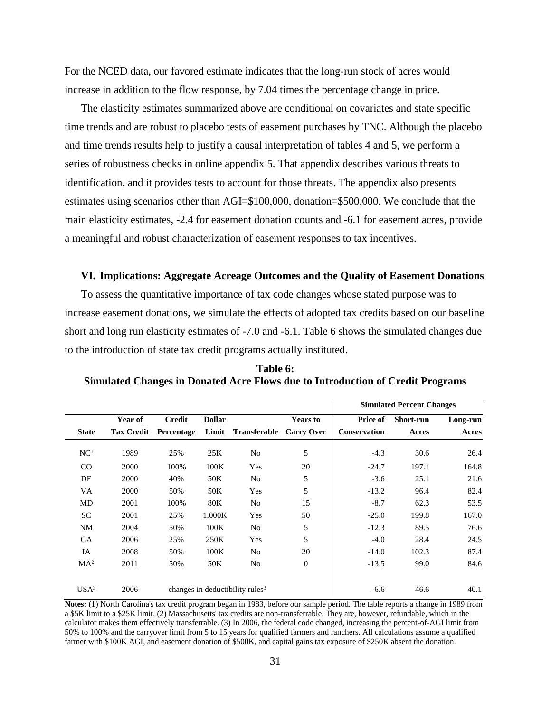For the NCED data, our favored estimate indicates that the long-run stock of acres would increase in addition to the flow response, by 7.04 times the percentage change in price.

The elasticity estimates summarized above are conditional on covariates and state specific time trends and are robust to placebo tests of easement purchases by TNC. Although the placebo and time trends results help to justify a causal interpretation of tables 4 and 5, we perform a series of robustness checks in online appendix 5. That appendix describes various threats to identification, and it provides tests to account for those threats. The appendix also presents estimates using scenarios other than AGI=\$100,000, donation=\$500,000. We conclude that the main elasticity estimates, -2.4 for easement donation counts and -6.1 for easement acres, provide a meaningful and robust characterization of easement responses to tax incentives.

#### **VI. Implications: Aggregate Acreage Outcomes and the Quality of Easement Donations**

To assess the quantitative importance of tax code changes whose stated purpose was to increase easement donations, we simulate the effects of adopted tax credits based on our baseline short and long run elasticity estimates of -7.0 and -6.1. Table 6 shows the simulated changes due to the introduction of state tax credit programs actually instituted.

|                  |                   |               |               |                                             |                   |              | <b>Simulated Percent Changes</b> |          |
|------------------|-------------------|---------------|---------------|---------------------------------------------|-------------------|--------------|----------------------------------|----------|
|                  | Year of           | <b>Credit</b> | <b>Dollar</b> |                                             | <b>Years to</b>   | Price of     | Short-run                        | Long-run |
| <b>State</b>     | <b>Tax Credit</b> | Percentage    |               | Limit Transferable                          | <b>Carry Over</b> | Conservation | Acres                            | Acres    |
| NC <sup>1</sup>  | 1989              | 25%           | 25K           | No                                          | 5                 | $-4.3$       | 30.6                             | 26.4     |
| $\rm CO$         | 2000              | 100%          | 100K          | Yes                                         | 20                | $-24.7$      | 197.1                            | 164.8    |
| DE               | 2000              | 40%           | 50K           | No                                          | 5                 | $-3.6$       | 25.1                             | 21.6     |
| VA               | 2000              | 50%           | 50K           | Yes                                         | 5                 | $-13.2$      | 96.4                             | 82.4     |
| MD               | 2001              | 100%          | 80K           | N <sub>o</sub>                              | 15                | $-8.7$       | 62.3                             | 53.5     |
| <b>SC</b>        | 2001              | 25%           | 1,000K        | Yes                                         | 50                | $-25.0$      | 199.8                            | 167.0    |
| NM               | 2004              | 50%           | 100K          | No                                          | 5                 | $-12.3$      | 89.5                             | 76.6     |
| GA               | 2006              | 25%           | 250K          | Yes                                         | 5                 | $-4.0$       | 28.4                             | 24.5     |
| IA               | 2008              | 50%           | 100K          | No                                          | 20                | $-14.0$      | 102.3                            | 87.4     |
| MA <sup>2</sup>  | 2011              | 50%           | 50K           | No                                          | $\mathbf{0}$      | $-13.5$      | 99.0                             | 84.6     |
| USA <sup>3</sup> | 2006              |               |               | changes in deductibility rules <sup>3</sup> |                   | $-6.6$       | 46.6                             | 40.1     |

**Table 6: Simulated Changes in Donated Acre Flows due to Introduction of Credit Programs**

**Notes:** (1) North Carolina's tax credit program began in 1983, before our sample period. The table reports a change in 1989 from a \$5K limit to a \$25K limit. (2) Massachusetts' tax credits are non-transferrable. They are, however, refundable, which in the calculator makes them effectively transferrable. (3) In 2006, the federal code changed, increasing the percent-of-AGI limit from 50% to 100% and the carryover limit from 5 to 15 years for qualified farmers and ranchers. All calculations assume a qualified farmer with \$100K AGI, and easement donation of \$500K, and capital gains tax exposure of \$250K absent the donation.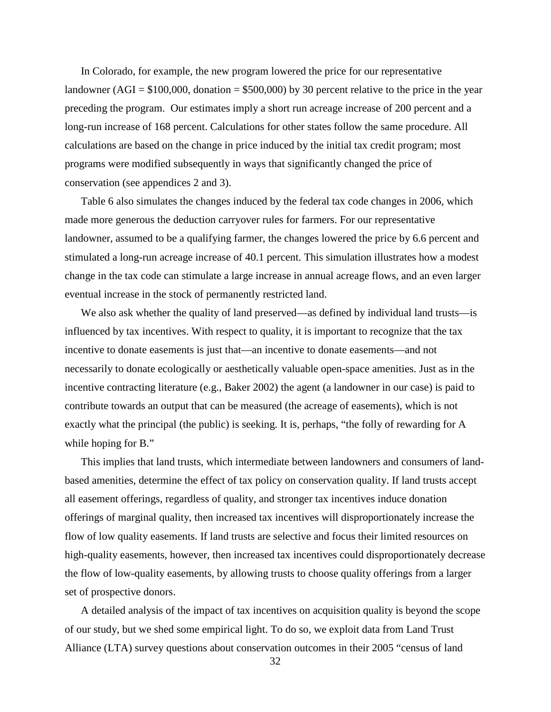In Colorado, for example, the new program lowered the price for our representative landowner (AGI =  $$100,000$ , donation =  $$500,000$ ) by 30 percent relative to the price in the year preceding the program. Our estimates imply a short run acreage increase of 200 percent and a long-run increase of 168 percent. Calculations for other states follow the same procedure. All calculations are based on the change in price induced by the initial tax credit program; most programs were modified subsequently in ways that significantly changed the price of conservation (see appendices 2 and 3).

Table 6 also simulates the changes induced by the federal tax code changes in 2006, which made more generous the deduction carryover rules for farmers. For our representative landowner, assumed to be a qualifying farmer, the changes lowered the price by 6.6 percent and stimulated a long-run acreage increase of 40.1 percent. This simulation illustrates how a modest change in the tax code can stimulate a large increase in annual acreage flows, and an even larger eventual increase in the stock of permanently restricted land.

We also ask whether the quality of land preserved—as defined by individual land trusts—is influenced by tax incentives. With respect to quality, it is important to recognize that the tax incentive to donate easements is just that—an incentive to donate easements—and not necessarily to donate ecologically or aesthetically valuable open-space amenities. Just as in the incentive contracting literature (e.g., Baker 2002) the agent (a landowner in our case) is paid to contribute towards an output that can be measured (the acreage of easements), which is not exactly what the principal (the public) is seeking. It is, perhaps, "the folly of rewarding for A while hoping for B."

This implies that land trusts, which intermediate between landowners and consumers of landbased amenities, determine the effect of tax policy on conservation quality. If land trusts accept all easement offerings, regardless of quality, and stronger tax incentives induce donation offerings of marginal quality, then increased tax incentives will disproportionately increase the flow of low quality easements. If land trusts are selective and focus their limited resources on high-quality easements, however, then increased tax incentives could disproportionately decrease the flow of low-quality easements, by allowing trusts to choose quality offerings from a larger set of prospective donors.

A detailed analysis of the impact of tax incentives on acquisition quality is beyond the scope of our study, but we shed some empirical light. To do so, we exploit data from Land Trust Alliance (LTA) survey questions about conservation outcomes in their 2005 "census of land

32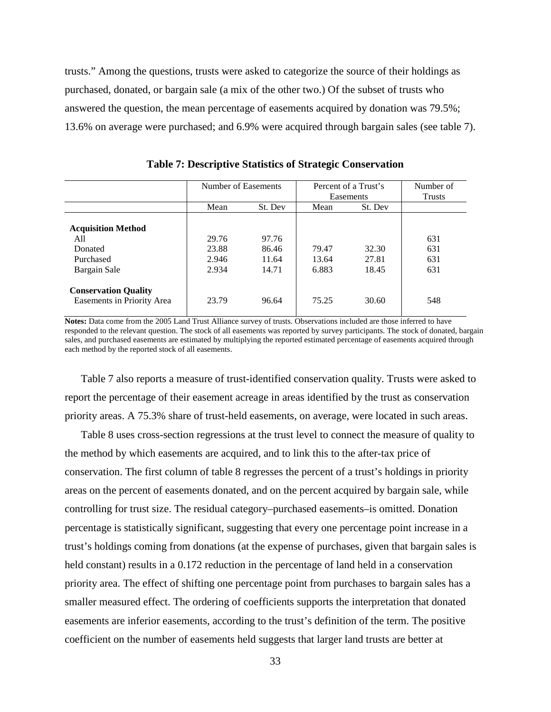trusts." Among the questions, trusts were asked to categorize the source of their holdings as purchased, donated, or bargain sale (a mix of the other two.) Of the subset of trusts who answered the question, the mean percentage of easements acquired by donation was 79.5%; 13.6% on average were purchased; and 6.9% were acquired through bargain sales (see table 7).

|                                                           | Number of Easements     |                         | Percent of a Trust's<br>Easements |                | Number of<br><b>Trusts</b> |
|-----------------------------------------------------------|-------------------------|-------------------------|-----------------------------------|----------------|----------------------------|
|                                                           | Mean                    | St. Dev                 | Mean                              | St. Dev        |                            |
| <b>Acquisition Method</b><br>All<br>Donated<br>Purchased  | 29.76<br>23.88<br>2.946 | 97.76<br>86.46<br>11.64 | 79.47<br>13.64                    | 32.30<br>27.81 | 631<br>631<br>631          |
| Bargain Sale                                              | 2.934                   | 14.71                   | 6.883                             | 18.45          | 631                        |
| <b>Conservation Quality</b><br>Easements in Priority Area | 23.79                   | 96.64                   | 75.25                             | 30.60          | 548                        |

**Table 7: Descriptive Statistics of Strategic Conservation** 

**Notes:** Data come from the 2005 Land Trust Alliance survey of trusts. Observations included are those inferred to have responded to the relevant question. The stock of all easements was reported by survey participants. The stock of donated, bargain sales, and purchased easements are estimated by multiplying the reported estimated percentage of easements acquired through each method by the reported stock of all easements.

Table 7 also reports a measure of trust-identified conservation quality. Trusts were asked to report the percentage of their easement acreage in areas identified by the trust as conservation priority areas. A 75.3% share of trust-held easements, on average, were located in such areas.

Table 8 uses cross-section regressions at the trust level to connect the measure of quality to the method by which easements are acquired, and to link this to the after-tax price of conservation. The first column of table 8 regresses the percent of a trust's holdings in priority areas on the percent of easements donated, and on the percent acquired by bargain sale, while controlling for trust size. The residual category–purchased easements–is omitted. Donation percentage is statistically significant, suggesting that every one percentage point increase in a trust's holdings coming from donations (at the expense of purchases, given that bargain sales is held constant) results in a  $0.172$  reduction in the percentage of land held in a conservation priority area. The effect of shifting one percentage point from purchases to bargain sales has a smaller measured effect. The ordering of coefficients supports the interpretation that donated easements are inferior easements, according to the trust's definition of the term. The positive coefficient on the number of easements held suggests that larger land trusts are better at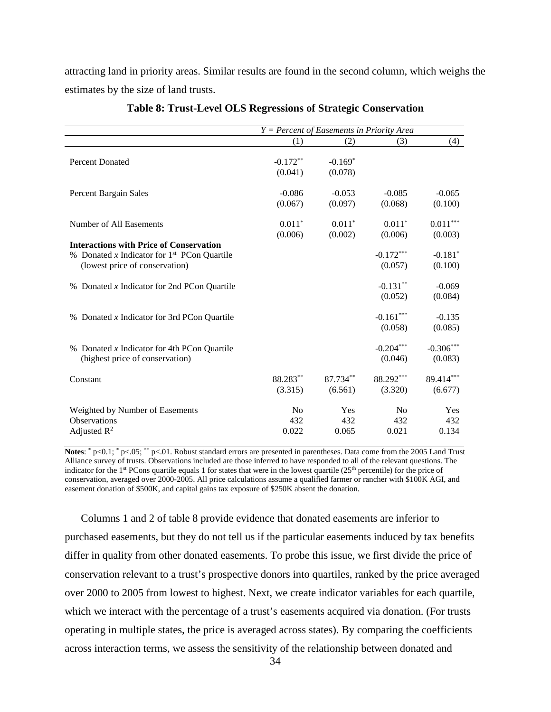attracting land in priority areas. Similar results are found in the second column, which weighs the estimates by the size of land trusts.

|                                                                                                                                   | $Y = Percent$ of Easements in Priority Area |                       |                                |                                  |
|-----------------------------------------------------------------------------------------------------------------------------------|---------------------------------------------|-----------------------|--------------------------------|----------------------------------|
|                                                                                                                                   | (1)                                         | (2)                   | (3)                            | (4)                              |
| <b>Percent Donated</b>                                                                                                            | $-0.172**$<br>(0.041)                       | $-0.169*$<br>(0.078)  |                                |                                  |
| <b>Percent Bargain Sales</b>                                                                                                      | $-0.086$<br>(0.067)                         | $-0.053$<br>(0.097)   | $-0.085$<br>(0.068)            | $-0.065$<br>(0.100)              |
| Number of All Easements                                                                                                           | $0.011*$<br>(0.006)                         | $0.011*$<br>(0.002)   | $0.011*$<br>(0.006)            | $0.011***$<br>(0.003)            |
| <b>Interactions with Price of Conservation</b><br>% Donated x Indicator for $1st$ PCon Quartile<br>(lowest price of conservation) |                                             |                       | $-0.172***$<br>(0.057)         | $-0.181$ <sup>*</sup><br>(0.100) |
| % Donated x Indicator for 2nd PCon Quartile                                                                                       |                                             |                       | $-0.131**$<br>(0.052)          | $-0.069$<br>(0.084)              |
| % Donated x Indicator for 3rd PCon Quartile                                                                                       |                                             |                       | $-0.161***$<br>(0.058)         | $-0.135$<br>(0.085)              |
| % Donated $x$ Indicator for 4th PCon Quartile<br>(highest price of conservation)                                                  |                                             |                       | $-0.204***$<br>(0.046)         | $-0.306***$<br>(0.083)           |
| Constant                                                                                                                          | 88.283**<br>(3.315)                         | $87.734**$<br>(6.561) | 88.292***<br>(3.320)           | 89.414***<br>(6.677)             |
| Weighted by Number of Easements<br>Observations<br>Adjusted $R^2$                                                                 | N <sub>o</sub><br>432<br>0.022              | Yes<br>432<br>0.065   | N <sub>0</sub><br>432<br>0.021 | Yes<br>432<br>0.134              |

## **Table 8: Trust-Level OLS Regressions of Strategic Conservation**

Notes: \* p<0.1; \* p<.05; \*\* p<.01. Robust standard errors are presented in parentheses. Data come from the 2005 Land Trust Alliance survey of trusts. Observations included are those inferred to have responded to all of the relevant questions. The indicator for the 1<sup>st</sup> PCons quartile equals 1 for states that were in the lowest quartile (25<sup>th</sup> percentile) for the price of conservation, averaged over 2000-2005. All price calculations assume a qualified farmer or rancher with \$100K AGI, and easement donation of \$500K, and capital gains tax exposure of \$250K absent the donation.

Columns 1 and 2 of table 8 provide evidence that donated easements are inferior to purchased easements, but they do not tell us if the particular easements induced by tax benefits differ in quality from other donated easements. To probe this issue, we first divide the price of conservation relevant to a trust's prospective donors into quartiles, ranked by the price averaged over 2000 to 2005 from lowest to highest. Next, we create indicator variables for each quartile, which we interact with the percentage of a trust's easements acquired via donation. (For trusts operating in multiple states, the price is averaged across states). By comparing the coefficients across interaction terms, we assess the sensitivity of the relationship between donated and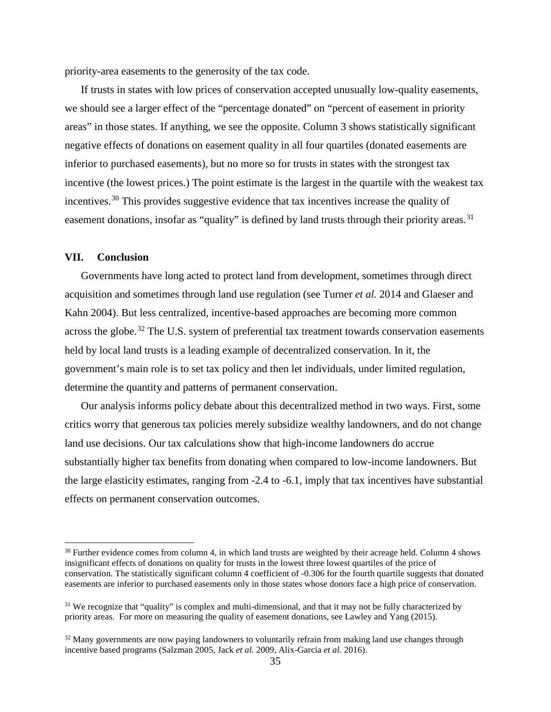priority-area easements to the generosity of the tax code.

If trusts in states with low prices of conservation accepted unusually low-quality easements, we should see a larger effect of the "percentage donated" on "percent of easement in priority areas" in those states. If anything, we see the opposite. Column 3 shows statistically significant negative effects of donations on easement quality in all four quartiles (donated easements are inferior to purchased easements), but no more so for trusts in states with the strongest tax incentive (the lowest prices.) The point estimate is the largest in the quartile with the weakest tax incentives.<sup>[30](#page-35-0)</sup> This provides suggestive evidence that tax incentives increase the quality of easement donations, insofar as "quality" is defined by land trusts through their priority areas.<sup>[31](#page-35-1)</sup>

## **VII. Conclusion**

l

Governments have long acted to protect land from development, sometimes through direct acquisition and sometimes through land use regulation (see Turner *et al.* 2014 and Glaeser and Kahn 2004). But less centralized, incentive-based approaches are becoming more common across the globe.<sup>[32](#page-35-2)</sup> The U.S. system of preferential tax treatment towards conservation easements held by local land trusts is a leading example of decentralized conservation. In it, the government's main role is to set tax policy and then let individuals, under limited regulation, determine the quantity and patterns of permanent conservation.

Our analysis informs policy debate about this decentralized method in two ways. First, some critics worry that generous tax policies merely subsidize wealthy landowners, and do not change land use decisions. Our tax calculations show that high-income landowners do accrue substantially higher tax benefits from donating when compared to low-income landowners. But the large elasticity estimates, ranging from -2.4 to -6.1, imply that tax incentives have substantial effects on permanent conservation outcomes.

<span id="page-35-0"></span> $30$  Further evidence comes from column 4, in which land trusts are weighted by their acreage held. Column 4 shows insignificant effects of donations on quality for trusts in the lowest three lowest quartiles of the price of conservation. The statistically significant column 4 coefficient of -0.306 for the fourth quartile suggests that donated easements are inferior to purchased easements only in those states whose donors face a high price of conservation.

<span id="page-35-1"></span><sup>&</sup>lt;sup>31</sup> We recognize that "quality" is complex and multi-dimensional, and that it may not be fully characterized by priority areas. For more on measuring the quality of easement donations, see Lawley and Yang (2015).

<span id="page-35-2"></span> $32$  Many governments are now paying landowners to voluntarily refrain from making land use changes through incentive based programs (Salzman 2005, Jack *et al.* 2009, Alix-Garcia *et al.* 2016).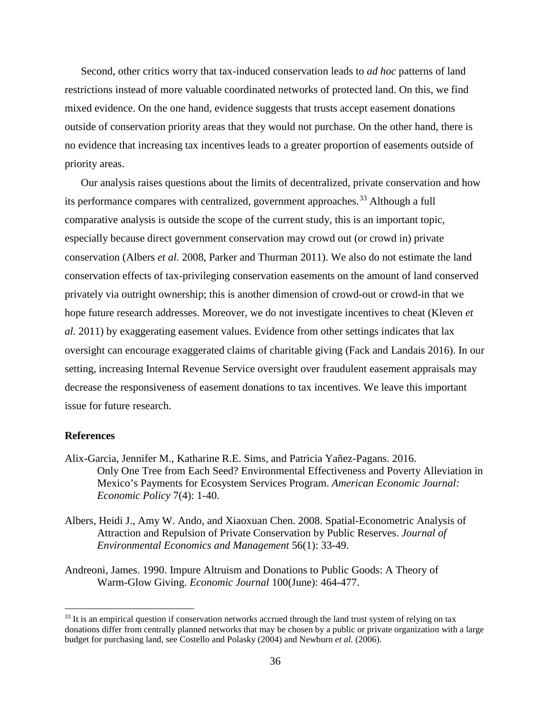Second, other critics worry that tax-induced conservation leads to *ad hoc* patterns of land restrictions instead of more valuable coordinated networks of protected land. On this, we find mixed evidence. On the one hand, evidence suggests that trusts accept easement donations outside of conservation priority areas that they would not purchase. On the other hand, there is no evidence that increasing tax incentives leads to a greater proportion of easements outside of priority areas.

Our analysis raises questions about the limits of decentralized, private conservation and how its performance compares with centralized, government approaches.<sup>[33](#page-36-0)</sup> Although a full comparative analysis is outside the scope of the current study, this is an important topic, especially because direct government conservation may crowd out (or crowd in) private conservation (Albers *et al.* 2008, Parker and Thurman 2011). We also do not estimate the land conservation effects of tax-privileging conservation easements on the amount of land conserved privately via outright ownership; this is another dimension of crowd-out or crowd-in that we hope future research addresses. Moreover, we do not investigate incentives to cheat (Kleven *et al.* 2011) by exaggerating easement values. Evidence from other settings indicates that lax oversight can encourage exaggerated claims of charitable giving (Fack and Landais 2016). In our setting, increasing Internal Revenue Service oversight over fraudulent easement appraisals may decrease the responsiveness of easement donations to tax incentives. We leave this important issue for future research.

#### **References**

l

- Alix-Garcia, Jennifer M., Katharine R.E. Sims, and Patricia Yañez-Pagans. 2016. Only One Tree from Each Seed? Environmental Effectiveness and Poverty Alleviation in Mexico's Payments for Ecosystem Services Program. *American Economic Journal: Economic Policy* 7(4): 1-40.
- Albers, Heidi J., Amy W. Ando, and Xiaoxuan Chen. 2008. Spatial-Econometric Analysis of Attraction and Repulsion of Private Conservation by Public Reserves. *Journal of Environmental Economics and Management* 56(1): 33-49.
- Andreoni, James. 1990. Impure Altruism and Donations to Public Goods: A Theory of Warm-Glow Giving. *Economic Journal* 100(June): 464-477.

<span id="page-36-0"></span> $33$  It is an empirical question if conservation networks accrued through the land trust system of relying on tax donations differ from centrally planned networks that may be chosen by a public or private organization with a large budget for purchasing land, see Costello and Polasky (2004) and Newburn *et al.* (2006).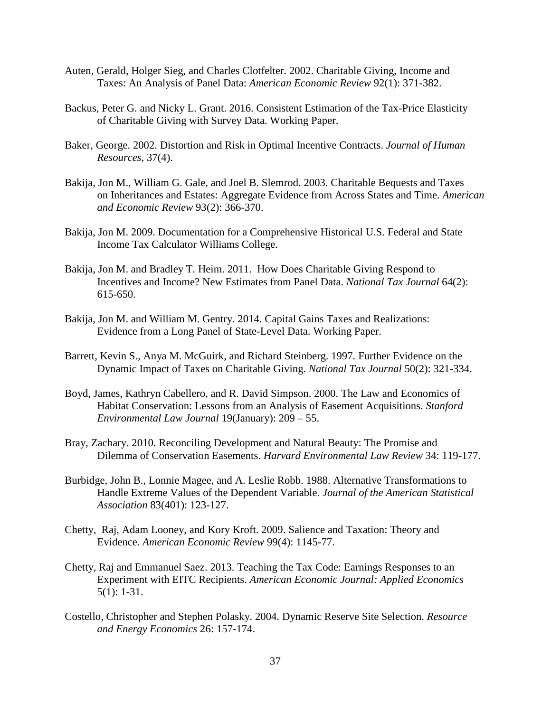- Auten, Gerald, Holger Sieg, and Charles Clotfelter. 2002. Charitable Giving, Income and Taxes: An Analysis of Panel Data: *American Economic Review* 92(1): 371-382.
- Backus, Peter G. and Nicky L. Grant. 2016. Consistent Estimation of the Tax-Price Elasticity of Charitable Giving with Survey Data. Working Paper.
- Baker, George. 2002. Distortion and Risk in Optimal Incentive Contracts. *Journal of Human Resources*, 37(4).
- Bakija, Jon M., William G. Gale, and Joel B. Slemrod. 2003. Charitable Bequests and Taxes on Inheritances and Estates: Aggregate Evidence from Across States and Time. *American and Economic Review* 93(2): 366-370.
- Bakija, Jon M. 2009. Documentation for a Comprehensive Historical U.S. Federal and State Income Tax Calculator Williams College.
- Bakija, Jon M. and Bradley T. Heim. 2011. How Does Charitable Giving Respond to Incentives and Income? New Estimates from Panel Data. *National Tax Journal* 64(2): 615-650.
- Bakija, Jon M. and William M. Gentry. 2014. Capital Gains Taxes and Realizations: Evidence from a Long Panel of State-Level Data. Working Paper.
- Barrett, Kevin S., Anya M. McGuirk, and Richard Steinberg. 1997. Further Evidence on the Dynamic Impact of Taxes on Charitable Giving. *National Tax Journal* 50(2): 321-334.
- Boyd, James, Kathryn Cabellero, and R. David Simpson. 2000. The Law and Economics of Habitat Conservation: Lessons from an Analysis of Easement Acquisitions. *Stanford Environmental Law Journal* 19(January): 209 – 55.
- Bray, Zachary. 2010. Reconciling Development and Natural Beauty: The Promise and Dilemma of Conservation Easements. *Harvard Environmental Law Review* 34: 119-177.
- Burbidge, John B., Lonnie Magee, and A. Leslie Robb. 1988. Alternative Transformations to Handle Extreme Values of the Dependent Variable. *Journal of the American Statistical Association* 83(401): 123-127.
- Chetty, Raj, Adam Looney, and Kory Kroft. 2009. Salience and Taxation: Theory and Evidence. *American Economic Review* 99(4): 1145-77.
- Chetty, Raj and Emmanuel Saez. 2013. Teaching the Tax Code: Earnings Responses to an Experiment with EITC Recipients. *American Economic Journal: Applied Economics* 5(1): 1-31.
- Costello, Christopher and Stephen Polasky. 2004. Dynamic Reserve Site Selection. *Resource and Energy Economics* 26: 157-174.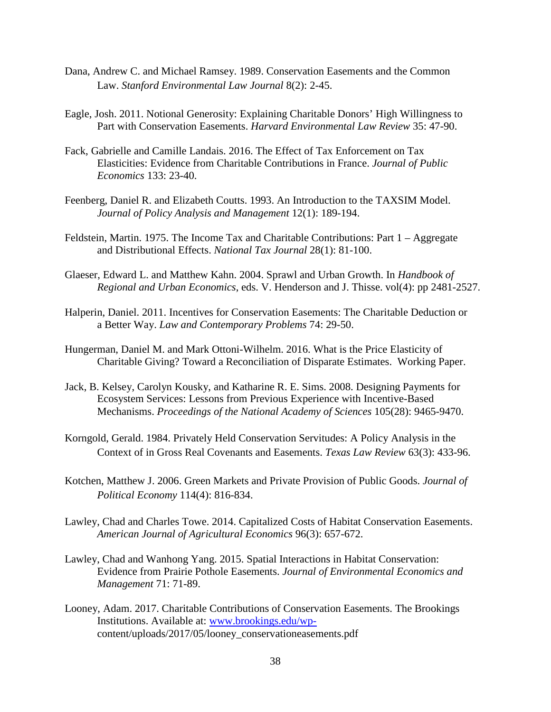- Dana, Andrew C. and Michael Ramsey. 1989. Conservation Easements and the Common Law. *Stanford Environmental Law Journal* 8(2): 2-45.
- Eagle, Josh. 2011. Notional Generosity: Explaining Charitable Donors' High Willingness to Part with Conservation Easements. *Harvard Environmental Law Review* 35: 47-90.
- Fack, Gabrielle and Camille Landais. 2016. The Effect of Tax Enforcement on Tax Elasticities: Evidence from Charitable Contributions in France. *Journal of Public Economics* 133: 23-40.
- Feenberg, Daniel R. and Elizabeth Coutts. 1993. An Introduction to the TAXSIM Model. *Journal of Policy Analysis and Management* 12(1): 189-194.
- Feldstein, Martin. 1975. The Income Tax and Charitable Contributions: Part 1 Aggregate and Distributional Effects. *National Tax Journal* 28(1): 81-100.
- Glaeser, Edward L. and Matthew Kahn. 2004. Sprawl and Urban Growth. In *Handbook of Regional and Urban Economics*, eds. V. Henderson and J. Thisse. vol(4): pp 2481-2527.
- Halperin, Daniel. 2011. Incentives for Conservation Easements: The Charitable Deduction or a Better Way. *Law and Contemporary Problems* 74: 29-50.
- Hungerman, Daniel M. and Mark Ottoni-Wilhelm. 2016. What is the Price Elasticity of Charitable Giving? Toward a Reconciliation of Disparate Estimates. Working Paper.
- Jack, B. Kelsey, Carolyn Kousky, and Katharine R. E. Sims. 2008. Designing Payments for Ecosystem Services: Lessons from Previous Experience with Incentive-Based Mechanisms. *Proceedings of the National Academy of Sciences* 105(28): 9465-9470.
- Korngold, Gerald. 1984. Privately Held Conservation Servitudes: A Policy Analysis in the Context of in Gross Real Covenants and Easements. *Texas Law Review* 63(3): 433-96.
- Kotchen, Matthew J. 2006. Green Markets and Private Provision of Public Goods. *Journal of Political Economy* 114(4): 816-834.
- Lawley, Chad and Charles Towe. 2014. Capitalized Costs of Habitat Conservation Easements. *American Journal of Agricultural Economics* 96(3): 657-672.
- Lawley, Chad and Wanhong Yang. 2015. Spatial Interactions in Habitat Conservation: Evidence from Prairie Pothole Easements. *Journal of Environmental Economics and Management* 71: 71-89.
- Looney, Adam. 2017. Charitable Contributions of Conservation Easements. The Brookings Institutions. Available at: [www.brookings.edu/wp](http://www.brookings.edu/wp-)content/uploads/2017/05/looney\_conservationeasements.pdf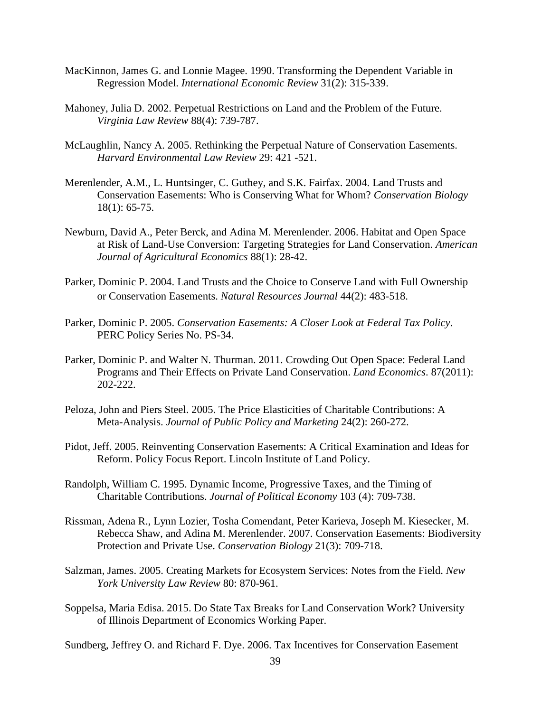- MacKinnon, James G. and Lonnie Magee. 1990. Transforming the Dependent Variable in Regression Model. *International Economic Review* 31(2): 315-339.
- Mahoney, Julia D. 2002. Perpetual Restrictions on Land and the Problem of the Future. *Virginia Law Review* 88(4): 739-787.
- McLaughlin, Nancy A. 2005. Rethinking the Perpetual Nature of Conservation Easements. *Harvard Environmental Law Review* 29: 421 -521.
- Merenlender, A.M., L. Huntsinger, C. Guthey, and S.K. Fairfax. 2004. Land Trusts and Conservation Easements: Who is Conserving What for Whom? *Conservation Biology* 18(1): 65-75.
- Newburn, David A., Peter Berck, and Adina M. Merenlender. 2006. Habitat and Open Space at Risk of Land-Use Conversion: Targeting Strategies for Land Conservation. *American Journal of Agricultural Economics* 88(1): 28-42.
- Parker, Dominic P. 2004. Land Trusts and the Choice to Conserve Land with Full Ownership or Conservation Easements. *Natural Resources Journal* 44(2): 483-518.
- Parker, Dominic P. 2005. *Conservation Easements: A Closer Look at Federal Tax Policy*. PERC Policy Series No. PS-34.
- Parker, Dominic P. and Walter N. Thurman. 2011. Crowding Out Open Space: Federal Land Programs and Their Effects on Private Land Conservation. *Land Economics*. 87(2011): 202-222.
- Peloza, John and Piers Steel. 2005. The Price Elasticities of Charitable Contributions: A Meta-Analysis. *Journal of Public Policy and Marketing* 24(2): 260-272.
- Pidot, Jeff. 2005. Reinventing Conservation Easements: A Critical Examination and Ideas for Reform. Policy Focus Report. Lincoln Institute of Land Policy.
- Randolph, William C. 1995. Dynamic Income, Progressive Taxes, and the Timing of Charitable Contributions. *Journal of Political Economy* 103 (4): 709-738.
- Rissman, Adena R., Lynn Lozier, Tosha Comendant, Peter Karieva, Joseph M. Kiesecker, M. Rebecca Shaw, and Adina M. Merenlender. 2007. Conservation Easements: Biodiversity Protection and Private Use. *Conservation Biology* 21(3): 709-718.
- Salzman, James. 2005. Creating Markets for Ecosystem Services: Notes from the Field. *New York University Law Review* 80: 870-961.
- Soppelsa, Maria Edisa. 2015. Do State Tax Breaks for Land Conservation Work? University of Illinois Department of Economics Working Paper.

Sundberg, Jeffrey O. and Richard F. Dye. 2006. Tax Incentives for Conservation Easement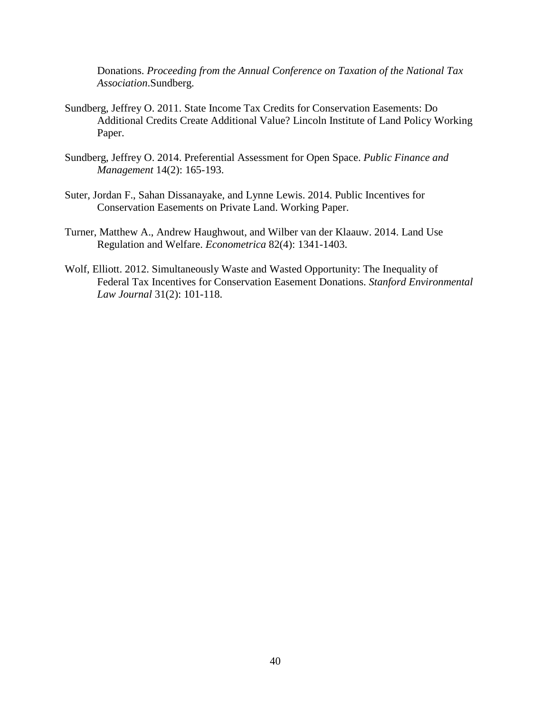Donations. *Proceeding from the Annual Conference on Taxation of the National Tax Association*.Sundberg.

- Sundberg, Jeffrey O. 2011. State Income Tax Credits for Conservation Easements: Do Additional Credits Create Additional Value? Lincoln Institute of Land Policy Working Paper.
- Sundberg, Jeffrey O. 2014. Preferential Assessment for Open Space. *Public Finance and Management* 14(2): 165-193.
- Suter, Jordan F., Sahan Dissanayake, and Lynne Lewis. 2014. Public Incentives for Conservation Easements on Private Land. Working Paper.
- Turner, Matthew A., Andrew Haughwout, and Wilber van der Klaauw. 2014. Land Use Regulation and Welfare. *Econometrica* 82(4): 1341-1403.
- Wolf, Elliott. 2012. Simultaneously Waste and Wasted Opportunity: The Inequality of Federal Tax Incentives for Conservation Easement Donations. *Stanford Environmental Law Journal* 31(2): 101-118.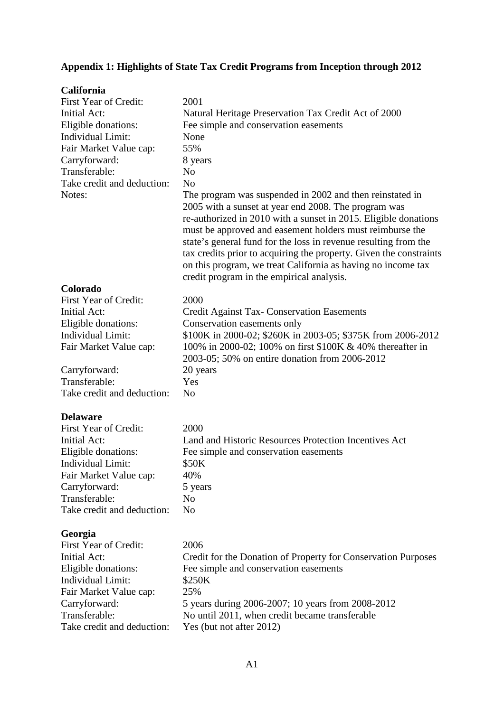# **Appendix 1: Highlights of State Tax Credit Programs from Inception through 2012**

| <b>California</b>          |                                                                                                                                                                                                                                                                                                                                                                                                                                                                                                       |
|----------------------------|-------------------------------------------------------------------------------------------------------------------------------------------------------------------------------------------------------------------------------------------------------------------------------------------------------------------------------------------------------------------------------------------------------------------------------------------------------------------------------------------------------|
| First Year of Credit:      | 2001                                                                                                                                                                                                                                                                                                                                                                                                                                                                                                  |
| <b>Initial Act:</b>        | Natural Heritage Preservation Tax Credit Act of 2000                                                                                                                                                                                                                                                                                                                                                                                                                                                  |
| Eligible donations:        | Fee simple and conservation easements                                                                                                                                                                                                                                                                                                                                                                                                                                                                 |
| Individual Limit:          | None                                                                                                                                                                                                                                                                                                                                                                                                                                                                                                  |
| Fair Market Value cap:     | 55%                                                                                                                                                                                                                                                                                                                                                                                                                                                                                                   |
| Carryforward:              | 8 years                                                                                                                                                                                                                                                                                                                                                                                                                                                                                               |
| Transferable:              | N <sub>o</sub>                                                                                                                                                                                                                                                                                                                                                                                                                                                                                        |
| Take credit and deduction: | N <sub>o</sub>                                                                                                                                                                                                                                                                                                                                                                                                                                                                                        |
| Notes:                     | The program was suspended in 2002 and then reinstated in<br>2005 with a sunset at year end 2008. The program was<br>re-authorized in 2010 with a sunset in 2015. Eligible donations<br>must be approved and easement holders must reimburse the<br>state's general fund for the loss in revenue resulting from the<br>tax credits prior to acquiring the property. Given the constraints<br>on this program, we treat California as having no income tax<br>credit program in the empirical analysis. |
| Colorado                   |                                                                                                                                                                                                                                                                                                                                                                                                                                                                                                       |
| First Year of Credit:      | 2000                                                                                                                                                                                                                                                                                                                                                                                                                                                                                                  |
| <b>Initial Act:</b>        | <b>Credit Against Tax- Conservation Easements</b>                                                                                                                                                                                                                                                                                                                                                                                                                                                     |
| Eligible donations:        | Conservation easements only                                                                                                                                                                                                                                                                                                                                                                                                                                                                           |
| Individual Limit:          | \$100K in 2000-02; \$260K in 2003-05; \$375K from 2006-2012                                                                                                                                                                                                                                                                                                                                                                                                                                           |
| Fair Market Value cap:     | 100% in 2000-02; 100% on first \$100K & 40% thereafter in<br>2003-05; 50% on entire donation from 2006-2012                                                                                                                                                                                                                                                                                                                                                                                           |
| Carryforward:              | 20 years                                                                                                                                                                                                                                                                                                                                                                                                                                                                                              |
| Transferable:              | Yes                                                                                                                                                                                                                                                                                                                                                                                                                                                                                                   |
| Take credit and deduction: | N <sub>o</sub>                                                                                                                                                                                                                                                                                                                                                                                                                                                                                        |
| <b>Delaware</b>            |                                                                                                                                                                                                                                                                                                                                                                                                                                                                                                       |
| First Year of Credit:      | 2000                                                                                                                                                                                                                                                                                                                                                                                                                                                                                                  |
| <b>Initial Act:</b>        | Land and Historic Resources Protection Incentives Act                                                                                                                                                                                                                                                                                                                                                                                                                                                 |
| Eligible donations:        | Fee simple and conservation easements                                                                                                                                                                                                                                                                                                                                                                                                                                                                 |
| Individual Limit:          | \$50K                                                                                                                                                                                                                                                                                                                                                                                                                                                                                                 |
| Fair Market Value cap:     | 40%                                                                                                                                                                                                                                                                                                                                                                                                                                                                                                   |
| Carryforward:              | 5 years                                                                                                                                                                                                                                                                                                                                                                                                                                                                                               |
| Transferable:              | No                                                                                                                                                                                                                                                                                                                                                                                                                                                                                                    |
| Take credit and deduction: | N <sub>o</sub>                                                                                                                                                                                                                                                                                                                                                                                                                                                                                        |
| Georgia                    |                                                                                                                                                                                                                                                                                                                                                                                                                                                                                                       |
| First Year of Credit:      | 2006                                                                                                                                                                                                                                                                                                                                                                                                                                                                                                  |
| <b>Initial Act:</b>        | Credit for the Donation of Property for Conservation Purposes                                                                                                                                                                                                                                                                                                                                                                                                                                         |
| Eligible donations:        | Fee simple and conservation easements                                                                                                                                                                                                                                                                                                                                                                                                                                                                 |
| Individual Limit:          | \$250K                                                                                                                                                                                                                                                                                                                                                                                                                                                                                                |
| Fair Market Value cap:     | 25%                                                                                                                                                                                                                                                                                                                                                                                                                                                                                                   |
| Carryforward:              | 5 years during 2006-2007; 10 years from 2008-2012                                                                                                                                                                                                                                                                                                                                                                                                                                                     |
| Transferable:              | No until 2011, when credit became transferable                                                                                                                                                                                                                                                                                                                                                                                                                                                        |
| Take credit and deduction: | Yes (but not after 2012)                                                                                                                                                                                                                                                                                                                                                                                                                                                                              |
|                            |                                                                                                                                                                                                                                                                                                                                                                                                                                                                                                       |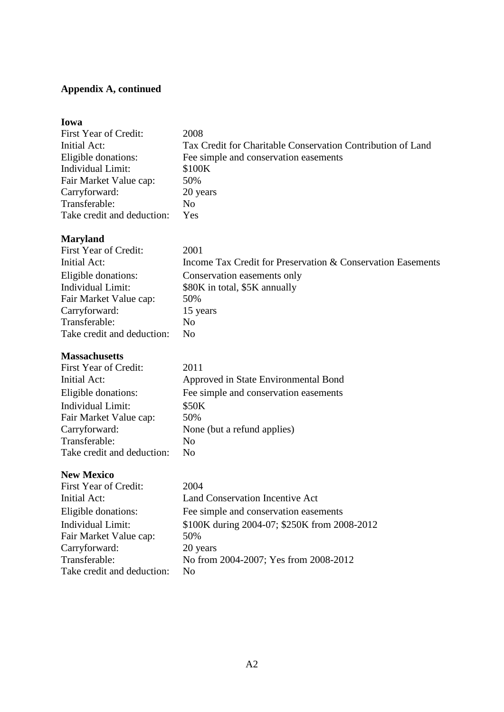# **Appendix A, continued**

| Iowa                       |                                                             |
|----------------------------|-------------------------------------------------------------|
| First Year of Credit:      | 2008                                                        |
| Initial Act:               | Tax Credit for Charitable Conservation Contribution of Land |
| Eligible donations:        | Fee simple and conservation easements                       |
| Individual Limit:          | \$100K                                                      |
| Fair Market Value cap:     | 50%                                                         |
| Carryforward:              | 20 years                                                    |
| Transferable:              | No                                                          |
| Take credit and deduction: | Yes                                                         |

# **Maryland**

| First Year of Credit:      | 2001                                                        |
|----------------------------|-------------------------------------------------------------|
| Initial Act:               | Income Tax Credit for Preservation & Conservation Easements |
| Eligible donations:        | Conservation easements only                                 |
| Individual Limit:          | \$80K in total, \$5K annually                               |
| Fair Market Value cap:     | 50%                                                         |
| Carryforward:              | 15 years                                                    |
| Transferable:              | N <sub>0</sub>                                              |
| Take credit and deduction: | N <sub>0</sub>                                              |

## **Massachusetts**

| First Year of Credit:      | 2011                                  |
|----------------------------|---------------------------------------|
| Initial Act:               | Approved in State Environmental Bond  |
| Eligible donations:        | Fee simple and conservation easements |
| Individual Limit:          | \$50K                                 |
| Fair Market Value cap:     | 50%                                   |
| Carryforward:              | None (but a refund applies)           |
| Transferable:              | N <sub>0</sub>                        |
| Take credit and deduction: | Nο                                    |

# **New Mexico**

| First Year of Credit:      | 2004                                         |
|----------------------------|----------------------------------------------|
| Initial Act:               | Land Conservation Incentive Act              |
| Eligible donations:        | Fee simple and conservation easements        |
| <b>Individual Limit:</b>   | \$100K during 2004-07; \$250K from 2008-2012 |
| Fair Market Value cap:     | 50%                                          |
| Carryforward:              | 20 years                                     |
| Transferable:              | No from 2004-2007; Yes from 2008-2012        |
| Take credit and deduction: | No                                           |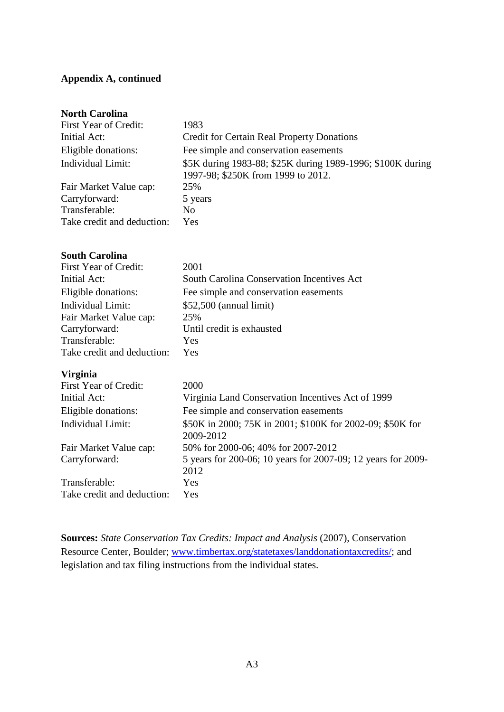# **Appendix A, continued**

## **North Carolina**

| <b>First Year of Credit:</b> | 1983                                                                                             |
|------------------------------|--------------------------------------------------------------------------------------------------|
| Initial Act:                 | <b>Credit for Certain Real Property Donations</b>                                                |
| Eligible donations:          | Fee simple and conservation easements                                                            |
| Individual Limit:            | \$5K during 1983-88; \$25K during 1989-1996; \$100K during<br>1997-98; \$250K from 1999 to 2012. |
| Fair Market Value cap:       | 25%                                                                                              |
| Carryforward:                | 5 years                                                                                          |
| Transferable:                | No.                                                                                              |
| Take credit and deduction:   | Yes                                                                                              |

## **South Carolina**

| First Year of Credit:      | 2001                                              |
|----------------------------|---------------------------------------------------|
| Initial Act:               | <b>South Carolina Conservation Incentives Act</b> |
| Eligible donations:        | Fee simple and conservation easements             |
| Individual Limit:          | $$52,500$ (annual limit)                          |
| Fair Market Value cap:     | 25%                                               |
| Carryforward:              | Until credit is exhausted                         |
| Transferable:              | Yes                                               |
| Take credit and deduction: | Yes                                               |

## **Virginia**

| First Year of Credit:      | 2000                                                                   |
|----------------------------|------------------------------------------------------------------------|
| Initial Act:               | Virginia Land Conservation Incentives Act of 1999                      |
| Eligible donations:        | Fee simple and conservation easements                                  |
| Individual Limit:          | \$50K in 2000; 75K in 2001; \$100K for 2002-09; \$50K for<br>2009-2012 |
| Fair Market Value cap:     | 50% for 2000-06; 40% for 2007-2012                                     |
| Carryforward:              | 5 years for 200-06; 10 years for 2007-09; 12 years for 2009-<br>2012   |
| Transferable:              | Yes.                                                                   |
| Take credit and deduction: | Yes                                                                    |

**Sources:** *State Conservation Tax Credits: Impact and Analysis* (2007), Conservation Resource Center, Boulder; [www.timbertax.org/statetaxes/landdonationtaxcredits/;](http://www.timbertax.org/statetaxes/landdonationtaxcredits/) and legislation and tax filing instructions from the individual states.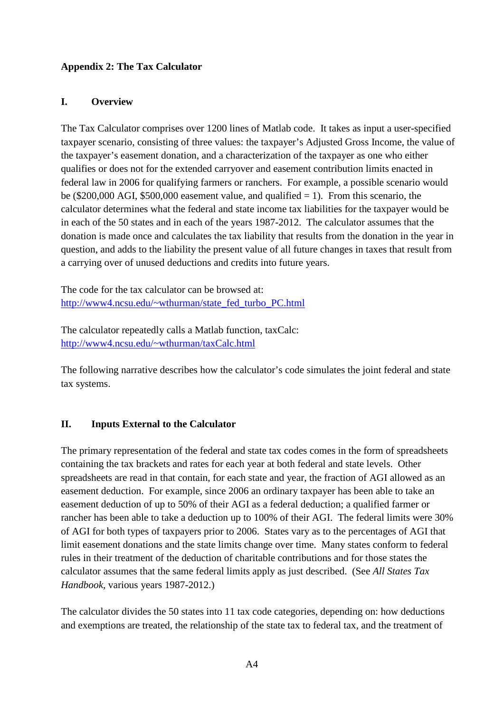# **Appendix 2: The Tax Calculator**

# **I. Overview**

The Tax Calculator comprises over 1200 lines of Matlab code. It takes as input a user-specified taxpayer scenario, consisting of three values: the taxpayer's Adjusted Gross Income, the value of the taxpayer's easement donation, and a characterization of the taxpayer as one who either qualifies or does not for the extended carryover and easement contribution limits enacted in federal law in 2006 for qualifying farmers or ranchers. For example, a possible scenario would be (\$200,000 AGI, \$500,000 easement value, and qualified  $= 1$ ). From this scenario, the calculator determines what the federal and state income tax liabilities for the taxpayer would be in each of the 50 states and in each of the years 1987-2012. The calculator assumes that the donation is made once and calculates the tax liability that results from the donation in the year in question, and adds to the liability the present value of all future changes in taxes that result from a carrying over of unused deductions and credits into future years.

The code for the tax calculator can be browsed at: [http://www4.ncsu.edu/~wthurman/state\\_fed\\_turbo\\_PC.html](http://www4.ncsu.edu/%7Ewthurman/state_fed_turbo_PC.html)

The calculator repeatedly calls a Matlab function, taxCalc: [http://www4.ncsu.edu/~wthurman/taxCalc.html](http://www4.ncsu.edu/%7Ewthurman/taxCalc.html)

The following narrative describes how the calculator's code simulates the joint federal and state tax systems.

# **II. Inputs External to the Calculator**

The primary representation of the federal and state tax codes comes in the form of spreadsheets containing the tax brackets and rates for each year at both federal and state levels. Other spreadsheets are read in that contain, for each state and year, the fraction of AGI allowed as an easement deduction. For example, since 2006 an ordinary taxpayer has been able to take an easement deduction of up to 50% of their AGI as a federal deduction; a qualified farmer or rancher has been able to take a deduction up to 100% of their AGI. The federal limits were 30% of AGI for both types of taxpayers prior to 2006. States vary as to the percentages of AGI that limit easement donations and the state limits change over time. Many states conform to federal rules in their treatment of the deduction of charitable contributions and for those states the calculator assumes that the same federal limits apply as just described. (See *All States Tax Handbook*, various years 1987-2012.)

The calculator divides the 50 states into 11 tax code categories, depending on: how deductions and exemptions are treated, the relationship of the state tax to federal tax, and the treatment of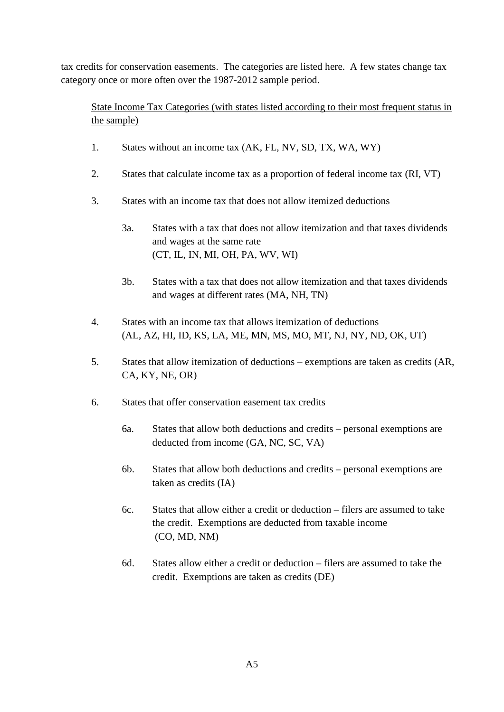tax credits for conservation easements. The categories are listed here. A few states change tax category once or more often over the 1987-2012 sample period.

State Income Tax Categories (with states listed according to their most frequent status in the sample)

- 1. States without an income tax (AK, FL, NV, SD, TX, WA, WY)
- 2. States that calculate income tax as a proportion of federal income tax (RI, VT)
- 3. States with an income tax that does not allow itemized deductions
	- 3a. States with a tax that does not allow itemization and that taxes dividends and wages at the same rate (CT, IL, IN, MI, OH, PA, WV, WI)
	- 3b. States with a tax that does not allow itemization and that taxes dividends and wages at different rates (MA, NH, TN)
- 4. States with an income tax that allows itemization of deductions (AL, AZ, HI, ID, KS, LA, ME, MN, MS, MO, MT, NJ, NY, ND, OK, UT)
- 5. States that allow itemization of deductions exemptions are taken as credits (AR, CA, KY, NE, OR)
- 6. States that offer conservation easement tax credits
	- 6a. States that allow both deductions and credits personal exemptions are deducted from income (GA, NC, SC, VA)
	- 6b. States that allow both deductions and credits personal exemptions are taken as credits (IA)
	- 6c. States that allow either a credit or deduction filers are assumed to take the credit. Exemptions are deducted from taxable income (CO, MD, NM)
	- 6d. States allow either a credit or deduction filers are assumed to take the credit. Exemptions are taken as credits (DE)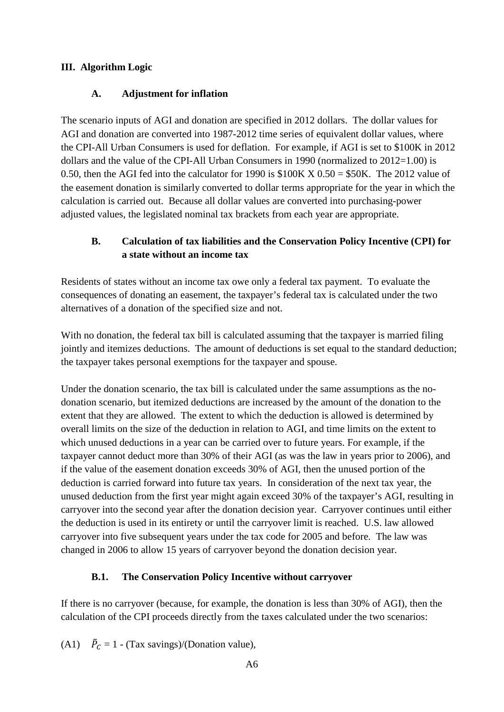# **III. Algorithm Logic**

# **A. Adjustment for inflation**

The scenario inputs of AGI and donation are specified in 2012 dollars. The dollar values for AGI and donation are converted into 1987-2012 time series of equivalent dollar values, where the CPI-All Urban Consumers is used for deflation. For example, if AGI is set to \$100K in 2012 dollars and the value of the CPI-All Urban Consumers in 1990 (normalized to  $2012=1.00$ ) is 0.50, then the AGI fed into the calculator for 1990 is  $$100K X 0.50 = $50K$ . The 2012 value of the easement donation is similarly converted to dollar terms appropriate for the year in which the calculation is carried out. Because all dollar values are converted into purchasing-power adjusted values, the legislated nominal tax brackets from each year are appropriate.

# **B. Calculation of tax liabilities and the Conservation Policy Incentive (CPI) for a state without an income tax**

Residents of states without an income tax owe only a federal tax payment. To evaluate the consequences of donating an easement, the taxpayer's federal tax is calculated under the two alternatives of a donation of the specified size and not.

With no donation, the federal tax bill is calculated assuming that the taxpayer is married filing jointly and itemizes deductions. The amount of deductions is set equal to the standard deduction; the taxpayer takes personal exemptions for the taxpayer and spouse.

Under the donation scenario, the tax bill is calculated under the same assumptions as the nodonation scenario, but itemized deductions are increased by the amount of the donation to the extent that they are allowed. The extent to which the deduction is allowed is determined by overall limits on the size of the deduction in relation to AGI, and time limits on the extent to which unused deductions in a year can be carried over to future years. For example, if the taxpayer cannot deduct more than 30% of their AGI (as was the law in years prior to 2006), and if the value of the easement donation exceeds 30% of AGI, then the unused portion of the deduction is carried forward into future tax years. In consideration of the next tax year, the unused deduction from the first year might again exceed 30% of the taxpayer's AGI, resulting in carryover into the second year after the donation decision year. Carryover continues until either the deduction is used in its entirety or until the carryover limit is reached. U.S. law allowed carryover into five subsequent years under the tax code for 2005 and before. The law was changed in 2006 to allow 15 years of carryover beyond the donation decision year.

# **B.1. The Conservation Policy Incentive without carryover**

If there is no carryover (because, for example, the donation is less than 30% of AGI), then the calculation of the CPI proceeds directly from the taxes calculated under the two scenarios:

(A1)  $\vec{P}_C = 1$  - (Tax savings)/(Donation value),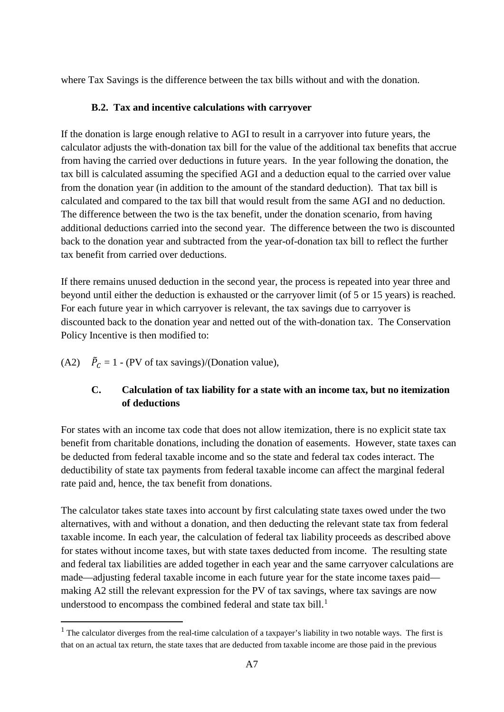where Tax Savings is the difference between the tax bills without and with the donation.

# **B.2. Tax and incentive calculations with carryover**

If the donation is large enough relative to AGI to result in a carryover into future years, the calculator adjusts the with-donation tax bill for the value of the additional tax benefits that accrue from having the carried over deductions in future years. In the year following the donation, the tax bill is calculated assuming the specified AGI and a deduction equal to the carried over value from the donation year (in addition to the amount of the standard deduction). That tax bill is calculated and compared to the tax bill that would result from the same AGI and no deduction. The difference between the two is the tax benefit, under the donation scenario, from having additional deductions carried into the second year. The difference between the two is discounted back to the donation year and subtracted from the year-of-donation tax bill to reflect the further tax benefit from carried over deductions.

If there remains unused deduction in the second year, the process is repeated into year three and beyond until either the deduction is exhausted or the carryover limit (of 5 or 15 years) is reached. For each future year in which carryover is relevant, the tax savings due to carryover is discounted back to the donation year and netted out of the with-donation tax. The Conservation Policy Incentive is then modified to:

(A2)  $\vec{P}_C = 1$  - (PV of tax savings)/(Donation value),

**.** 

# **C. Calculation of tax liability for a state with an income tax, but no itemization of deductions**

For states with an income tax code that does not allow itemization, there is no explicit state tax benefit from charitable donations, including the donation of easements. However, state taxes can be deducted from federal taxable income and so the state and federal tax codes interact. The deductibility of state tax payments from federal taxable income can affect the marginal federal rate paid and, hence, the tax benefit from donations.

The calculator takes state taxes into account by first calculating state taxes owed under the two alternatives, with and without a donation, and then deducting the relevant state tax from federal taxable income. In each year, the calculation of federal tax liability proceeds as described above for states without income taxes, but with state taxes deducted from income. The resulting state and federal tax liabilities are added together in each year and the same carryover calculations are made—adjusting federal taxable income in each future year for the state income taxes paid making A2 still the relevant expression for the PV of tax savings, where tax savings are now understood to encompass the combined federal and state tax bill. $<sup>1</sup>$  $<sup>1</sup>$  $<sup>1</sup>$ </sup>

<span id="page-47-0"></span> $1$  The calculator diverges from the real-time calculation of a taxpayer's liability in two notable ways. The first is that on an actual tax return, the state taxes that are deducted from taxable income are those paid in the previous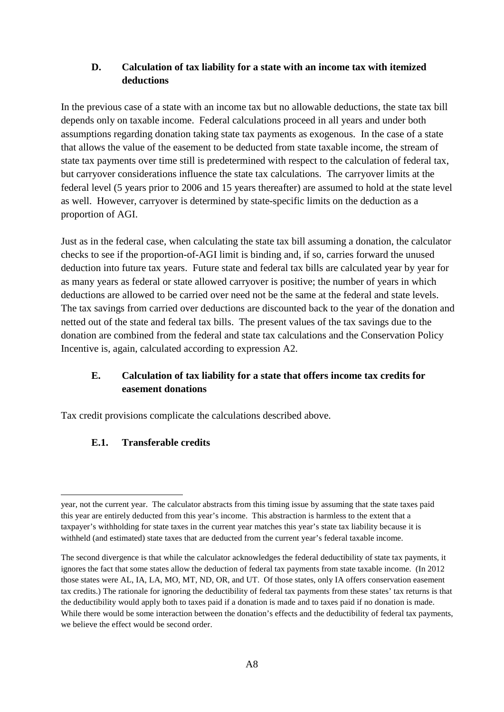# **D. Calculation of tax liability for a state with an income tax with itemized deductions**

In the previous case of a state with an income tax but no allowable deductions, the state tax bill depends only on taxable income. Federal calculations proceed in all years and under both assumptions regarding donation taking state tax payments as exogenous. In the case of a state that allows the value of the easement to be deducted from state taxable income, the stream of state tax payments over time still is predetermined with respect to the calculation of federal tax, but carryover considerations influence the state tax calculations. The carryover limits at the federal level (5 years prior to 2006 and 15 years thereafter) are assumed to hold at the state level as well. However, carryover is determined by state-specific limits on the deduction as a proportion of AGI.

Just as in the federal case, when calculating the state tax bill assuming a donation, the calculator checks to see if the proportion-of-AGI limit is binding and, if so, carries forward the unused deduction into future tax years. Future state and federal tax bills are calculated year by year for as many years as federal or state allowed carryover is positive; the number of years in which deductions are allowed to be carried over need not be the same at the federal and state levels. The tax savings from carried over deductions are discounted back to the year of the donation and netted out of the state and federal tax bills. The present values of the tax savings due to the donation are combined from the federal and state tax calculations and the Conservation Policy Incentive is, again, calculated according to expression A2.

# **E. Calculation of tax liability for a state that offers income tax credits for easement donations**

Tax credit provisions complicate the calculations described above.

# **E.1. Transferable credits**

 $\overline{\phantom{a}}$ 

year, not the current year. The calculator abstracts from this timing issue by assuming that the state taxes paid this year are entirely deducted from this year's income. This abstraction is harmless to the extent that a taxpayer's withholding for state taxes in the current year matches this year's state tax liability because it is withheld (and estimated) state taxes that are deducted from the current year's federal taxable income.

The second divergence is that while the calculator acknowledges the federal deductibility of state tax payments, it ignores the fact that some states allow the deduction of federal tax payments from state taxable income. (In 2012 those states were AL, IA, LA, MO, MT, ND, OR, and UT. Of those states, only IA offers conservation easement tax credits.) The rationale for ignoring the deductibility of federal tax payments from these states' tax returns is that the deductibility would apply both to taxes paid if a donation is made and to taxes paid if no donation is made. While there would be some interaction between the donation's effects and the deductibility of federal tax payments, we believe the effect would be second order.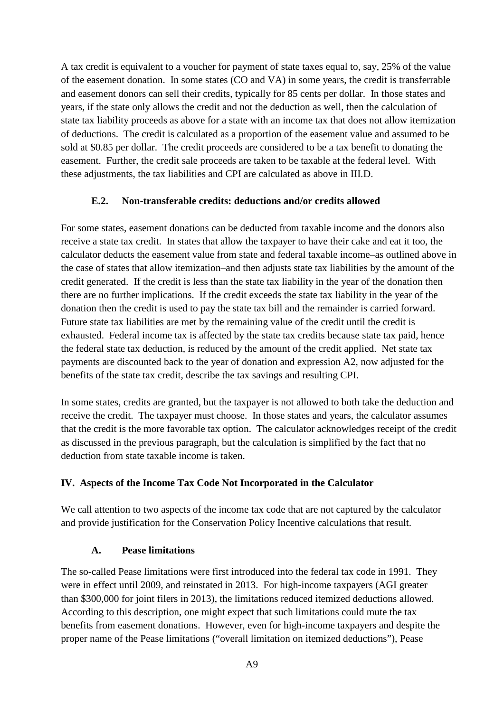A tax credit is equivalent to a voucher for payment of state taxes equal to, say, 25% of the value of the easement donation. In some states (CO and VA) in some years, the credit is transferrable and easement donors can sell their credits, typically for 85 cents per dollar. In those states and years, if the state only allows the credit and not the deduction as well, then the calculation of state tax liability proceeds as above for a state with an income tax that does not allow itemization of deductions. The credit is calculated as a proportion of the easement value and assumed to be sold at \$0.85 per dollar. The credit proceeds are considered to be a tax benefit to donating the easement. Further, the credit sale proceeds are taken to be taxable at the federal level. With these adjustments, the tax liabilities and CPI are calculated as above in III.D.

# **E.2. Non-transferable credits: deductions and/or credits allowed**

For some states, easement donations can be deducted from taxable income and the donors also receive a state tax credit. In states that allow the taxpayer to have their cake and eat it too, the calculator deducts the easement value from state and federal taxable income–as outlined above in the case of states that allow itemization–and then adjusts state tax liabilities by the amount of the credit generated. If the credit is less than the state tax liability in the year of the donation then there are no further implications. If the credit exceeds the state tax liability in the year of the donation then the credit is used to pay the state tax bill and the remainder is carried forward. Future state tax liabilities are met by the remaining value of the credit until the credit is exhausted. Federal income tax is affected by the state tax credits because state tax paid, hence the federal state tax deduction, is reduced by the amount of the credit applied. Net state tax payments are discounted back to the year of donation and expression A2, now adjusted for the benefits of the state tax credit, describe the tax savings and resulting CPI.

In some states, credits are granted, but the taxpayer is not allowed to both take the deduction and receive the credit. The taxpayer must choose. In those states and years, the calculator assumes that the credit is the more favorable tax option. The calculator acknowledges receipt of the credit as discussed in the previous paragraph, but the calculation is simplified by the fact that no deduction from state taxable income is taken.

## **IV. Aspects of the Income Tax Code Not Incorporated in the Calculator**

We call attention to two aspects of the income tax code that are not captured by the calculator and provide justification for the Conservation Policy Incentive calculations that result.

## **A. Pease limitations**

The so-called Pease limitations were first introduced into the federal tax code in 1991. They were in effect until 2009, and reinstated in 2013. For high-income taxpayers (AGI greater than \$300,000 for joint filers in 2013), the limitations reduced itemized deductions allowed. According to this description, one might expect that such limitations could mute the tax benefits from easement donations. However, even for high-income taxpayers and despite the proper name of the Pease limitations ("overall limitation on itemized deductions"), Pease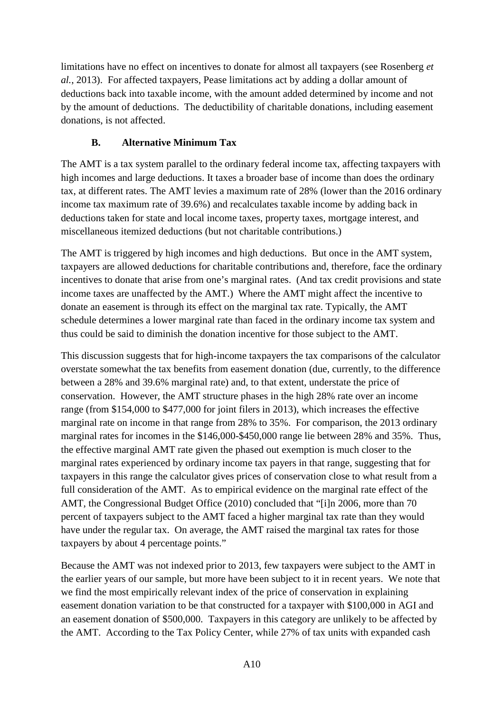limitations have no effect on incentives to donate for almost all taxpayers (see Rosenberg *et al.*, 2013). For affected taxpayers, Pease limitations act by adding a dollar amount of deductions back into taxable income, with the amount added determined by income and not by the amount of deductions. The deductibility of charitable donations, including easement donations, is not affected.

# **B. Alternative Minimum Tax**

The AMT is a tax system parallel to the ordinary federal income tax, affecting taxpayers with high incomes and large deductions. It taxes a broader base of income than does the ordinary tax, at different rates. The AMT levies a maximum rate of 28% (lower than the 2016 ordinary income tax maximum rate of 39.6%) and recalculates taxable income by adding back in deductions taken for state and local income taxes, property taxes, mortgage interest, and miscellaneous itemized deductions (but not charitable contributions.)

The AMT is triggered by high incomes and high deductions. But once in the AMT system, taxpayers are allowed deductions for charitable contributions and, therefore, face the ordinary incentives to donate that arise from one's marginal rates. (And tax credit provisions and state income taxes are unaffected by the AMT.) Where the AMT might affect the incentive to donate an easement is through its effect on the marginal tax rate. Typically, the AMT schedule determines a lower marginal rate than faced in the ordinary income tax system and thus could be said to diminish the donation incentive for those subject to the AMT.

This discussion suggests that for high-income taxpayers the tax comparisons of the calculator overstate somewhat the tax benefits from easement donation (due, currently, to the difference between a 28% and 39.6% marginal rate) and, to that extent, understate the price of conservation. However, the AMT structure phases in the high 28% rate over an income range (from \$154,000 to \$477,000 for joint filers in 2013), which increases the effective marginal rate on income in that range from 28% to 35%. For comparison, the 2013 ordinary marginal rates for incomes in the \$146,000-\$450,000 range lie between 28% and 35%. Thus, the effective marginal AMT rate given the phased out exemption is much closer to the marginal rates experienced by ordinary income tax payers in that range, suggesting that for taxpayers in this range the calculator gives prices of conservation close to what result from a full consideration of the AMT. As to empirical evidence on the marginal rate effect of the AMT, the Congressional Budget Office (2010) concluded that "[i]n 2006, more than 70 percent of taxpayers subject to the AMT faced a higher marginal tax rate than they would have under the regular tax. On average, the AMT raised the marginal tax rates for those taxpayers by about 4 percentage points."

Because the AMT was not indexed prior to 2013, few taxpayers were subject to the AMT in the earlier years of our sample, but more have been subject to it in recent years. We note that we find the most empirically relevant index of the price of conservation in explaining easement donation variation to be that constructed for a taxpayer with \$100,000 in AGI and an easement donation of \$500,000. Taxpayers in this category are unlikely to be affected by the AMT. According to the Tax Policy Center, while 27% of tax units with expanded cash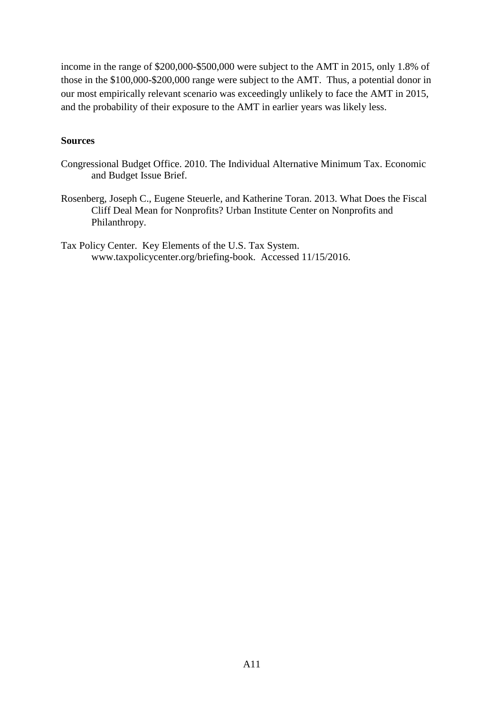income in the range of \$200,000-\$500,000 were subject to the AMT in 2015, only 1.8% of those in the \$100,000-\$200,000 range were subject to the AMT. Thus, a potential donor in our most empirically relevant scenario was exceedingly unlikely to face the AMT in 2015, and the probability of their exposure to the AMT in earlier years was likely less.

## **Sources**

- Congressional Budget Office. 2010. The Individual Alternative Minimum Tax. Economic and Budget Issue Brief.
- Rosenberg, Joseph C., Eugene Steuerle, and Katherine Toran. 2013. What Does the Fiscal Cliff Deal Mean for Nonprofits? Urban Institute Center on Nonprofits and Philanthropy.

Tax Policy Center. Key Elements of the U.S. Tax System. www.taxpolicycenter.org/briefing-book. Accessed 11/15/2016.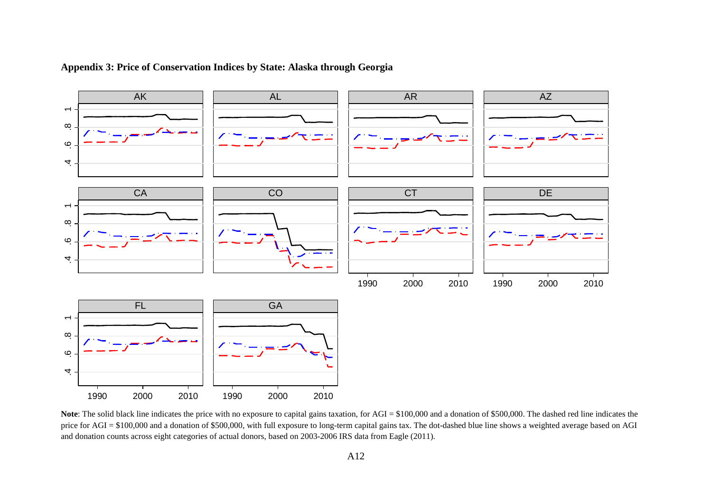

## **Appendix 3: Price of Conservation Indices by State: Alaska through Georgia**

Note: The solid black line indicates the price with no exposure to capital gains taxation, for AGI = \$100,000 and a donation of \$500,000. The dashed red line indicates the price for AGI = \$100,000 and a donation of \$500,000, with full exposure to long-term capital gains tax. The dot-dashed blue line shows a weighted average based on AGI and donation counts across eight categories of actual donors, based on 2003-2006 IRS data from Eagle (2011).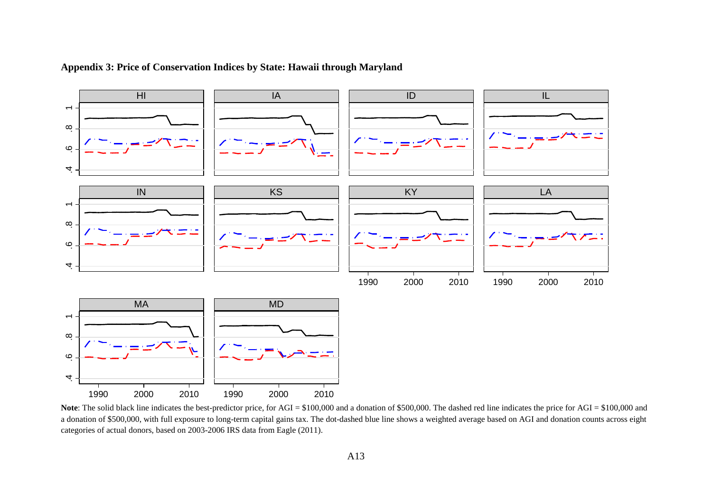

## **Appendix 3: Price of Conservation Indices by State: Hawaii through Maryland**

Note: The solid black line indicates the best-predictor price, for AGI = \$100,000 and a donation of \$500,000. The dashed red line indicates the price for AGI = \$100,000 and a donation of \$500,000, with full exposure to long-term capital gains tax. The dot-dashed blue line shows a weighted average based on AGI and donation counts across eight categories of actual donors, based on 2003-2006 IRS data from Eagle (2011).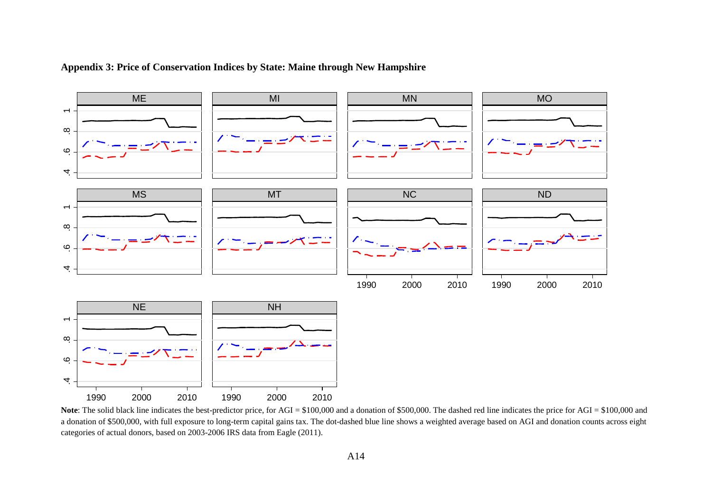

## **Appendix 3: Price of Conservation Indices by State: Maine through New Hampshire**

Note: The solid black line indicates the best-predictor price, for AGI = \$100,000 and a donation of \$500,000. The dashed red line indicates the price for AGI = \$100,000 and a donation of \$500,000, with full exposure to long-term capital gains tax. The dot-dashed blue line shows a weighted average based on AGI and donation counts across eight categories of actual donors, based on 2003-2006 IRS data from Eagle (2011).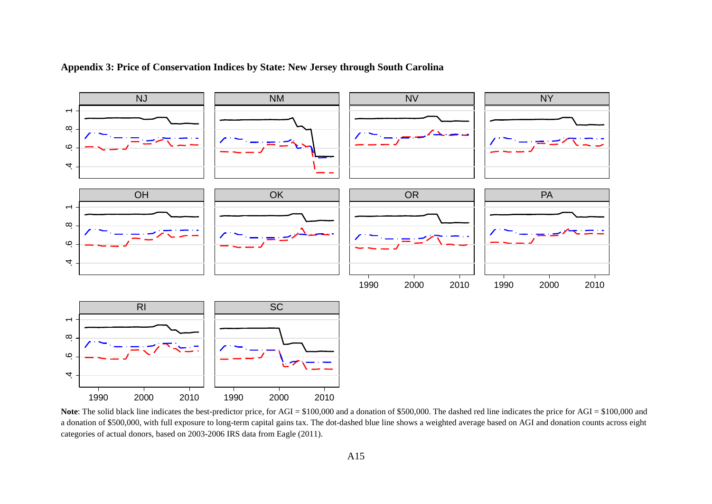

## **Appendix 3: Price of Conservation Indices by State: New Jersey through South Carolina**

Note: The solid black line indicates the best-predictor price, for AGI = \$100,000 and a donation of \$500,000. The dashed red line indicates the price for AGI = \$100,000 and a donation of \$500,000, with full exposure to long-term capital gains tax. The dot-dashed blue line shows a weighted average based on AGI and donation counts across eight categories of actual donors, based on 2003-2006 IRS data from Eagle (2011).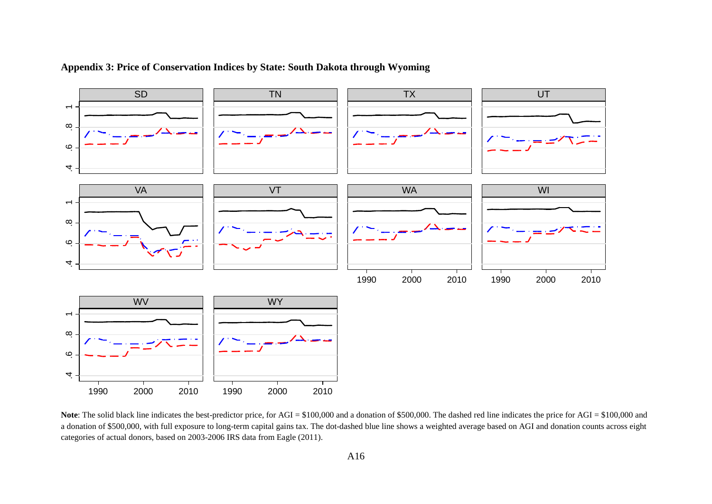

**Appendix 3: Price of Conservation Indices by State: South Dakota through Wyoming**

Note: The solid black line indicates the best-predictor price, for AGI = \$100,000 and a donation of \$500,000. The dashed red line indicates the price for AGI = \$100,000 and a donation of \$500,000, with full exposure to long-term capital gains tax. The dot-dashed blue line shows a weighted average based on AGI and donation counts across eight categories of actual donors, based on 2003-2006 IRS data from Eagle (2011).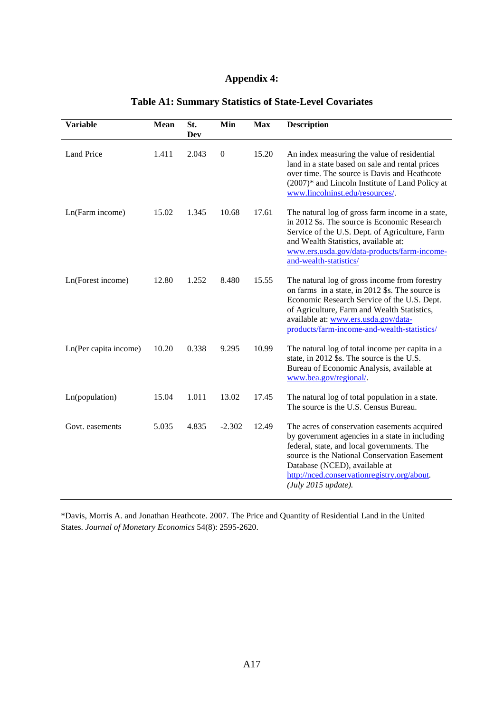# **Appendix 4:**

| <b>Variable</b>       | Mean  | St.<br><b>Dev</b> | Min              | <b>Max</b> | <b>Description</b>                                                                                                                                                                                                                                                                                  |
|-----------------------|-------|-------------------|------------------|------------|-----------------------------------------------------------------------------------------------------------------------------------------------------------------------------------------------------------------------------------------------------------------------------------------------------|
| <b>Land Price</b>     | 1.411 | 2.043             | $\boldsymbol{0}$ | 15.20      | An index measuring the value of residential<br>land in a state based on sale and rental prices<br>over time. The source is Davis and Heathcote<br>(2007)* and Lincoln Institute of Land Policy at<br>www.lincolninst.edu/resources/.                                                                |
| Ln(Farm income)       | 15.02 | 1.345             | 10.68            | 17.61      | The natural log of gross farm income in a state,<br>in 2012 \$s. The source is Economic Research<br>Service of the U.S. Dept. of Agriculture, Farm<br>and Wealth Statistics, available at:<br>www.ers.usda.gov/data-products/farm-income-<br>and-wealth-statistics/                                 |
| Ln(Forest income)     | 12.80 | 1.252             | 8.480            | 15.55      | The natural log of gross income from forestry<br>on farms in a state, in 2012 \$s. The source is<br>Economic Research Service of the U.S. Dept.<br>of Agriculture, Farm and Wealth Statistics,<br>available at: www.ers.usda.gov/data-<br>products/farm-income-and-wealth-statistics/               |
| Ln(Per capita income) | 10.20 | 0.338             | 9.295            | 10.99      | The natural log of total income per capita in a<br>state, in 2012 \$s. The source is the U.S.<br>Bureau of Economic Analysis, available at<br>www.bea.gov/regional/.                                                                                                                                |
| Ln(population)        | 15.04 | 1.011             | 13.02            | 17.45      | The natural log of total population in a state.<br>The source is the U.S. Census Bureau.                                                                                                                                                                                                            |
| Govt. easements       | 5.035 | 4.835             | $-2.302$         | 12.49      | The acres of conservation easements acquired<br>by government agencies in a state in including<br>federal, state, and local governments. The<br>source is the National Conservation Easement<br>Database (NCED), available at<br>http://nced.conservationregistry.org/about.<br>(July 2015 update). |

# **Table A1: Summary Statistics of State-Level Covariates**

\*Davis, Morris A. and Jonathan Heathcote. 2007. The Price and Quantity of Residential Land in the United States. *Journal of Monetary Economics* 54(8): 2595-2620.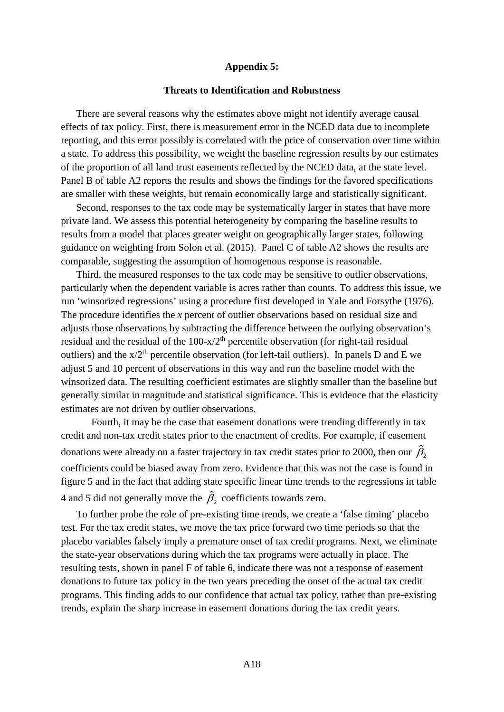## **Appendix 5:**

#### **Threats to Identification and Robustness**

There are several reasons why the estimates above might not identify average causal effects of tax policy. First, there is measurement error in the NCED data due to incomplete reporting, and this error possibly is correlated with the price of conservation over time within a state. To address this possibility, we weight the baseline regression results by our estimates of the proportion of all land trust easements reflected by the NCED data, at the state level. Panel B of table A2 reports the results and shows the findings for the favored specifications are smaller with these weights, but remain economically large and statistically significant.

Second, responses to the tax code may be systematically larger in states that have more private land. We assess this potential heterogeneity by comparing the baseline results to results from a model that places greater weight on geographically larger states, following guidance on weighting from Solon et al. (2015). Panel C of table A2 shows the results are comparable, suggesting the assumption of homogenous response is reasonable.

Third, the measured responses to the tax code may be sensitive to outlier observations, particularly when the dependent variable is acres rather than counts. To address this issue, we run 'winsorized regressions' using a procedure first developed in Yale and Forsythe (1976). The procedure identifies the *x* percent of outlier observations based on residual size and adjusts those observations by subtracting the difference between the outlying observation's residual and the residual of the  $100-x/2<sup>th</sup>$  percentile observation (for right-tail residual outliers) and the  $x/2<sup>th</sup>$  percentile observation (for left-tail outliers). In panels D and E we adjust 5 and 10 percent of observations in this way and run the baseline model with the winsorized data. The resulting coefficient estimates are slightly smaller than the baseline but generally similar in magnitude and statistical significance. This is evidence that the elasticity estimates are not driven by outlier observations.

Fourth, it may be the case that easement donations were trending differently in tax credit and non-tax credit states prior to the enactment of credits. For example, if easement donations were already on a faster trajectory in tax credit states prior to 2000, then our  $\hat{\beta_2}$ coefficients could be biased away from zero. Evidence that this was not the case is found in figure 5 and in the fact that adding state specific linear time trends to the regressions in table 4 and 5 did not generally move the  $\hat{\beta}_2$  coefficients towards zero.

To further probe the role of pre-existing time trends, we create a 'false timing' placebo test. For the tax credit states, we move the tax price forward two time periods so that the placebo variables falsely imply a premature onset of tax credit programs. Next, we eliminate the state-year observations during which the tax programs were actually in place. The resulting tests, shown in panel F of table 6, indicate there was not a response of easement donations to future tax policy in the two years preceding the onset of the actual tax credit programs. This finding adds to our confidence that actual tax policy, rather than pre-existing trends, explain the sharp increase in easement donations during the tax credit years.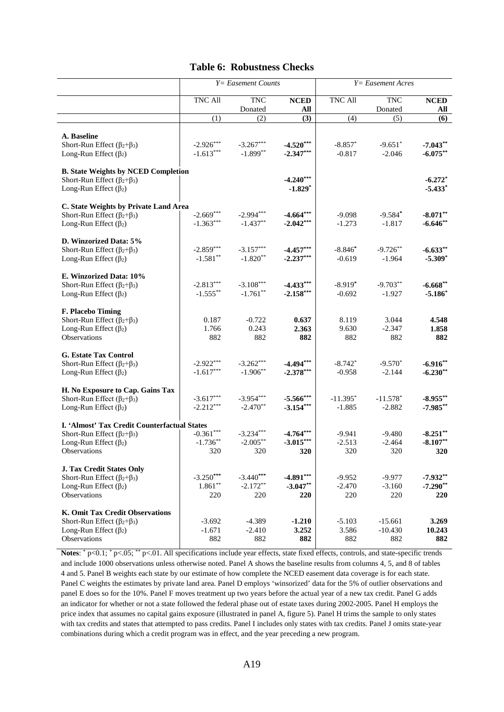#### **Table 6: Robustness Checks**

|                                                                        | $Y = E$ asement Counts |             |             | $Y = E$ asement Acres |            |             |
|------------------------------------------------------------------------|------------------------|-------------|-------------|-----------------------|------------|-------------|
|                                                                        | TNC All                | <b>TNC</b>  | <b>NCED</b> | <b>TNC All</b>        | <b>TNC</b> | <b>NCED</b> |
|                                                                        |                        | Donated     | All         |                       | Donated    | All         |
|                                                                        | (1)                    | (2)         | (3)         | $\overline{(4)}$      | (5)        | (6)         |
|                                                                        |                        |             |             |                       |            |             |
| A. Baseline                                                            |                        |             |             |                       |            |             |
| Short-Run Effect ( $\beta_2 + \beta_3$ )                               | $-2.926***$            | $-3.267***$ | $-4.520***$ | $-8.857*$             | $-9.651*$  | $-7.043**$  |
| Long-Run Effect $(\beta_2)$                                            | $-1.613***$            | $-1.899**$  | $-2.347***$ | $-0.817$              | $-2.046$   | $-6.075***$ |
| <b>B. State Weights by NCED Completion</b>                             |                        |             |             |                       |            |             |
| Short-Run Effect $(\beta_2 + \beta_3)$                                 |                        |             | $-4.240***$ |                       |            | $-6.272*$   |
| Long-Run Effect $(\beta_2)$                                            |                        |             | $-1.829*$   |                       |            | $-5.433*$   |
|                                                                        |                        |             |             |                       |            |             |
| C. State Weights by Private Land Area                                  |                        |             |             |                       |            |             |
| Short-Run Effect ( $\beta_2 + \beta_3$ )                               | $-2.669***$            | $-2.994***$ | $-4.664***$ | $-9.098$              | $-9.584*$  | $-8.071**$  |
| Long-Run Effect $(\beta_2)$                                            | $-1.363***$            | $-1.437**$  | $-2.042***$ | $-1.273$              | $-1.817$   | $-6.646**$  |
|                                                                        |                        |             |             |                       |            |             |
| D. Winzorized Data: 5%                                                 |                        |             |             |                       |            |             |
| Short-Run Effect $(\beta_2 + \beta_3)$                                 | $-2.859***$            | $-3.157***$ | $-4.457***$ | $-8.846*$             | $-9.726**$ | $-6.633**$  |
| Long-Run Effect $(\beta_2)$                                            | $-1.581**$             | $-1.820**$  | $-2.237***$ | $-0.619$              | $-1.964$   | $-5.309*$   |
| E. Winzorized Data: 10%                                                |                        |             |             |                       |            |             |
| Short-Run Effect ( $\beta_2 + \beta_3$ )                               | $-2.813***$            | $-3.108***$ | $-4.433***$ | $-8.919*$             | $-9.703**$ | $-6.668**$  |
| Long-Run Effect $(\beta_2)$                                            | $-1.555***$            | $-1.761**$  | $-2.158***$ | $-0.692$              | $-1.927$   | $-5.186*$   |
|                                                                        |                        |             |             |                       |            |             |
| F. Placebo Timing                                                      |                        |             |             |                       |            |             |
| Short-Run Effect $(\beta_2 + \beta_3)$                                 | 0.187                  | $-0.722$    | 0.637       | 8.119                 | 3.044      | 4.548       |
| Long-Run Effect $(\beta_2)$                                            | 1.766                  | 0.243       | 2.363       | 9.630                 | $-2.347$   | 1.858       |
| Observations                                                           | 882                    | 882         | 882         | 882                   | 882        | 882         |
|                                                                        |                        |             |             |                       |            |             |
| <b>G. Estate Tax Control</b><br>Short-Run Effect $(\beta_2 + \beta_3)$ | $-2.922***$            | $-3.262***$ | $-4.494***$ | $-8.742*$             | $-9.570*$  | $-6.916**$  |
| Long-Run Effect $(\beta_2)$                                            | $-1.617***$            | $-1.906**$  | $-2.378***$ | $-0.958$              | $-2.144$   | $-6.230**$  |
|                                                                        |                        |             |             |                       |            |             |
| H. No Exposure to Cap. Gains Tax                                       |                        |             |             |                       |            |             |
| Short-Run Effect $(\beta_2+\beta_3)$                                   | $-3.617***$            | $-3.954***$ | $-5.566***$ | $-11.395*$            | $-11.578*$ | $-8.955***$ |
| Long-Run Effect $(\beta_2)$                                            | $-2.212***$            | $-2.470**$  | $-3.154***$ | $-1.885$              | $-2.882$   | $-7.985**$  |
|                                                                        |                        |             |             |                       |            |             |
| I. 'Almost' Tax Credit Counterfactual States                           |                        |             |             |                       |            |             |
| Short-Run Effect ( $\beta_2 + \beta_3$ )                               | $-0.361***$            | $-3.234***$ | $-4.764***$ | $-9.941$              | $-9.480$   | $-8.251**$  |
| Long-Run Effect $(\beta_2)$                                            | $-1.736**$             | $-2.005**$  | $-3.015***$ | $-2.513$              | $-2.464$   | $-8.107**$  |
| Observations                                                           | 320                    | 320         | 320         | 320                   | 320        | 320         |
| <b>J. Tax Credit States Only</b>                                       |                        |             |             |                       |            |             |
| Short-Run Effect $(\beta_2+\beta_3)$                                   | $-3.250***$            | $-3.440***$ | $-4.891***$ | $-9.952$              | $-9.977$   | $-7.932**$  |
| Long-Run Effect $(\beta_2)$                                            | $1.861**$              | $-2.172**$  | $-3.047**$  | $-2.470$              | $-3.160$   | $-7.290**$  |
| Observations                                                           | 220                    | 220         | 220         | 220                   | 220        | 220         |
|                                                                        |                        |             |             |                       |            |             |
| K. Omit Tax Credit Observations                                        |                        |             |             |                       |            |             |
| Short-Run Effect $(\beta_2 + \beta_3)$                                 | $-3.692$               | $-4.389$    | $-1.210$    | $-5.103$              | $-15.661$  | 3.269       |
| Long-Run Effect $(\beta_2)$                                            | $-1.671$               | $-2.410$    | 3.252       | 3.586                 | $-10.430$  | 10.243      |
| Observations                                                           | 882                    | 882         | 882         | 882                   | 882        | 882         |

**Notes**: \* p<0.1; \* p<.05; \*\* p<.01. All specifications include year effects, state fixed effects, controls, and state-specific trends and include 1000 observations unless otherwise noted. Panel A shows the baseline results from columns 4, 5, and 8 of tables 4 and 5. Panel B weights each state by our estimate of how complete the NCED easement data coverage is for each state. Panel C weights the estimates by private land area. Panel D employs 'winsorized' data for the 5% of outlier observations and panel E does so for the 10%. Panel F moves treatment up two years before the actual year of a new tax credit. Panel G adds an indicator for whether or not a state followed the federal phase out of estate taxes during 2002-2005. Panel H employs the price index that assumes no capital gains exposure (illustrated in panel A, figure 5). Panel H trims the sample to only states with tax credits and states that attempted to pass credits. Panel I includes only states with tax credits. Panel J omits state-year combinations during which a credit program was in effect, and the year preceding a new program.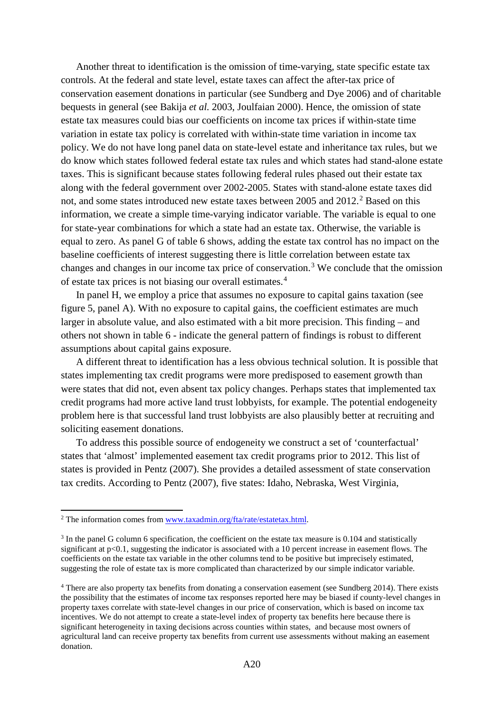Another threat to identification is the omission of time-varying, state specific estate tax controls. At the federal and state level, estate taxes can affect the after-tax price of conservation easement donations in particular (see Sundberg and Dye 2006) and of charitable bequests in general (see Bakija *et al.* 2003, Joulfaian 2000). Hence, the omission of state estate tax measures could bias our coefficients on income tax prices if within-state time variation in estate tax policy is correlated with within-state time variation in income tax policy. We do not have long panel data on state-level estate and inheritance tax rules, but we do know which states followed federal estate tax rules and which states had stand-alone estate taxes. This is significant because states following federal rules phased out their estate tax along with the federal government over 2002-2005. States with stand-alone estate taxes did not, and some states introduced new estate taxes between [2](#page-60-0)005 and 2012.<sup>2</sup> Based on this information, we create a simple time-varying indicator variable. The variable is equal to one for state-year combinations for which a state had an estate tax. Otherwise, the variable is equal to zero. As panel G of table 6 shows, adding the estate tax control has no impact on the baseline coefficients of interest suggesting there is little correlation between estate tax changes and changes in our income tax price of conservation.[3](#page-60-1) We conclude that the omission of estate tax prices is not biasing our overall estimates.[4](#page-60-2)

In panel H, we employ a price that assumes no exposure to capital gains taxation (see figure 5, panel A). With no exposure to capital gains, the coefficient estimates are much larger in absolute value, and also estimated with a bit more precision. This finding – and others not shown in table 6 - indicate the general pattern of findings is robust to different assumptions about capital gains exposure.

A different threat to identification has a less obvious technical solution. It is possible that states implementing tax credit programs were more predisposed to easement growth than were states that did not, even absent tax policy changes. Perhaps states that implemented tax credit programs had more active land trust lobbyists, for example. The potential endogeneity problem here is that successful land trust lobbyists are also plausibly better at recruiting and soliciting easement donations.

To address this possible source of endogeneity we construct a set of 'counterfactual' states that 'almost' implemented easement tax credit programs prior to 2012. This list of states is provided in Pentz (2007). She provides a detailed assessment of state conservation tax credits. According to Pentz (2007), five states: Idaho, Nebraska, West Virginia,

<u>.</u>

<span id="page-60-0"></span><sup>&</sup>lt;sup>2</sup> The information comes from www.taxadmin.org/fta/rate/estatetax.html.

<span id="page-60-1"></span><sup>&</sup>lt;sup>3</sup> In the panel G column 6 specification, the coefficient on the estate tax measure is 0.104 and statistically significant at p<0.1, suggesting the indicator is associated with a 10 percent increase in easement flows. The coefficients on the estate tax variable in the other columns tend to be positive but imprecisely estimated, suggesting the role of estate tax is more complicated than characterized by our simple indicator variable.

<span id="page-60-2"></span><sup>4</sup> There are also property tax benefits from donating a conservation easement (see Sundberg 2014). There exists the possibility that the estimates of income tax responses reported here may be biased if county-level changes in property taxes correlate with state-level changes in our price of conservation, which is based on income tax incentives. We do not attempt to create a state-level index of property tax benefits here because there is significant heterogeneity in taxing decisions across counties within states, and because most owners of agricultural land can receive property tax benefits from current use assessments without making an easement donation.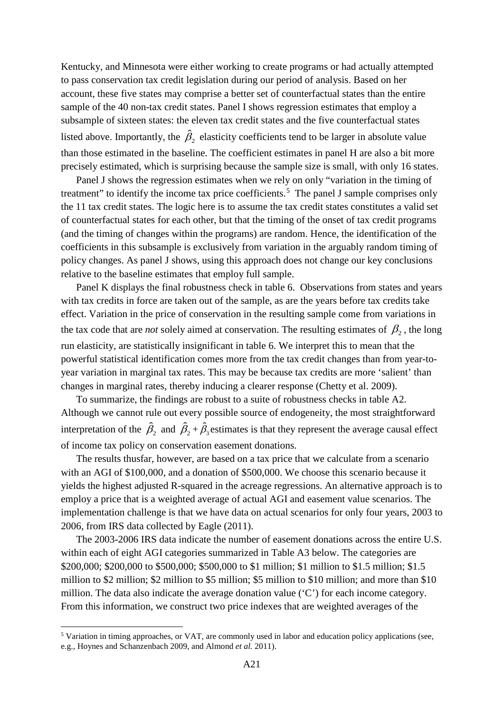Kentucky, and Minnesota were either working to create programs or had actually attempted to pass conservation tax credit legislation during our period of analysis. Based on her account, these five states may comprise a better set of counterfactual states than the entire sample of the 40 non-tax credit states. Panel I shows regression estimates that employ a subsample of sixteen states: the eleven tax credit states and the five counterfactual states listed above. Importantly, the  $\hat{\beta}_2$  elasticity coefficients tend to be larger in absolute value than those estimated in the baseline. The coefficient estimates in panel H are also a bit more precisely estimated, which is surprising because the sample size is small, with only 16 states.

Panel J shows the regression estimates when we rely on only "variation in the timing of treatment" to identify the income tax price coefficients.<sup>[5](#page-61-0)</sup> The panel J sample comprises only the 11 tax credit states. The logic here is to assume the tax credit states constitutes a valid set of counterfactual states for each other, but that the timing of the onset of tax credit programs (and the timing of changes within the programs) are random. Hence, the identification of the coefficients in this subsample is exclusively from variation in the arguably random timing of policy changes. As panel J shows, using this approach does not change our key conclusions relative to the baseline estimates that employ full sample.

Panel K displays the final robustness check in table 6. Observations from states and years with tax credits in force are taken out of the sample, as are the years before tax credits take effect. Variation in the price of conservation in the resulting sample come from variations in the tax code that are *not* solely aimed at conservation. The resulting estimates of  $\beta_2$ , the long run elasticity, are statistically insignificant in table 6. We interpret this to mean that the powerful statistical identification comes more from the tax credit changes than from year-toyear variation in marginal tax rates. This may be because tax credits are more 'salient' than changes in marginal rates, thereby inducing a clearer response (Chetty et al. 2009).

To summarize, the findings are robust to a suite of robustness checks in table A2. Although we cannot rule out every possible source of endogeneity, the most straightforward interpretation of the  $\hat{\beta}_2$  and  $\hat{\beta}_2 + \hat{\beta}_3$  estimates is that they represent the average causal effect of income tax policy on conservation easement donations.

The results thusfar, however, are based on a tax price that we calculate from a scenario with an AGI of \$100,000, and a donation of \$500,000. We choose this scenario because it yields the highest adjusted R-squared in the acreage regressions. An alternative approach is to employ a price that is a weighted average of actual AGI and easement value scenarios. The implementation challenge is that we have data on actual scenarios for only four years, 2003 to 2006, from IRS data collected by Eagle (2011).

The 2003-2006 IRS data indicate the number of easement donations across the entire U.S. within each of eight AGI categories summarized in Table A3 below. The categories are \$200,000; \$200,000 to \$500,000; \$500,000 to \$1 million; \$1 million to \$1.5 million; \$1.5 million to \$2 million; \$2 million to \$5 million; \$5 million to \$10 million; and more than \$10 million. The data also indicate the average donation value ('C') for each income category. From this information, we construct two price indexes that are weighted averages of the

 $\overline{\phantom{a}}$ 

<span id="page-61-0"></span><sup>5</sup> Variation in timing approaches, or VAT, are commonly used in labor and education policy applications (see, e.g., Hoynes and Schanzenbach 2009, and Almond *et al.* 2011).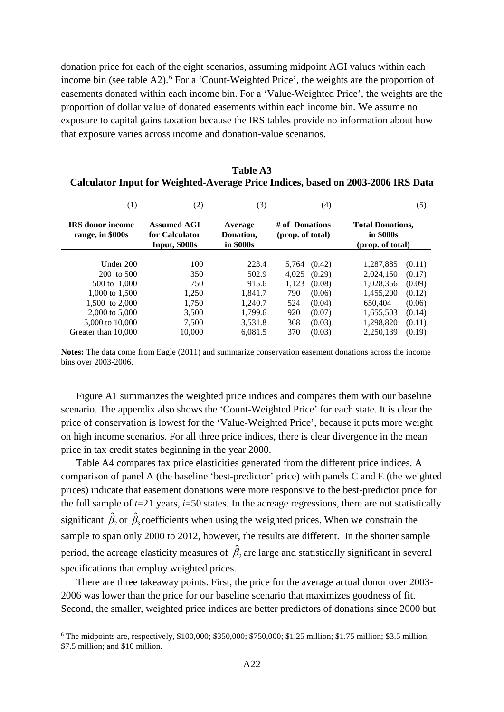donation price for each of the eight scenarios, assuming midpoint AGI values within each income bin (see table A2). [6](#page-62-0) For a 'Count-Weighted Price', the weights are the proportion of easements donated within each income bin. For a 'Value-Weighted Price', the weights are the proportion of dollar value of donated easements within each income bin. We assume no exposure to capital gains taxation because the IRS tables provide no information about how that exposure varies across income and donation-value scenarios.

| $\left(1\right)$                            | (2)                                                   | (3)                               | (4)                                | (5)                                                      |  |  |
|---------------------------------------------|-------------------------------------------------------|-----------------------------------|------------------------------------|----------------------------------------------------------|--|--|
| <b>IRS</b> donor income<br>range, in \$000s | <b>Assumed AGI</b><br>for Calculator<br>Input, \$000s | Average<br>Donation,<br>in \$000s | # of Donations<br>(prop. of total) | <b>Total Donations,</b><br>in \$000s<br>(prop. of total) |  |  |
|                                             |                                                       |                                   |                                    |                                                          |  |  |
| Under $200$                                 | 100                                                   | 223.4                             | (0.42)<br>5.764                    | 1,287,885<br>(0.11)                                      |  |  |
| $200$ to $500$                              | 350                                                   | 502.9                             | 4.025<br>(0.29)                    | 2,024,150<br>(0.17)                                      |  |  |
| 500 to 1,000                                | 750                                                   | 915.6                             | 1,123<br>(0.08)                    | 1,028,356<br>(0.09)                                      |  |  |
| 1,000 to 1,500                              | 1.250                                                 | 1.841.7                           | 790<br>(0.06)                      | 1.455.200<br>(0.12)                                      |  |  |
| 1.500 to 2,000                              | 1.750                                                 | 1.240.7                           | 524<br>(0.04)                      | 650.404<br>(0.06)                                        |  |  |
| 2,000 to 5,000                              | 3,500                                                 | 1.799.6                           | 920<br>(0.07)                      | 1,655,503<br>(0.14)                                      |  |  |
| 5,000 to 10,000                             | 7,500                                                 | 3,531.8                           | 368<br>(0.03)                      | 1,298,820<br>(0.11)                                      |  |  |
| Greater than 10,000                         | 10,000                                                | 6,081.5                           | 370<br>(0.03)                      | 2,250,139<br>(0.19)                                      |  |  |

**Table A3 Calculator Input for Weighted-Average Price Indices, based on 2003-2006 IRS Data** 

**Notes:** The data come from Eagle (2011) and summarize conservation easement donations across the income bins over 2003-2006.

Figure A1 summarizes the weighted price indices and compares them with our baseline scenario. The appendix also shows the 'Count-Weighted Price' for each state. It is clear the price of conservation is lowest for the 'Value-Weighted Price', because it puts more weight on high income scenarios. For all three price indices, there is clear divergence in the mean price in tax credit states beginning in the year 2000.

Table A4 compares tax price elasticities generated from the different price indices. A comparison of panel A (the baseline 'best-predictor' price) with panels C and E (the weighted prices) indicate that easement donations were more responsive to the best-predictor price for the full sample of  $t=21$  years,  $i=50$  states. In the acreage regressions, there are not statistically significant  $\hat{\beta}_2$  or  $\hat{\beta}_3$  coefficients when using the weighted prices. When we constrain the sample to span only 2000 to 2012, however, the results are different. In the shorter sample period, the acreage elasticity measures of  $\hat{\beta}_2$  are large and statistically significant in several specifications that employ weighted prices.

There are three takeaway points. First, the price for the average actual donor over 2003- 2006 was lower than the price for our baseline scenario that maximizes goodness of fit. Second, the smaller, weighted price indices are better predictors of donations since 2000 but

 $\overline{\phantom{a}}$ 

<span id="page-62-0"></span> $6$  The midpoints are, respectively, \$100,000; \$350,000; \$750,000; \$1.25 million; \$1.75 million; \$3.5 million; \$7.5 million; and \$10 million.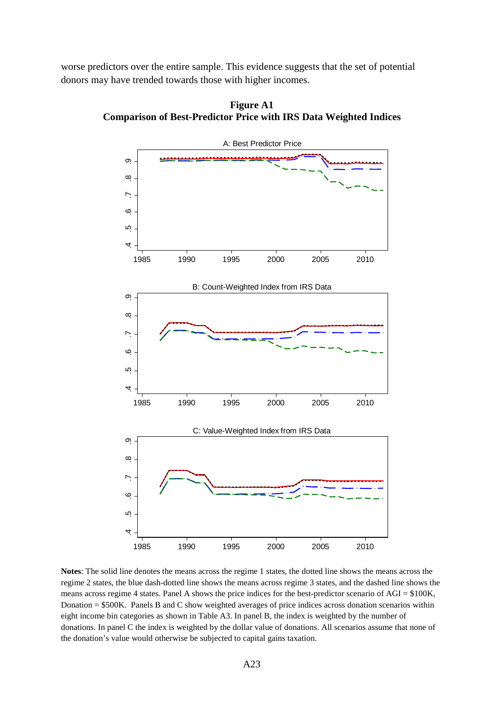worse predictors over the entire sample. This evidence suggests that the set of potential donors may have trended towards those with higher incomes.



**Figure A1 Comparison of Best-Predictor Price with IRS Data Weighted Indices**

**Notes**: The solid line denotes the means across the regime 1 states, the dotted line shows the means across the regime 2 states, the blue dash-dotted line shows the means across regime 3 states, and the dashed line shows the means across regime 4 states. Panel A shows the price indices for the best-predictor scenario of AGI = \$100K, Donation = \$500K. Panels B and C show weighted averages of price indices across donation scenarios within eight income bin categories as shown in Table A3. In panel B, the index is weighted by the number of donations. In panel C the index is weighted by the dollar value of donations. All scenarios assume that none of the donation's value would otherwise be subjected to capital gains taxation.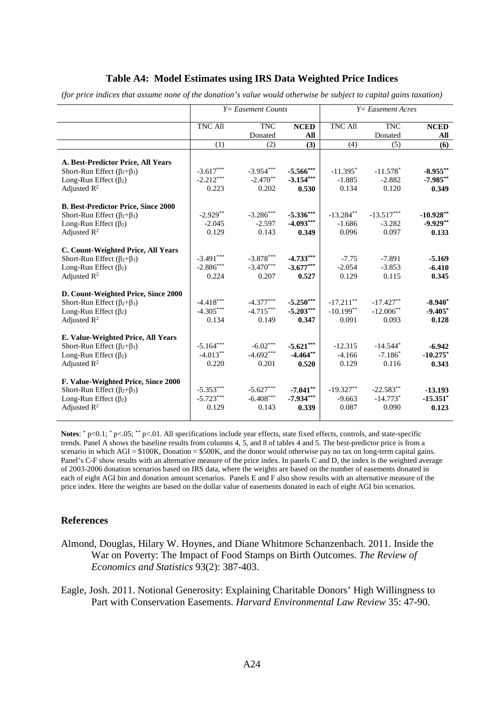## **Table A4: Model Estimates using IRS Data Weighted Price Indices**

*(for price indices that assume none of the donation's value would otherwise be subject to capital gains taxation)*

|                                            | $Y = E$ asement Counts |             |             | $Y = E$ asement Acres |              |             |
|--------------------------------------------|------------------------|-------------|-------------|-----------------------|--------------|-------------|
|                                            | <b>TNC All</b>         | <b>TNC</b>  | <b>NCED</b> | <b>TNC All</b>        | <b>TNC</b>   | <b>NCED</b> |
|                                            |                        | Donated     | All         |                       | Donated      | All         |
|                                            | (1)                    | (2)         | (3)         | (4)                   | (5)          | (6)         |
| A. Best-Predictor Price, All Years         |                        |             |             |                       |              |             |
| Short-Run Effect $(\beta_2+\beta_3)$       | $-3.617***$            | $-3.954***$ | $-5.566***$ | $-11.395*$            | $-11.578*$   | $-8.955***$ |
| Long-Run Effect $(\beta_2)$                | $-2.212***$            | $-2.470**$  | $-3.154***$ | $-1.885$              | $-2.882$     | $-7.985**$  |
| Adjusted $R^2$                             | 0.223                  | 0.202       | 0.530       | 0.134                 | 0.120        | 0.349       |
| <b>B. Best-Predictor Price, Since 2000</b> |                        |             |             |                       |              |             |
| Short-Run Effect ( $\beta_2 + \beta_3$ )   | $-2.929**$             | $-3.286***$ | $-5.336***$ | $-13.284**$           | $-13.517***$ | $-10.928**$ |
| Long-Run Effect $(\beta_2)$                | $-2.045$               | $-2.597$    | $-4.093***$ | $-1.686$              | $-3.282$     | $-9.929**$  |
| Adjusted $R^2$                             | 0.129                  | 0.143       | 0.349       | 0.096                 | 0.097        | 0.133       |
|                                            |                        |             |             |                       |              |             |
| C. Count-Weighted Price, All Years         |                        |             |             |                       |              |             |
| Short-Run Effect $(\beta_2+\beta_3)$       | $-3.491***$            | $-3.878***$ | $-4.733***$ | $-7.75$               | $-7.891$     | $-5.169$    |
| Long-Run Effect $(\beta_2)$                | $-2.886***$            | $-3.470***$ | $-3.677***$ | $-2.054$              | $-3.853$     | $-6.410$    |
| Adjusted $R^2$                             | 0.224                  | 0.207       | 0.527       | 0.129                 | 0.115        | 0.345       |
| D. Count-Weighted Price, Since 2000        |                        |             |             |                       |              |             |
| Short-Run Effect $(\beta_2+\beta_3)$       | $-4.418***$            | $-4.377***$ | $-5.250***$ | $-17.211**$           | $-17.427**$  | $-8.940*$   |
| Long-Run Effect $(\beta_2)$                | $-4.305***$            | $-4.715***$ | $-5.203***$ | $-10.199**$           | $-12.006**$  | $-9.405*$   |
| Adjusted $R^2$                             | 0.134                  | 0.149       | 0.347       | 0.091                 | 0.093        | 0.128       |
| E. Value-Weighted Price, All Years         |                        |             |             |                       |              |             |
| Short-Run Effect $(\beta_2 + \beta_3)$     | $-5.164***$            | $-6.02***$  | $-5.621***$ | $-12.315$             | $-14.544*$   | $-6.942$    |
| Long-Run Effect $(\beta_2)$                | $-4.013**$             | $-4.692***$ | $-4.464**$  | $-4.166$              | $-7.186*$    | $-10.275$ * |
| Adjusted $R^2$                             | 0.220                  | 0.201       | 0.520       | 0.129                 | 0.116        | 0.343       |
|                                            |                        |             |             |                       |              |             |
| F. Value-Weighted Price, Since 2000        |                        |             |             |                       |              |             |
| Short-Run Effect $(\beta_2 + \beta_3)$     | $-5.353***$            | $-5.627***$ | $-7.041**$  | $-19.327**$           | $-22.583**$  | $-13.193$   |
| Long-Run Effect $(\beta_2)$                | $-5.723***$            | $-6.408***$ | $-7.934***$ | $-9.663$              | $-14.773*$   | $-15.351*$  |
| Adjusted $R^2$                             | 0.129                  | 0.143       | 0.339       | 0.087                 | 0.090        | 0.123       |
|                                            |                        |             |             |                       |              |             |

**Notes**: \* p<0.1; \* p<.05; \*\* p<.01. All specifications include year effects, state fixed effects, controls, and state-specific trends. Panel A shows the baseline results from columns 4, 5, and 8 of tables 4 and 5. The best-predictor price is from a scenario in which AGI =  $$100K$ , Donation =  $$500K$ , and the donor would otherwise pay no tax on long-term capital gains. Panel's C-F show results with an alternative measure of the price index. In panels C and D, the index is the weighted average of 2003-2006 donation scenarios based on IRS data, where the weights are based on the number of easements donated in each of eight AGI bin and donation amount scenarios. Panels E and F also show results with an alternative measure of the price index. Here the weights are based on the dollar value of easements donated in each of eight AGI bin scenarios.

## **References**

Almond, Douglas, Hilary W. Hoynes, and Diane Whitmore Schanzenbach. 2011. Inside the War on Poverty: The Impact of Food Stamps on Birth Outcomes. *The Review of Economics and Statistics* 93(2): 387-403.

Eagle, Josh. 2011. Notional Generosity: Explaining Charitable Donors' High Willingness to Part with Conservation Easements. *Harvard Environmental Law Review* 35: 47-90.